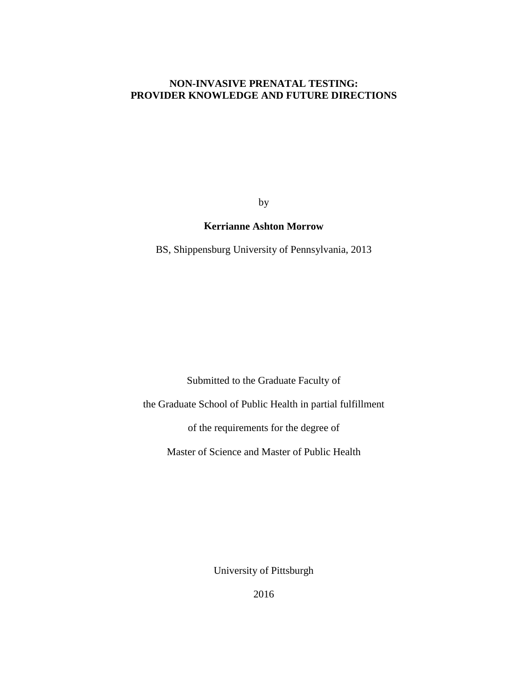# **NON-INVASIVE PRENATAL TESTING: PROVIDER KNOWLEDGE AND FUTURE DIRECTIONS**

by

## **Kerrianne Ashton Morrow**

BS, Shippensburg University of Pennsylvania, 2013

Submitted to the Graduate Faculty of

the Graduate School of Public Health in partial fulfillment

of the requirements for the degree of

Master of Science and Master of Public Health

University of Pittsburgh

2016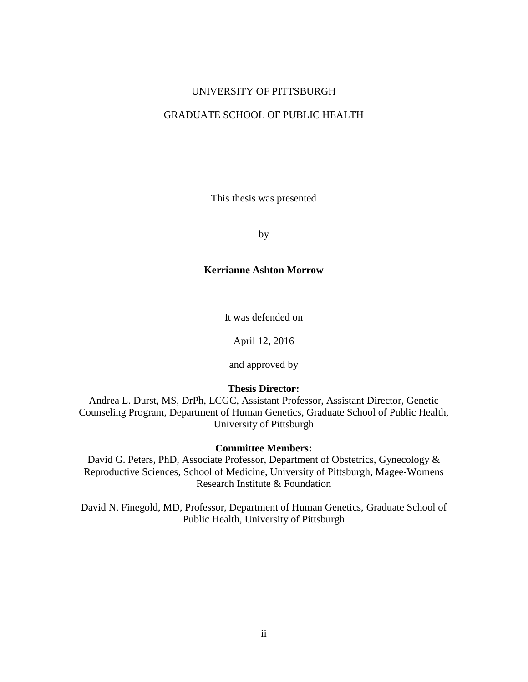## UNIVERSITY OF PITTSBURGH

# GRADUATE SCHOOL OF PUBLIC HEALTH

This thesis was presented

by

## **Kerrianne Ashton Morrow**

It was defended on

April 12, 2016

and approved by

# **Thesis Director:**

Andrea L. Durst, MS, DrPh, LCGC, Assistant Professor, Assistant Director, Genetic Counseling Program, Department of Human Genetics, Graduate School of Public Health, University of Pittsburgh

## **Committee Members:**

David G. Peters, PhD, Associate Professor, Department of Obstetrics, Gynecology & Reproductive Sciences, School of Medicine, University of Pittsburgh, Magee-Womens Research Institute & Foundation

David N. Finegold, MD, Professor, Department of Human Genetics, Graduate School of Public Health, University of Pittsburgh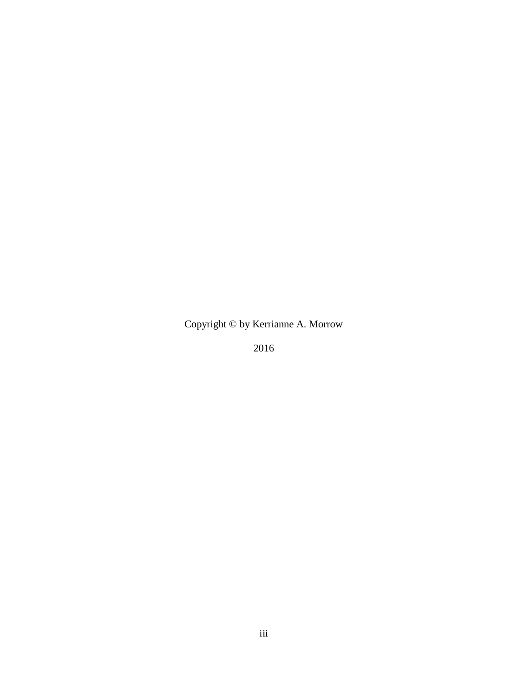Copyright © by Kerrianne A. Morrow

2016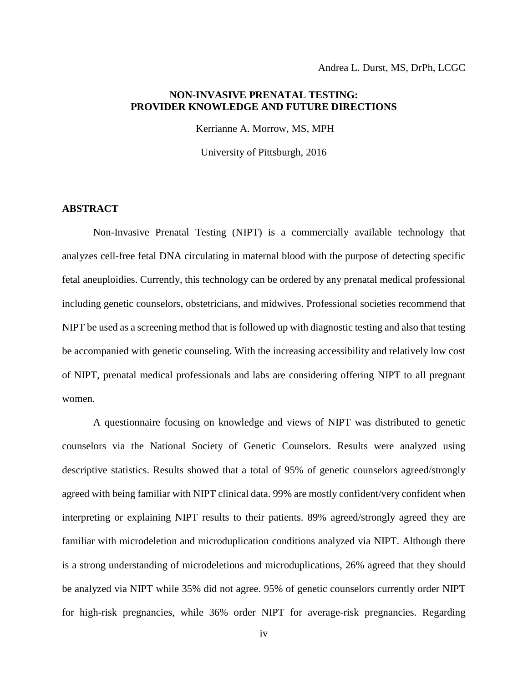# **NON-INVASIVE PRENATAL TESTING: PROVIDER KNOWLEDGE AND FUTURE DIRECTIONS**

Kerrianne A. Morrow, MS, MPH

University of Pittsburgh, 2016

# **ABSTRACT**

Non-Invasive Prenatal Testing (NIPT) is a commercially available technology that analyzes cell-free fetal DNA circulating in maternal blood with the purpose of detecting specific fetal aneuploidies. Currently, this technology can be ordered by any prenatal medical professional including genetic counselors, obstetricians, and midwives. Professional societies recommend that NIPT be used as a screening method that is followed up with diagnostic testing and also that testing be accompanied with genetic counseling. With the increasing accessibility and relatively low cost of NIPT, prenatal medical professionals and labs are considering offering NIPT to all pregnant women.

A questionnaire focusing on knowledge and views of NIPT was distributed to genetic counselors via the National Society of Genetic Counselors. Results were analyzed using descriptive statistics. Results showed that a total of 95% of genetic counselors agreed/strongly agreed with being familiar with NIPT clinical data. 99% are mostly confident/very confident when interpreting or explaining NIPT results to their patients. 89% agreed/strongly agreed they are familiar with microdeletion and microduplication conditions analyzed via NIPT. Although there is a strong understanding of microdeletions and microduplications, 26% agreed that they should be analyzed via NIPT while 35% did not agree. 95% of genetic counselors currently order NIPT for high-risk pregnancies, while 36% order NIPT for average-risk pregnancies. Regarding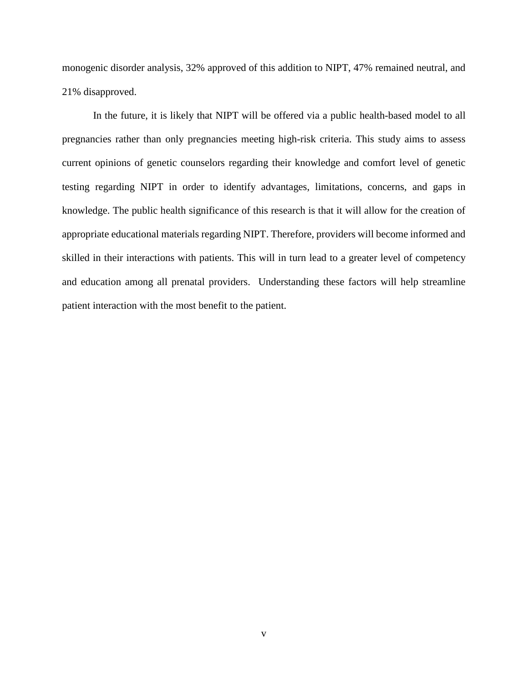monogenic disorder analysis, 32% approved of this addition to NIPT, 47% remained neutral, and 21% disapproved.

In the future, it is likely that NIPT will be offered via a public health-based model to all pregnancies rather than only pregnancies meeting high-risk criteria. This study aims to assess current opinions of genetic counselors regarding their knowledge and comfort level of genetic testing regarding NIPT in order to identify advantages, limitations, concerns, and gaps in knowledge. The public health significance of this research is that it will allow for the creation of appropriate educational materials regarding NIPT. Therefore, providers will become informed and skilled in their interactions with patients. This will in turn lead to a greater level of competency and education among all prenatal providers. Understanding these factors will help streamline patient interaction with the most benefit to the patient.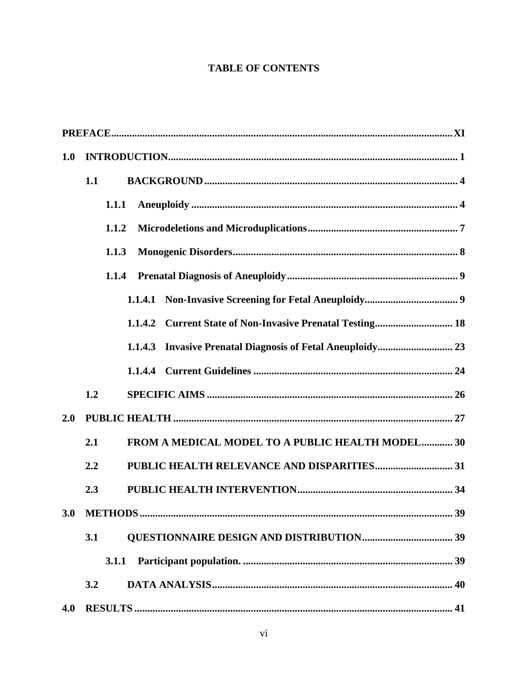# **TABLE OF CONTENTS**

| 1.0 |                                                                     |  |  |  |  |  |  |  |  |  |  |  |  |  |
|-----|---------------------------------------------------------------------|--|--|--|--|--|--|--|--|--|--|--|--|--|
|     | 1.1                                                                 |  |  |  |  |  |  |  |  |  |  |  |  |  |
|     | 1.1.1                                                               |  |  |  |  |  |  |  |  |  |  |  |  |  |
|     | 1.1.2                                                               |  |  |  |  |  |  |  |  |  |  |  |  |  |
|     | 1.1.3                                                               |  |  |  |  |  |  |  |  |  |  |  |  |  |
|     | 1.1.4                                                               |  |  |  |  |  |  |  |  |  |  |  |  |  |
|     | 1.1.4.1                                                             |  |  |  |  |  |  |  |  |  |  |  |  |  |
|     | <b>Current State of Non-Invasive Prenatal Testing 18</b><br>1.1.4.2 |  |  |  |  |  |  |  |  |  |  |  |  |  |
|     |                                                                     |  |  |  |  |  |  |  |  |  |  |  |  |  |
|     |                                                                     |  |  |  |  |  |  |  |  |  |  |  |  |  |
|     | 1.2                                                                 |  |  |  |  |  |  |  |  |  |  |  |  |  |
| 2.0 |                                                                     |  |  |  |  |  |  |  |  |  |  |  |  |  |
|     | FROM A MEDICAL MODEL TO A PUBLIC HEALTH MODEL 30<br>2.1             |  |  |  |  |  |  |  |  |  |  |  |  |  |
|     | 2.2                                                                 |  |  |  |  |  |  |  |  |  |  |  |  |  |
|     | 2.3                                                                 |  |  |  |  |  |  |  |  |  |  |  |  |  |
|     |                                                                     |  |  |  |  |  |  |  |  |  |  |  |  |  |
|     | 3.1                                                                 |  |  |  |  |  |  |  |  |  |  |  |  |  |
|     |                                                                     |  |  |  |  |  |  |  |  |  |  |  |  |  |
|     | 3.2                                                                 |  |  |  |  |  |  |  |  |  |  |  |  |  |
| 4.0 |                                                                     |  |  |  |  |  |  |  |  |  |  |  |  |  |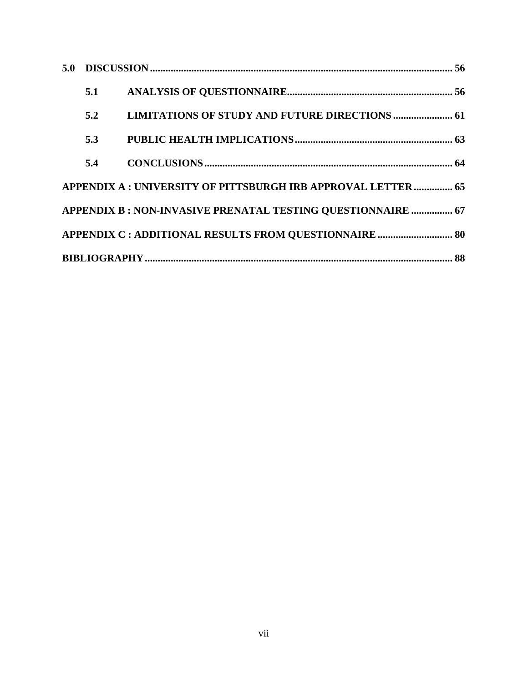| 5.1 |                                                               |  |
|-----|---------------------------------------------------------------|--|
| 5.2 | <b>LIMITATIONS OF STUDY AND FUTURE DIRECTIONS  61</b>         |  |
| 5.3 |                                                               |  |
| 5.4 |                                                               |  |
|     | APPENDIX A : UNIVERSITY OF PITTSBURGH IRB APPROVAL LETTER  65 |  |
|     | APPENDIX B : NON-INVASIVE PRENATAL TESTING QUESTIONNAIRE  67  |  |
|     | APPENDIX C : ADDITIONAL RESULTS FROM QUESTIONNAIRE  80        |  |
|     |                                                               |  |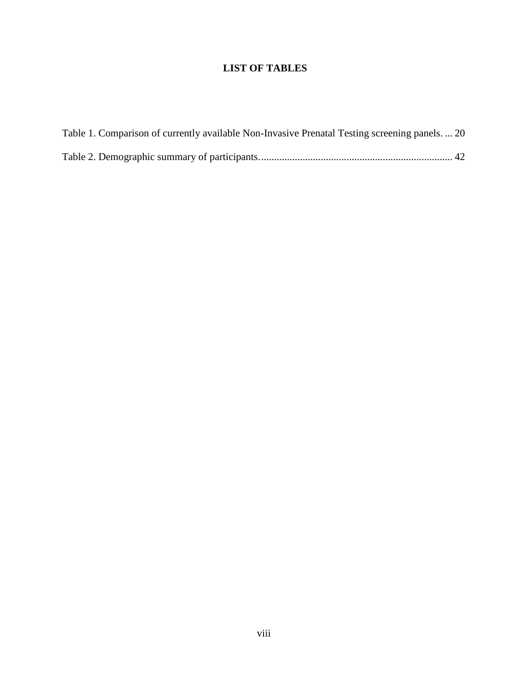# **LIST OF TABLES**

| Table 1. Comparison of currently available Non-Invasive Prenatal Testing screening panels.  20 |  |
|------------------------------------------------------------------------------------------------|--|
|                                                                                                |  |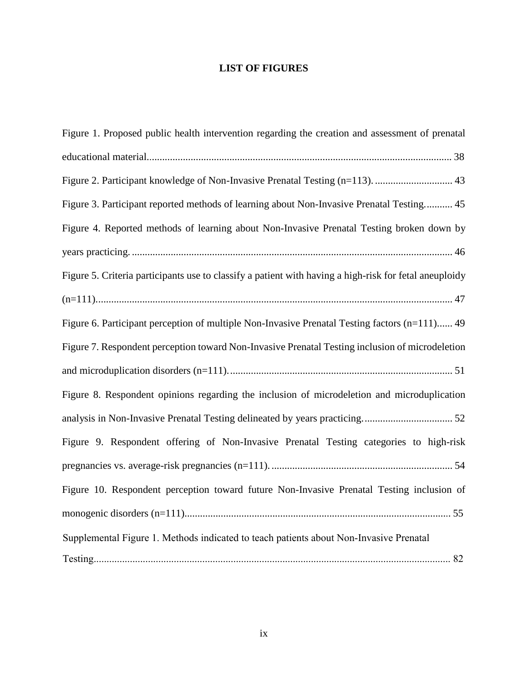# **LIST OF FIGURES**

| Figure 1. Proposed public health intervention regarding the creation and assessment of prenatal        |
|--------------------------------------------------------------------------------------------------------|
|                                                                                                        |
|                                                                                                        |
| Figure 3. Participant reported methods of learning about Non-Invasive Prenatal Testing 45              |
| Figure 4. Reported methods of learning about Non-Invasive Prenatal Testing broken down by              |
|                                                                                                        |
| Figure 5. Criteria participants use to classify a patient with having a high-risk for fetal aneuploidy |
|                                                                                                        |
| Figure 6. Participant perception of multiple Non-Invasive Prenatal Testing factors (n=111) 49          |
| Figure 7. Respondent perception toward Non-Invasive Prenatal Testing inclusion of microdeletion        |
|                                                                                                        |
| Figure 8. Respondent opinions regarding the inclusion of microdeletion and microduplication            |
|                                                                                                        |
| Figure 9. Respondent offering of Non-Invasive Prenatal Testing categories to high-risk                 |
|                                                                                                        |
| Figure 10. Respondent perception toward future Non-Invasive Prenatal Testing inclusion of              |
|                                                                                                        |
| Supplemental Figure 1. Methods indicated to teach patients about Non-Invasive Prenatal                 |
|                                                                                                        |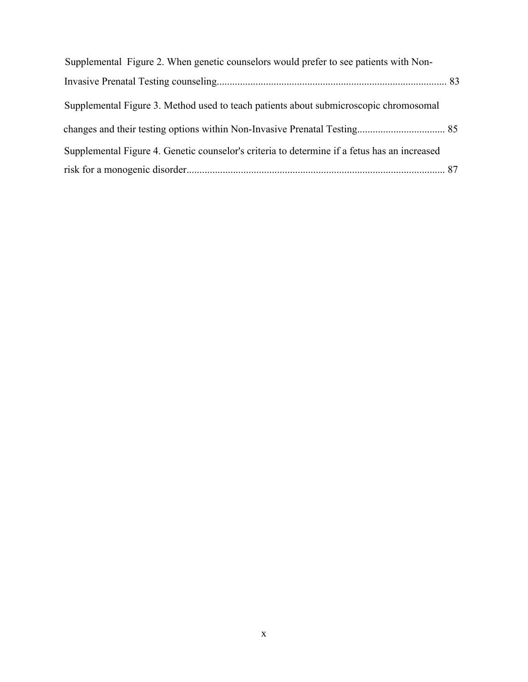| Supplemental Figure 2. When genetic counselors would prefer to see patients with Non-        |  |
|----------------------------------------------------------------------------------------------|--|
|                                                                                              |  |
| Supplemental Figure 3. Method used to teach patients about submicroscopic chromosomal        |  |
|                                                                                              |  |
| Supplemental Figure 4. Genetic counselor's criteria to determine if a fetus has an increased |  |
|                                                                                              |  |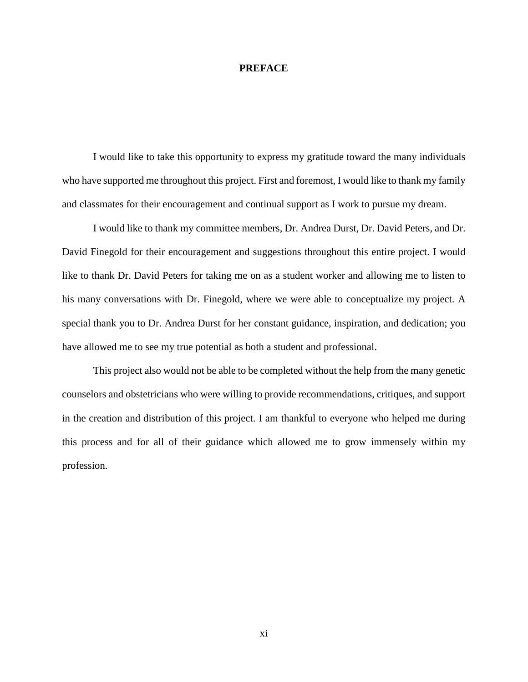#### <span id="page-10-0"></span>**PREFACE**

I would like to take this opportunity to express my gratitude toward the many individuals who have supported me throughout this project. First and foremost, I would like to thank my family and classmates for their encouragement and continual support as I work to pursue my dream.

I would like to thank my committee members, Dr. Andrea Durst, Dr. David Peters, and Dr. David Finegold for their encouragement and suggestions throughout this entire project. I would like to thank Dr. David Peters for taking me on as a student worker and allowing me to listen to his many conversations with Dr. Finegold, where we were able to conceptualize my project. A special thank you to Dr. Andrea Durst for her constant guidance, inspiration, and dedication; you have allowed me to see my true potential as both a student and professional.

This project also would not be able to be completed without the help from the many genetic counselors and obstetricians who were willing to provide recommendations, critiques, and support in the creation and distribution of this project. I am thankful to everyone who helped me during this process and for all of their guidance which allowed me to grow immensely within my profession.

xi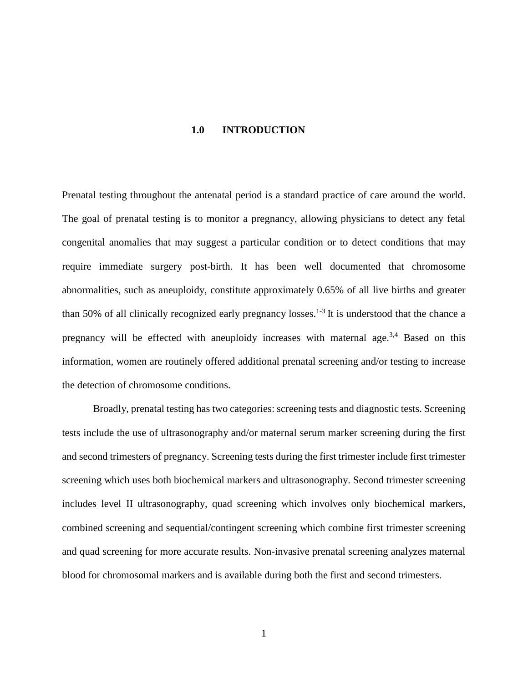#### **1.0 INTRODUCTION**

<span id="page-11-0"></span>Prenatal testing throughout the antenatal period is a standard practice of care around the world. The goal of prenatal testing is to monitor a pregnancy, allowing physicians to detect any fetal congenital anomalies that may suggest a particular condition or to detect conditions that may require immediate surgery post-birth. It has been well documented that chromosome abnormalities, such as aneuploidy, constitute approximately 0.65% of all live births and greater than 50% of all clinically recognized early pregnancy losses.<sup>1-3</sup> It is understood that the chance a pregnancy will be effected with aneuploidy increases with maternal age.<sup>3,4</sup> Based on this information, women are routinely offered additional prenatal screening and/or testing to increase the detection of chromosome conditions.

Broadly, prenatal testing has two categories: screening tests and diagnostic tests. Screening tests include the use of ultrasonography and/or maternal serum marker screening during the first and second trimesters of pregnancy. Screening tests during the first trimester include first trimester screening which uses both biochemical markers and ultrasonography. Second trimester screening includes level II ultrasonography, quad screening which involves only biochemical markers, combined screening and sequential/contingent screening which combine first trimester screening and quad screening for more accurate results. Non-invasive prenatal screening analyzes maternal blood for chromosomal markers and is available during both the first and second trimesters.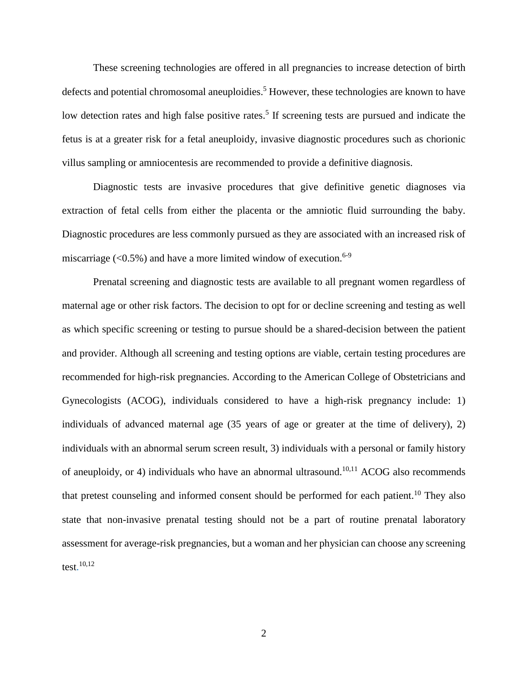These screening technologies are offered in all pregnancies to increase detection of birth defects and potential chromosomal aneuploidies.<sup>5</sup> However, these technologies are known to have low detection rates and high false positive rates.<sup>5</sup> If screening tests are pursued and indicate the fetus is at a greater risk for a fetal aneuploidy, invasive diagnostic procedures such as chorionic villus sampling or amniocentesis are recommended to provide a definitive diagnosis.

Diagnostic tests are invasive procedures that give definitive genetic diagnoses via extraction of fetal cells from either the placenta or the amniotic fluid surrounding the baby. Diagnostic procedures are less commonly pursued as they are associated with an increased risk of miscarriage  $(<0.5\%)$  and have a more limited window of execution.<sup>6-9</sup>

Prenatal screening and diagnostic tests are available to all pregnant women regardless of maternal age or other risk factors. The decision to opt for or decline screening and testing as well as which specific screening or testing to pursue should be a shared-decision between the patient and provider. Although all screening and testing options are viable, certain testing procedures are recommended for high-risk pregnancies. According to the American College of Obstetricians and Gynecologists (ACOG), individuals considered to have a high-risk pregnancy include: 1) individuals of advanced maternal age (35 years of age or greater at the time of delivery), 2) individuals with an abnormal serum screen result, 3) individuals with a personal or family history of aneuploidy, or 4) individuals who have an abnormal ultrasound.<sup>10,11</sup> ACOG also recommends that pretest counseling and informed consent should be performed for each patient.<sup>10</sup> They also state that non-invasive prenatal testing should not be a part of routine prenatal laboratory assessment for average-risk pregnancies, but a woman and her physician can choose any screening test. 10,12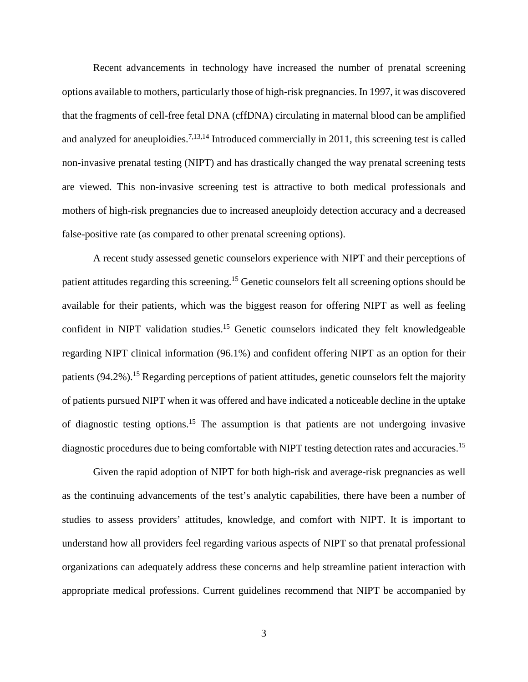Recent advancements in technology have increased the number of prenatal screening options available to mothers, particularly those of high-risk pregnancies. In 1997, it was discovered that the fragments of cell-free fetal DNA (cffDNA) circulating in maternal blood can be amplified and analyzed for aneuploidies.<sup>7,13,14</sup> Introduced commercially in 2011, this screening test is called non-invasive prenatal testing (NIPT) and has drastically changed the way prenatal screening tests are viewed. This non-invasive screening test is attractive to both medical professionals and mothers of high-risk pregnancies due to increased aneuploidy detection accuracy and a decreased false-positive rate (as compared to other prenatal screening options).

A recent study assessed genetic counselors experience with NIPT and their perceptions of patient attitudes regarding this screening.15 Genetic counselors felt all screening options should be available for their patients, which was the biggest reason for offering NIPT as well as feeling confident in NIPT validation studies. <sup>15</sup> Genetic counselors indicated they felt knowledgeable regarding NIPT clinical information (96.1%) and confident offering NIPT as an option for their patients (94.2%).<sup>15</sup> Regarding perceptions of patient attitudes, genetic counselors felt the majority of patients pursued NIPT when it was offered and have indicated a noticeable decline in the uptake of diagnostic testing options.<sup>15</sup> The assumption is that patients are not undergoing invasive diagnostic procedures due to being comfortable with NIPT testing detection rates and accuracies.<sup>15</sup>

Given the rapid adoption of NIPT for both high-risk and average-risk pregnancies as well as the continuing advancements of the test's analytic capabilities, there have been a number of studies to assess providers' attitudes, knowledge, and comfort with NIPT. It is important to understand how all providers feel regarding various aspects of NIPT so that prenatal professional organizations can adequately address these concerns and help streamline patient interaction with appropriate medical professions. Current guidelines recommend that NIPT be accompanied by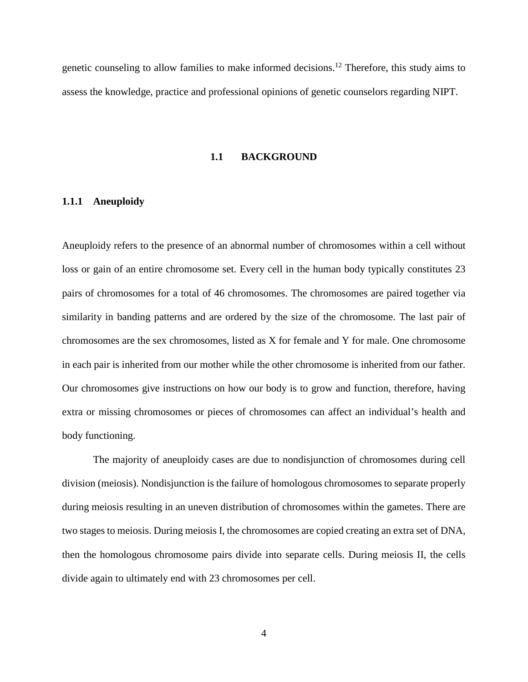<span id="page-14-0"></span>genetic counseling to allow families to make informed decisions.12 Therefore, this study aims to assess the knowledge, practice and professional opinions of genetic counselors regarding NIPT.

#### **1.1 BACKGROUND**

## <span id="page-14-1"></span>**1.1.1 Aneuploidy**

Aneuploidy refers to the presence of an abnormal number of chromosomes within a cell without loss or gain of an entire chromosome set. Every cell in the human body typically constitutes 23 pairs of chromosomes for a total of 46 chromosomes. The chromosomes are paired together via similarity in banding patterns and are ordered by the size of the chromosome. The last pair of chromosomes are the sex chromosomes, listed as X for female and Y for male. One chromosome in each pair is inherited from our mother while the other chromosome is inherited from our father. Our chromosomes give instructions on how our body is to grow and function, therefore, having extra or missing chromosomes or pieces of chromosomes can affect an individual's health and body functioning.

The majority of aneuploidy cases are due to nondisjunction of chromosomes during cell division (meiosis). Nondisjunction is the failure of homologous chromosomes to separate properly during meiosis resulting in an uneven distribution of chromosomes within the gametes. There are two stages to meiosis. During meiosis I, the chromosomes are copied creating an extra set of DNA, then the homologous chromosome pairs divide into separate cells. During meiosis II, the cells divide again to ultimately end with 23 chromosomes per cell.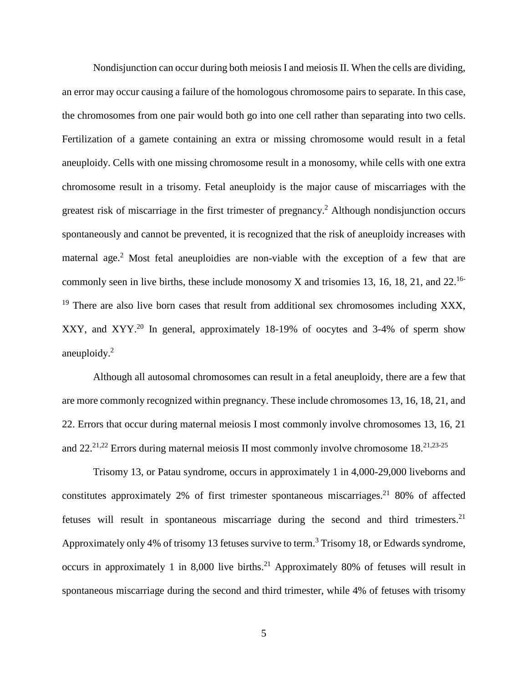Nondisjunction can occur during both meiosis I and meiosis II. When the cells are dividing, an error may occur causing a failure of the homologous chromosome pairs to separate. In this case, the chromosomes from one pair would both go into one cell rather than separating into two cells. Fertilization of a gamete containing an extra or missing chromosome would result in a fetal aneuploidy. Cells with one missing chromosome result in a monosomy, while cells with one extra chromosome result in a trisomy. Fetal aneuploidy is the major cause of miscarriages with the greatest risk of miscarriage in the first trimester of pregnancy.2 Although nondisjunction occurs spontaneously and cannot be prevented, it is recognized that the risk of aneuploidy increases with maternal age.<sup>2</sup> Most fetal aneuploidies are non-viable with the exception of a few that are commonly seen in live births, these include monosomy X and trisomies 13, 16, 18, 21, and 22.<sup>16-</sup> <sup>19</sup> There are also live born cases that result from additional sex chromosomes including XXX, XXY, and XYY.20 In general, approximately 18-19% of oocytes and 3-4% of sperm show aneuploidy.2

Although all autosomal chromosomes can result in a fetal aneuploidy, there are a few that are more commonly recognized within pregnancy. These include chromosomes 13, 16, 18, 21, and 22. Errors that occur during maternal meiosis I most commonly involve chromosomes 13, 16, 21 and  $22.^{21,22}$  Errors during maternal meiosis II most commonly involve chromosome 18.<sup>21,23-25</sup>

Trisomy 13, or Patau syndrome, occurs in approximately 1 in 4,000-29,000 liveborns and constitutes approximately 2% of first trimester spontaneous miscarriages.<sup>21</sup> 80% of affected fetuses will result in spontaneous miscarriage during the second and third trimesters.<sup>21</sup> Approximately only 4% of trisomy 13 fetuses survive to term.<sup>3</sup> Trisomy 18, or Edwards syndrome, occurs in approximately 1 in 8,000 live births.<sup>21</sup> Approximately 80% of fetuses will result in spontaneous miscarriage during the second and third trimester, while 4% of fetuses with trisomy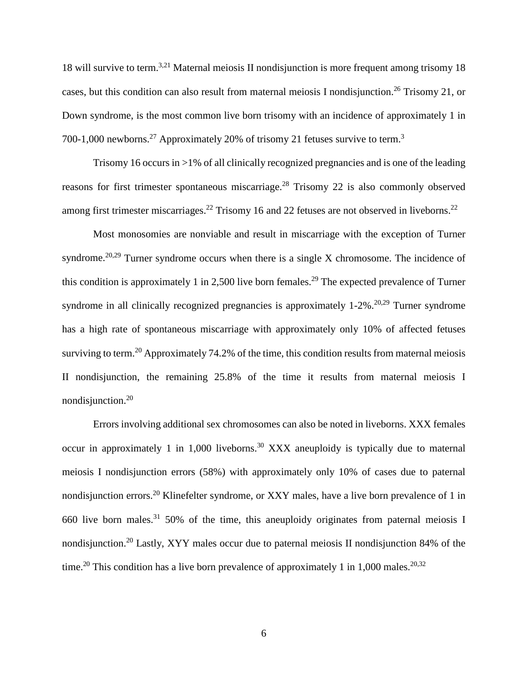18 will survive to term.3,21 Maternal meiosis II nondisjunction is more frequent among trisomy 18 cases, but this condition can also result from maternal meiosis I nondisjunction.<sup>26</sup> Trisomy 21, or Down syndrome, is the most common live born trisomy with an incidence of approximately 1 in 700-1,000 newborns.<sup>27</sup> Approximately 20% of trisomy 21 fetuses survive to term.<sup>3</sup>

Trisomy 16 occurs in >1% of all clinically recognized pregnancies and is one of the leading reasons for first trimester spontaneous miscarriage.<sup>28</sup> Trisomy 22 is also commonly observed among first trimester miscarriages.<sup>22</sup> Trisomy 16 and 22 fetuses are not observed in liveborns.<sup>22</sup>

Most monosomies are nonviable and result in miscarriage with the exception of Turner syndrome.<sup>20,29</sup> Turner syndrome occurs when there is a single X chromosome. The incidence of this condition is approximately 1 in 2,500 live born females.<sup>29</sup> The expected prevalence of Turner syndrome in all clinically recognized pregnancies is approximately  $1-2\%$ .<sup>20,29</sup> Turner syndrome has a high rate of spontaneous miscarriage with approximately only 10% of affected fetuses surviving to term.<sup>20</sup> Approximately 74.2% of the time, this condition results from maternal meiosis II nondisjunction, the remaining 25.8% of the time it results from maternal meiosis I nondisjunction.20

Errors involving additional sex chromosomes can also be noted in liveborns. XXX females occur in approximately 1 in 1,000 liveborns.30 XXX aneuploidy is typically due to maternal meiosis I nondisjunction errors (58%) with approximately only 10% of cases due to paternal nondisjunction errors.<sup>20</sup> Klinefelter syndrome, or XXY males, have a live born prevalence of 1 in 660 live born males.<sup>31</sup> 50% of the time, this aneuploidy originates from paternal meiosis I nondisjunction.20 Lastly, XYY males occur due to paternal meiosis II nondisjunction 84% of the time.<sup>20</sup> This condition has a live born prevalence of approximately 1 in 1,000 males.<sup>20,32</sup>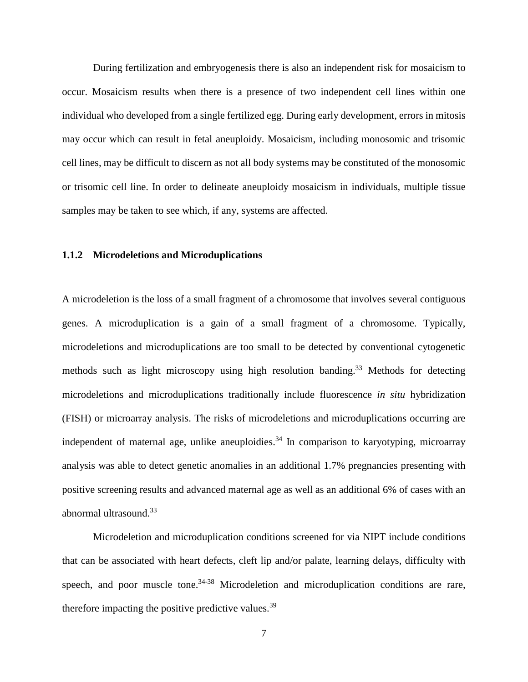During fertilization and embryogenesis there is also an independent risk for mosaicism to occur. Mosaicism results when there is a presence of two independent cell lines within one individual who developed from a single fertilized egg. During early development, errors in mitosis may occur which can result in fetal aneuploidy. Mosaicism, including monosomic and trisomic cell lines, may be difficult to discern as not all body systems may be constituted of the monosomic or trisomic cell line. In order to delineate aneuploidy mosaicism in individuals, multiple tissue samples may be taken to see which, if any, systems are affected.

## <span id="page-17-0"></span>**1.1.2 Microdeletions and Microduplications**

A microdeletion is the loss of a small fragment of a chromosome that involves several contiguous genes. A microduplication is a gain of a small fragment of a chromosome. Typically, microdeletions and microduplications are too small to be detected by conventional cytogenetic methods such as light microscopy using high resolution banding.<sup>33</sup> Methods for detecting microdeletions and microduplications traditionally include fluorescence *in situ* hybridization (FISH) or microarray analysis. The risks of microdeletions and microduplications occurring are independent of maternal age, unlike aneuploidies.<sup>34</sup> In comparison to karyotyping, microarray analysis was able to detect genetic anomalies in an additional 1.7% pregnancies presenting with positive screening results and advanced maternal age as well as an additional 6% of cases with an abnormal ultrasound.33

Microdeletion and microduplication conditions screened for via NIPT include conditions that can be associated with heart defects, cleft lip and/or palate, learning delays, difficulty with speech, and poor muscle tone.<sup>34-38</sup> Microdeletion and microduplication conditions are rare, therefore impacting the positive predictive values.<sup>39</sup>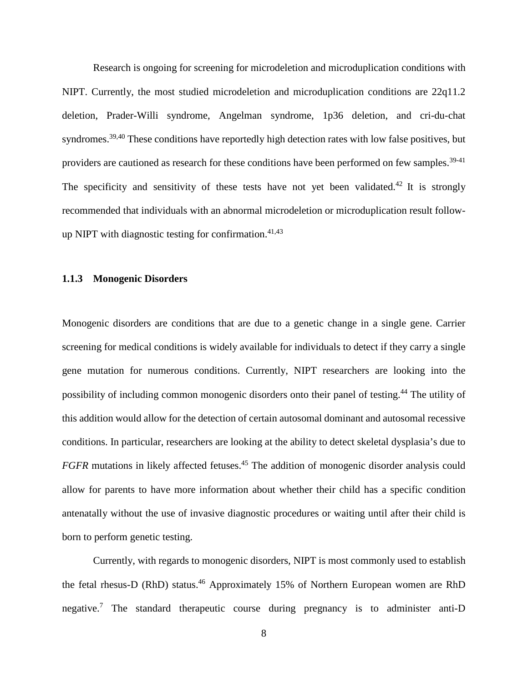Research is ongoing for screening for microdeletion and microduplication conditions with NIPT. Currently, the most studied microdeletion and microduplication conditions are 22q11.2 deletion, Prader-Willi syndrome, Angelman syndrome, 1p36 deletion, and cri-du-chat syndromes.39,40 These conditions have reportedly high detection rates with low false positives, but providers are cautioned as research for these conditions have been performed on few samples.<sup>39-41</sup> The specificity and sensitivity of these tests have not yet been validated.<sup>42</sup> It is strongly recommended that individuals with an abnormal microdeletion or microduplication result followup NIPT with diagnostic testing for confirmation.  $41,43$ 

### <span id="page-18-0"></span>**1.1.3 Monogenic Disorders**

Monogenic disorders are conditions that are due to a genetic change in a single gene. Carrier screening for medical conditions is widely available for individuals to detect if they carry a single gene mutation for numerous conditions. Currently, NIPT researchers are looking into the possibility of including common monogenic disorders onto their panel of testing. <sup>44</sup> The utility of this addition would allow for the detection of certain autosomal dominant and autosomal recessive conditions. In particular, researchers are looking at the ability to detect skeletal dysplasia's due to *FGFR* mutations in likely affected fetuses. <sup>45</sup> The addition of monogenic disorder analysis could allow for parents to have more information about whether their child has a specific condition antenatally without the use of invasive diagnostic procedures or waiting until after their child is born to perform genetic testing.

Currently, with regards to monogenic disorders, NIPT is most commonly used to establish the fetal rhesus-D (RhD) status.<sup>46</sup> Approximately 15% of Northern European women are RhD negative.<sup>7</sup> The standard therapeutic course during pregnancy is to administer anti-D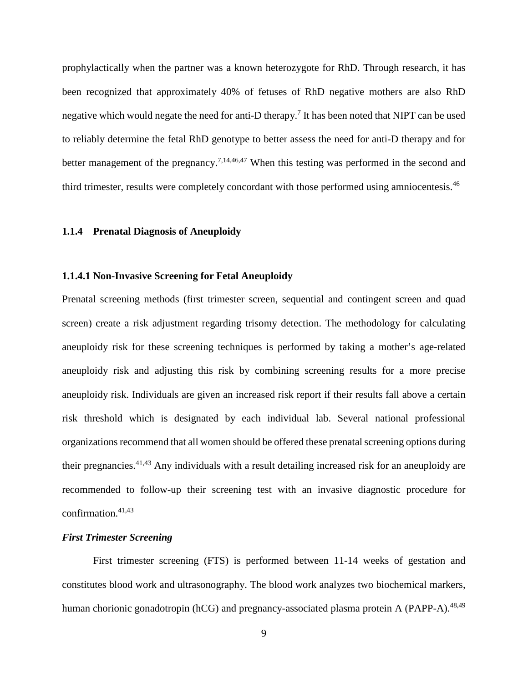prophylactically when the partner was a known heterozygote for RhD. Through research, it has been recognized that approximately 40% of fetuses of RhD negative mothers are also RhD negative which would negate the need for anti-D therapy.<sup>7</sup> It has been noted that NIPT can be used to reliably determine the fetal RhD genotype to better assess the need for anti-D therapy and for better management of the pregnancy.<sup>7,14,46,47</sup> When this testing was performed in the second and third trimester, results were completely concordant with those performed using amniocentesis.<sup>46</sup>

## <span id="page-19-0"></span>**1.1.4 Prenatal Diagnosis of Aneuploidy**

#### <span id="page-19-1"></span>**1.1.4.1 Non-Invasive Screening for Fetal Aneuploidy**

Prenatal screening methods (first trimester screen, sequential and contingent screen and quad screen) create a risk adjustment regarding trisomy detection. The methodology for calculating aneuploidy risk for these screening techniques is performed by taking a mother's age-related aneuploidy risk and adjusting this risk by combining screening results for a more precise aneuploidy risk. Individuals are given an increased risk report if their results fall above a certain risk threshold which is designated by each individual lab. Several national professional organizations recommend that all women should be offered these prenatal screening options during their pregnancies.41,43 Any individuals with a result detailing increased risk for an aneuploidy are recommended to follow-up their screening test with an invasive diagnostic procedure for confirmation. $41,43$ 

## *First Trimester Screening*

First trimester screening (FTS) is performed between 11-14 weeks of gestation and constitutes blood work and ultrasonography. The blood work analyzes two biochemical markers, human chorionic gonadotropin (hCG) and pregnancy-associated plasma protein A (PAPP-A).<sup>48,49</sup>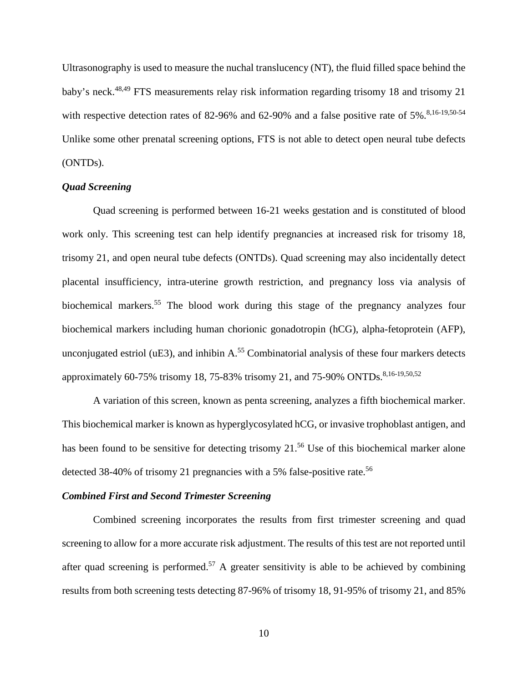Ultrasonography is used to measure the nuchal translucency (NT), the fluid filled space behind the baby's neck.<sup>48,49</sup> FTS measurements relay risk information regarding trisomy 18 and trisomy 21 with respective detection rates of 82-96% and 62-90% and a false positive rate of  $5\%$ .<sup>8,16-19,50-54</sup> Unlike some other prenatal screening options, FTS is not able to detect open neural tube defects (ONTDs).

## *Quad Screening*

Quad screening is performed between 16-21 weeks gestation and is constituted of blood work only. This screening test can help identify pregnancies at increased risk for trisomy 18, trisomy 21, and open neural tube defects (ONTDs). Quad screening may also incidentally detect placental insufficiency, intra-uterine growth restriction, and pregnancy loss via analysis of biochemical markers.<sup>55</sup> The blood work during this stage of the pregnancy analyzes four biochemical markers including human chorionic gonadotropin (hCG), alpha-fetoprotein (AFP), unconjugated estriol ( $uE3$ ), and inhibin  $A<sup>55</sup>$  Combinatorial analysis of these four markers detects approximately 60-75% trisomy 18, 75-83% trisomy 21, and 75-90% ONTDs.<sup>8,16-19,50,52</sup>

A variation of this screen, known as penta screening, analyzes a fifth biochemical marker. This biochemical marker is known as hyperglycosylated hCG, or invasive trophoblast antigen, and has been found to be sensitive for detecting trisomy 21.<sup>56</sup> Use of this biochemical marker alone detected 38-40% of trisomy 21 pregnancies with a 5% false-positive rate.<sup>56</sup>

#### *Combined First and Second Trimester Screening*

Combined screening incorporates the results from first trimester screening and quad screening to allow for a more accurate risk adjustment. The results of this test are not reported until after quad screening is performed.<sup>57</sup> A greater sensitivity is able to be achieved by combining results from both screening tests detecting 87-96% of trisomy 18, 91-95% of trisomy 21, and 85%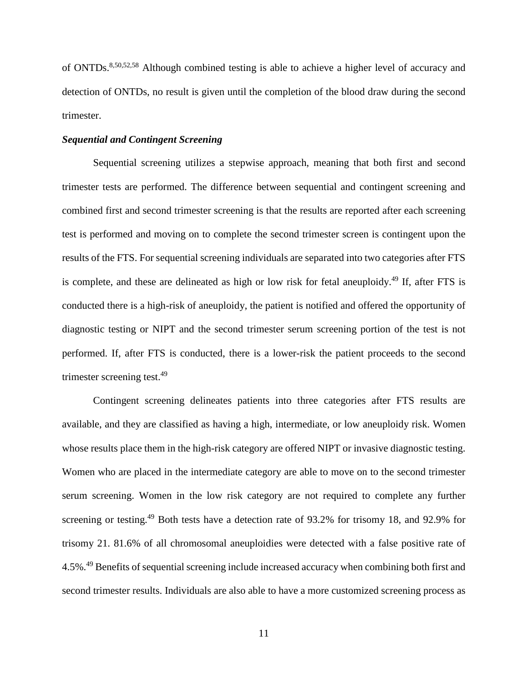of ONTDs.8,50,52,58 Although combined testing is able to achieve a higher level of accuracy and detection of ONTDs, no result is given until the completion of the blood draw during the second trimester.

## *Sequential and Contingent Screening*

Sequential screening utilizes a stepwise approach, meaning that both first and second trimester tests are performed. The difference between sequential and contingent screening and combined first and second trimester screening is that the results are reported after each screening test is performed and moving on to complete the second trimester screen is contingent upon the results of the FTS. For sequential screening individuals are separated into two categories after FTS is complete, and these are delineated as high or low risk for fetal aneuploidy.<sup>49</sup> If, after FTS is conducted there is a high-risk of aneuploidy, the patient is notified and offered the opportunity of diagnostic testing or NIPT and the second trimester serum screening portion of the test is not performed. If, after FTS is conducted, there is a lower-risk the patient proceeds to the second trimester screening test.<sup>49</sup>

Contingent screening delineates patients into three categories after FTS results are available, and they are classified as having a high, intermediate, or low aneuploidy risk. Women whose results place them in the high-risk category are offered NIPT or invasive diagnostic testing. Women who are placed in the intermediate category are able to move on to the second trimester serum screening. Women in the low risk category are not required to complete any further screening or testing.<sup>49</sup> Both tests have a detection rate of 93.2% for trisomy 18, and 92.9% for trisomy 21. 81.6% of all chromosomal aneuploidies were detected with a false positive rate of 4.5%.49 Benefits of sequential screening include increased accuracy when combining both first and second trimester results. Individuals are also able to have a more customized screening process as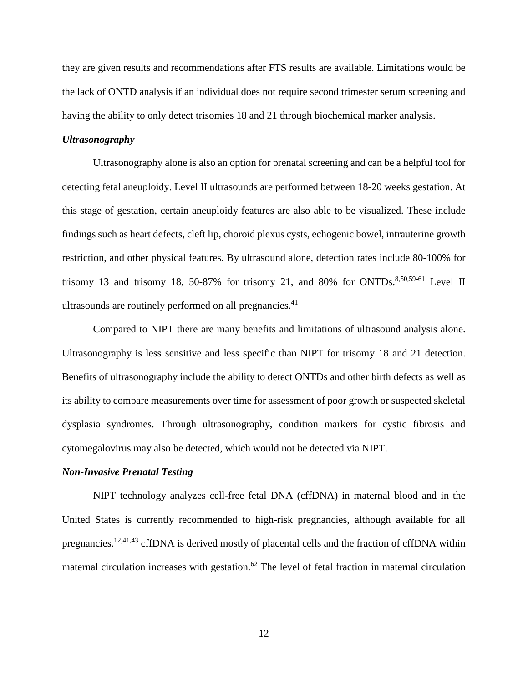they are given results and recommendations after FTS results are available. Limitations would be the lack of ONTD analysis if an individual does not require second trimester serum screening and having the ability to only detect trisomies 18 and 21 through biochemical marker analysis.

## *Ultrasonography*

Ultrasonography alone is also an option for prenatal screening and can be a helpful tool for detecting fetal aneuploidy. Level II ultrasounds are performed between 18-20 weeks gestation. At this stage of gestation, certain aneuploidy features are also able to be visualized. These include findings such as heart defects, cleft lip, choroid plexus cysts, echogenic bowel, intrauterine growth restriction, and other physical features. By ultrasound alone, detection rates include 80-100% for trisomy 13 and trisomy 18, 50-87% for trisomy 21, and 80% for ONTDs.<sup>8,50,59-61</sup> Level II ultrasounds are routinely performed on all pregnancies.<sup>41</sup>

Compared to NIPT there are many benefits and limitations of ultrasound analysis alone. Ultrasonography is less sensitive and less specific than NIPT for trisomy 18 and 21 detection. Benefits of ultrasonography include the ability to detect ONTDs and other birth defects as well as its ability to compare measurements over time for assessment of poor growth or suspected skeletal dysplasia syndromes. Through ultrasonography, condition markers for cystic fibrosis and cytomegalovirus may also be detected, which would not be detected via NIPT.

## *Non-Invasive Prenatal Testing*

NIPT technology analyzes cell-free fetal DNA (cffDNA) in maternal blood and in the United States is currently recommended to high-risk pregnancies, although available for all pregnancies.<sup>12,41,43</sup> cffDNA is derived mostly of placental cells and the fraction of cffDNA within maternal circulation increases with gestation.<sup>62</sup> The level of fetal fraction in maternal circulation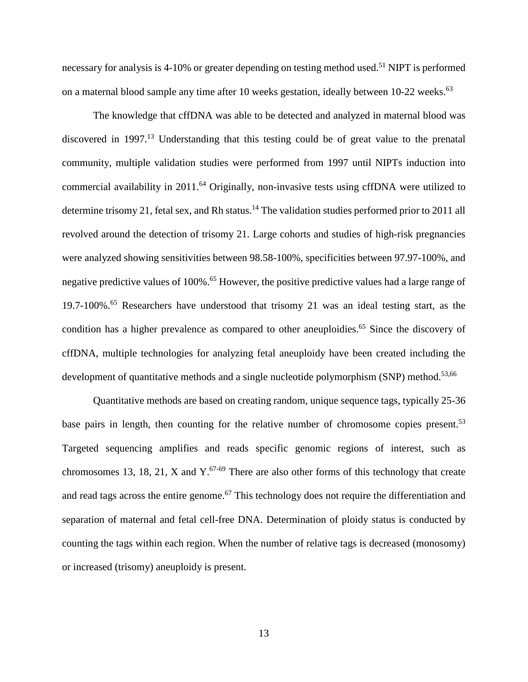necessary for analysis is 4-10% or greater depending on testing method used.<sup>51</sup> NIPT is performed on a maternal blood sample any time after 10 weeks gestation, ideally between 10-22 weeks.<sup>63</sup>

The knowledge that cffDNA was able to be detected and analyzed in maternal blood was discovered in 1997.<sup>13</sup> Understanding that this testing could be of great value to the prenatal community, multiple validation studies were performed from 1997 until NIPTs induction into commercial availability in 2011.<sup>64</sup> Originally, non-invasive tests using cffDNA were utilized to determine trisomy 21, fetal sex, and Rh status.<sup>14</sup> The validation studies performed prior to 2011 all revolved around the detection of trisomy 21. Large cohorts and studies of high-risk pregnancies were analyzed showing sensitivities between 98.58-100%, specificities between 97.97-100%, and negative predictive values of 100%.<sup>65</sup> However, the positive predictive values had a large range of 19.7-100%.<sup>65</sup> Researchers have understood that trisomy 21 was an ideal testing start, as the condition has a higher prevalence as compared to other aneuploidies.<sup>65</sup> Since the discovery of cffDNA, multiple technologies for analyzing fetal aneuploidy have been created including the development of quantitative methods and a single nucleotide polymorphism (SNP) method.<sup>53,66</sup>

Quantitative methods are based on creating random, unique sequence tags, typically 25-36 base pairs in length, then counting for the relative number of chromosome copies present.<sup>53</sup> Targeted sequencing amplifies and reads specific genomic regions of interest, such as chromosomes 13, 18, 21, X and  $Y^{67-69}$  There are also other forms of this technology that create and read tags across the entire genome.<sup>67</sup> This technology does not require the differentiation and separation of maternal and fetal cell-free DNA. Determination of ploidy status is conducted by counting the tags within each region. When the number of relative tags is decreased (monosomy) or increased (trisomy) aneuploidy is present.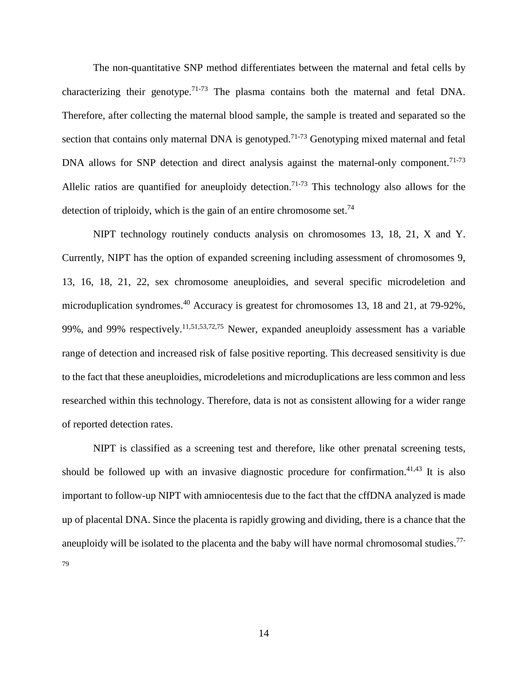The non-quantitative SNP method differentiates between the maternal and fetal cells by characterizing their genotype.<sup>71-73</sup> The plasma contains both the maternal and fetal DNA. Therefore, after collecting the maternal blood sample, the sample is treated and separated so the section that contains only maternal DNA is genotyped.<sup>71-73</sup> Genotyping mixed maternal and fetal DNA allows for SNP detection and direct analysis against the maternal-only component.<sup>71-73</sup> Allelic ratios are quantified for aneuploidy detection.<sup>71-73</sup> This technology also allows for the detection of triploidy, which is the gain of an entire chromosome set.<sup>74</sup>

NIPT technology routinely conducts analysis on chromosomes 13, 18, 21, X and Y. Currently, NIPT has the option of expanded screening including assessment of chromosomes 9, 13, 16, 18, 21, 22, sex chromosome aneuploidies, and several specific microdeletion and microduplication syndromes.<sup>40</sup> Accuracy is greatest for chromosomes 13, 18 and 21, at 79-92%, 99%, and 99% respectively.<sup>11,51,53,72,75</sup> Newer, expanded aneuploidy assessment has a variable range of detection and increased risk of false positive reporting. This decreased sensitivity is due to the fact that these aneuploidies, microdeletions and microduplications are less common and less researched within this technology. Therefore, data is not as consistent allowing for a wider range of reported detection rates.

NIPT is classified as a screening test and therefore, like other prenatal screening tests, should be followed up with an invasive diagnostic procedure for confirmation.<sup>41,43</sup> It is also important to follow-up NIPT with amniocentesis due to the fact that the cffDNA analyzed is made up of placental DNA. Since the placenta is rapidly growing and dividing, there is a chance that the aneuploidy will be isolated to the placenta and the baby will have normal chromosomal studies.<sup>77-</sup> 79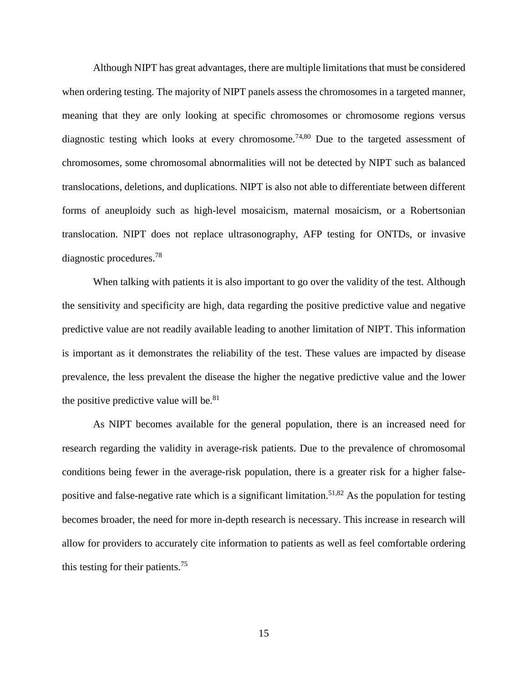Although NIPT has great advantages, there are multiple limitations that must be considered when ordering testing. The majority of NIPT panels assess the chromosomes in a targeted manner, meaning that they are only looking at specific chromosomes or chromosome regions versus diagnostic testing which looks at every chromosome.<sup>74,80</sup> Due to the targeted assessment of chromosomes, some chromosomal abnormalities will not be detected by NIPT such as balanced translocations, deletions, and duplications. NIPT is also not able to differentiate between different forms of aneuploidy such as high-level mosaicism, maternal mosaicism, or a Robertsonian translocation. NIPT does not replace ultrasonography, AFP testing for ONTDs, or invasive diagnostic procedures.78

When talking with patients it is also important to go over the validity of the test. Although the sensitivity and specificity are high, data regarding the positive predictive value and negative predictive value are not readily available leading to another limitation of NIPT. This information is important as it demonstrates the reliability of the test. These values are impacted by disease prevalence, the less prevalent the disease the higher the negative predictive value and the lower the positive predictive value will be. $81$ 

As NIPT becomes available for the general population, there is an increased need for research regarding the validity in average-risk patients. Due to the prevalence of chromosomal conditions being fewer in the average-risk population, there is a greater risk for a higher falsepositive and false-negative rate which is a significant limitation.<sup>51,82</sup> As the population for testing becomes broader, the need for more in-depth research is necessary. This increase in research will allow for providers to accurately cite information to patients as well as feel comfortable ordering this testing for their patients.<sup>75</sup>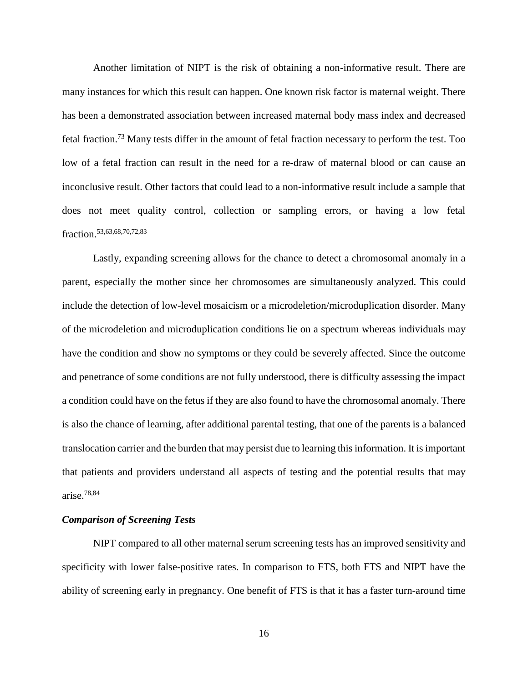Another limitation of NIPT is the risk of obtaining a non-informative result. There are many instances for which this result can happen. One known risk factor is maternal weight. There has been a demonstrated association between increased maternal body mass index and decreased fetal fraction. <sup>73</sup> Many tests differ in the amount of fetal fraction necessary to perform the test. Too low of a fetal fraction can result in the need for a re-draw of maternal blood or can cause an inconclusive result. Other factors that could lead to a non-informative result include a sample that does not meet quality control, collection or sampling errors, or having a low fetal fraction.53,63,68,70,72,83

Lastly, expanding screening allows for the chance to detect a chromosomal anomaly in a parent, especially the mother since her chromosomes are simultaneously analyzed. This could include the detection of low-level mosaicism or a microdeletion/microduplication disorder. Many of the microdeletion and microduplication conditions lie on a spectrum whereas individuals may have the condition and show no symptoms or they could be severely affected. Since the outcome and penetrance of some conditions are not fully understood, there is difficulty assessing the impact a condition could have on the fetus if they are also found to have the chromosomal anomaly. There is also the chance of learning, after additional parental testing, that one of the parents is a balanced translocation carrier and the burden that may persist due to learning this information. It is important that patients and providers understand all aspects of testing and the potential results that may arise. 78,84

## *Comparison of Screening Tests*

NIPT compared to all other maternal serum screening tests has an improved sensitivity and specificity with lower false-positive rates. In comparison to FTS, both FTS and NIPT have the ability of screening early in pregnancy. One benefit of FTS is that it has a faster turn-around time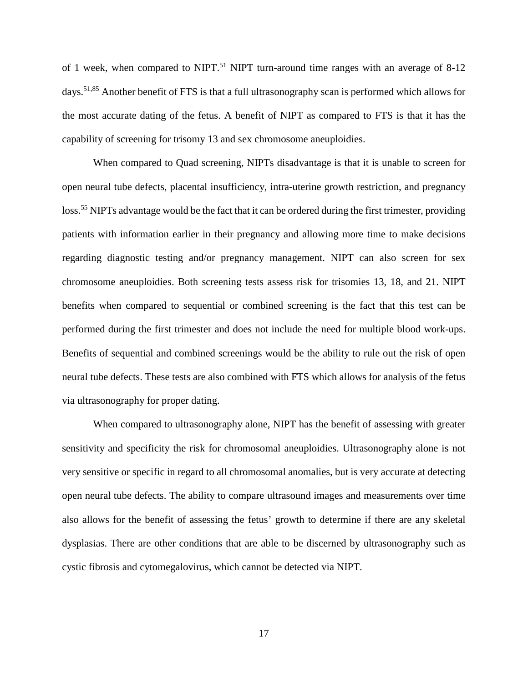of 1 week, when compared to NIPT.<sup>51</sup> NIPT turn-around time ranges with an average of 8-12 days.51,85 Another benefit of FTS is that a full ultrasonography scan is performed which allows for the most accurate dating of the fetus. A benefit of NIPT as compared to FTS is that it has the capability of screening for trisomy 13 and sex chromosome aneuploidies.

When compared to Quad screening, NIPTs disadvantage is that it is unable to screen for open neural tube defects, placental insufficiency, intra-uterine growth restriction, and pregnancy loss.<sup>55</sup> NIPTs advantage would be the fact that it can be ordered during the first trimester, providing patients with information earlier in their pregnancy and allowing more time to make decisions regarding diagnostic testing and/or pregnancy management. NIPT can also screen for sex chromosome aneuploidies. Both screening tests assess risk for trisomies 13, 18, and 21. NIPT benefits when compared to sequential or combined screening is the fact that this test can be performed during the first trimester and does not include the need for multiple blood work-ups. Benefits of sequential and combined screenings would be the ability to rule out the risk of open neural tube defects. These tests are also combined with FTS which allows for analysis of the fetus via ultrasonography for proper dating.

When compared to ultrasonography alone, NIPT has the benefit of assessing with greater sensitivity and specificity the risk for chromosomal aneuploidies. Ultrasonography alone is not very sensitive or specific in regard to all chromosomal anomalies, but is very accurate at detecting open neural tube defects. The ability to compare ultrasound images and measurements over time also allows for the benefit of assessing the fetus' growth to determine if there are any skeletal dysplasias. There are other conditions that are able to be discerned by ultrasonography such as cystic fibrosis and cytomegalovirus, which cannot be detected via NIPT.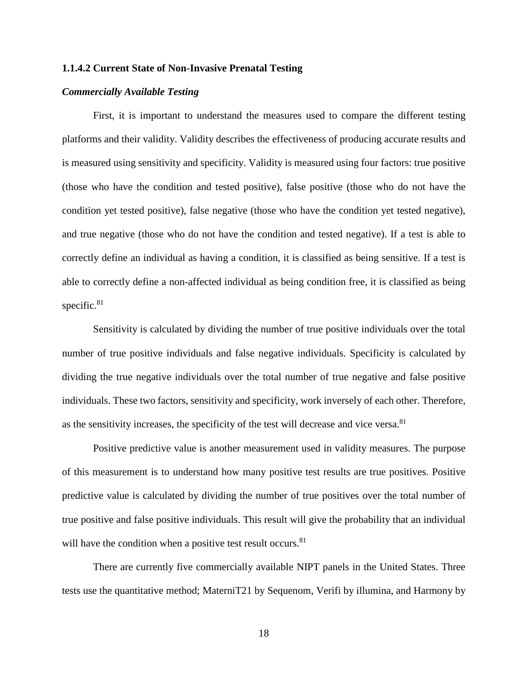## <span id="page-28-0"></span>**1.1.4.2 Current State of Non-Invasive Prenatal Testing**

### *Commercially Available Testing*

First, it is important to understand the measures used to compare the different testing platforms and their validity. Validity describes the effectiveness of producing accurate results and is measured using sensitivity and specificity. Validity is measured using four factors: true positive (those who have the condition and tested positive), false positive (those who do not have the condition yet tested positive), false negative (those who have the condition yet tested negative), and true negative (those who do not have the condition and tested negative). If a test is able to correctly define an individual as having a condition, it is classified as being sensitive. If a test is able to correctly define a non-affected individual as being condition free, it is classified as being specific.<sup>81</sup>

Sensitivity is calculated by dividing the number of true positive individuals over the total number of true positive individuals and false negative individuals. Specificity is calculated by dividing the true negative individuals over the total number of true negative and false positive individuals. These two factors, sensitivity and specificity, work inversely of each other. Therefore, as the sensitivity increases, the specificity of the test will decrease and vice versa. $81$ 

Positive predictive value is another measurement used in validity measures. The purpose of this measurement is to understand how many positive test results are true positives. Positive predictive value is calculated by dividing the number of true positives over the total number of true positive and false positive individuals. This result will give the probability that an individual will have the condition when a positive test result occurs.<sup>81</sup>

There are currently five commercially available NIPT panels in the United States. Three tests use the quantitative method; MaterniT21 by Sequenom, Verifi by illumina, and Harmony by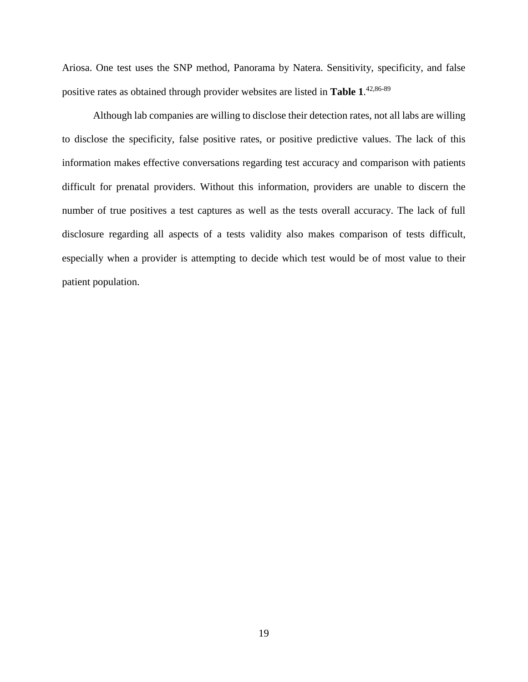Ariosa. One test uses the SNP method, Panorama by Natera. Sensitivity, specificity, and false positive rates as obtained through provider websites are listed in **Table 1**. 42,86-89

Although lab companies are willing to disclose their detection rates, not all labs are willing to disclose the specificity, false positive rates, or positive predictive values. The lack of this information makes effective conversations regarding test accuracy and comparison with patients difficult for prenatal providers. Without this information, providers are unable to discern the number of true positives a test captures as well as the tests overall accuracy. The lack of full disclosure regarding all aspects of a tests validity also makes comparison of tests difficult, especially when a provider is attempting to decide which test would be of most value to their patient population.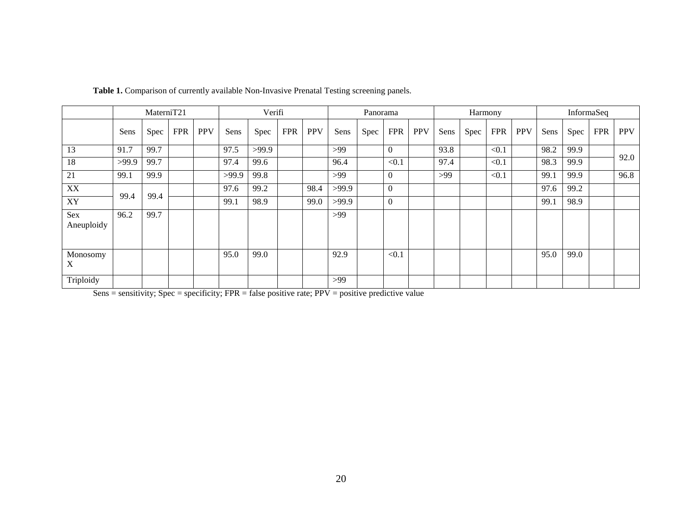|                   |       | MaterniT <sub>21</sub> |            |            | Verifi |       |            |            | Panorama |      |            |            | Harmony |      |            |            | InformaSeq |      |            |            |
|-------------------|-------|------------------------|------------|------------|--------|-------|------------|------------|----------|------|------------|------------|---------|------|------------|------------|------------|------|------------|------------|
|                   | Sens  | Spec                   | <b>FPR</b> | <b>PPV</b> | Sens   | Spec  | <b>FPR</b> | <b>PPV</b> | Sens     | Spec | <b>FPR</b> | <b>PPV</b> | Sens    | Spec | <b>FPR</b> | <b>PPV</b> | Sens       | Spec | <b>FPR</b> | <b>PPV</b> |
| 13                | 91.7  | 99.7                   |            |            | 97.5   | >99.9 |            |            | >99      |      | $\Omega$   |            | 93.8    |      | < 0.1      |            | 98.2       | 99.9 |            |            |
| 18                | >99.9 | 99.7                   |            |            | 97.4   | 99.6  |            |            | 96.4     |      | < 0.1      |            | 97.4    |      | < 0.1      |            | 98.3       | 99.9 |            | 92.0       |
| 21                | 99.1  | 99.9                   |            |            | >99.9  | 99.8  |            |            | >99      |      | $\Omega$   |            | >99     |      | < 0.1      |            | 99.1       | 99.9 |            | 96.8       |
| XX                |       |                        |            |            | 97.6   | 99.2  |            | 98.4       | >99.9    |      | $\Omega$   |            |         |      |            |            | 97.6       | 99.2 |            |            |
| XY                | 99.4  | 99.4                   |            |            | 99.1   | 98.9  |            | 99.0       | >99.9    |      | $\Omega$   |            |         |      |            |            | 99.1       | 98.9 |            |            |
| Sex<br>Aneuploidy | 96.2  | 99.7                   |            |            |        |       |            |            | $>99$    |      |            |            |         |      |            |            |            |      |            |            |
| Monosomy<br>X     |       |                        |            |            | 95.0   | 99.0  |            |            | 92.9     |      | < 0.1      |            |         |      |            |            | 95.0       | 99.0 |            |            |
| Triploidy         |       |                        |            |            |        |       |            |            | $>99$    |      |            |            |         |      |            |            |            |      |            |            |

Table 1. Comparison of currently available Non-Invasive Prenatal Testing screening panels.

<span id="page-30-0"></span> $Sens = sensitivity$ ;  $Spec = specificity$ ;  $FPR = false positive rate$ ;  $PPV = positive periodicive value$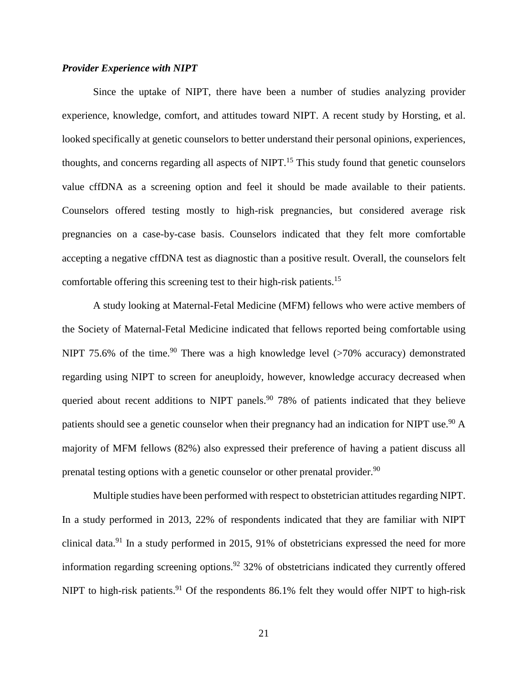## *Provider Experience with NIPT*

Since the uptake of NIPT, there have been a number of studies analyzing provider experience, knowledge, comfort, and attitudes toward NIPT. A recent study by Horsting, et al. looked specifically at genetic counselors to better understand their personal opinions, experiences, thoughts, and concerns regarding all aspects of NIPT.15 This study found that genetic counselors value cffDNA as a screening option and feel it should be made available to their patients. Counselors offered testing mostly to high-risk pregnancies, but considered average risk pregnancies on a case-by-case basis. Counselors indicated that they felt more comfortable accepting a negative cffDNA test as diagnostic than a positive result. Overall, the counselors felt comfortable offering this screening test to their high-risk patients.15

A study looking at Maternal-Fetal Medicine (MFM) fellows who were active members of the Society of Maternal-Fetal Medicine indicated that fellows reported being comfortable using NIPT 75.6% of the time.<sup>90</sup> There was a high knowledge level ( $>70\%$  accuracy) demonstrated regarding using NIPT to screen for aneuploidy, however, knowledge accuracy decreased when queried about recent additions to NIPT panels.<sup>90</sup> 78% of patients indicated that they believe patients should see a genetic counselor when their pregnancy had an indication for NIPT use.<sup>90</sup> A majority of MFM fellows (82%) also expressed their preference of having a patient discuss all prenatal testing options with a genetic counselor or other prenatal provider.<sup>90</sup>

Multiple studies have been performed with respect to obstetrician attitudes regarding NIPT. In a study performed in 2013, 22% of respondents indicated that they are familiar with NIPT clinical data.<sup>91</sup> In a study performed in 2015, 91% of obstetricians expressed the need for more information regarding screening options.<sup>92</sup> 32% of obstetricians indicated they currently offered NIPT to high-risk patients.<sup>91</sup> Of the respondents 86.1% felt they would offer NIPT to high-risk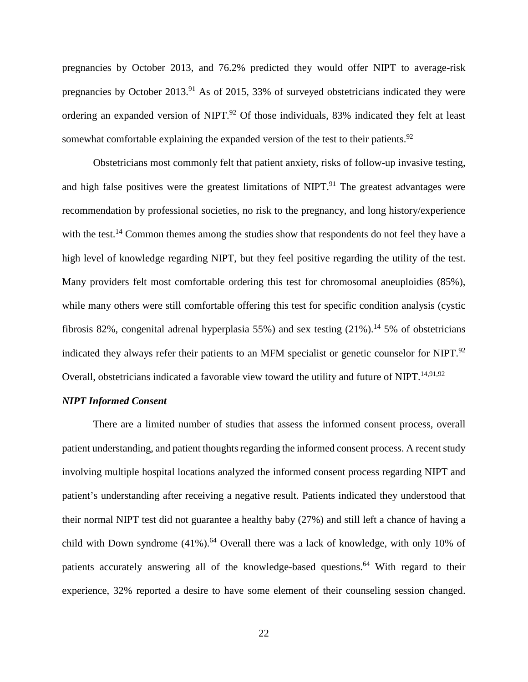pregnancies by October 2013, and 76.2% predicted they would offer NIPT to average-risk pregnancies by October 2013.<sup>91</sup> As of 2015, 33% of surveyed obstetricians indicated they were ordering an expanded version of NIPT.<sup>92</sup> Of those individuals, 83% indicated they felt at least somewhat comfortable explaining the expanded version of the test to their patients.<sup>92</sup>

Obstetricians most commonly felt that patient anxiety, risks of follow-up invasive testing, and high false positives were the greatest limitations of NIPT.<sup>91</sup> The greatest advantages were recommendation by professional societies, no risk to the pregnancy, and long history/experience with the test.<sup>14</sup> Common themes among the studies show that respondents do not feel they have a high level of knowledge regarding NIPT, but they feel positive regarding the utility of the test. Many providers felt most comfortable ordering this test for chromosomal aneuploidies (85%), while many others were still comfortable offering this test for specific condition analysis (cystic fibrosis 82%, congenital adrenal hyperplasia 55%) and sex testing  $(21\%)$ .<sup>14</sup> 5% of obstetricians indicated they always refer their patients to an MFM specialist or genetic counselor for NIPT.<sup>92</sup> Overall, obstetricians indicated a favorable view toward the utility and future of NIPT.<sup>14,91,92</sup>

### *NIPT Informed Consent*

There are a limited number of studies that assess the informed consent process, overall patient understanding, and patient thoughts regarding the informed consent process. A recent study involving multiple hospital locations analyzed the informed consent process regarding NIPT and patient's understanding after receiving a negative result. Patients indicated they understood that their normal NIPT test did not guarantee a healthy baby (27%) and still left a chance of having a child with Down syndrome  $(41\%)$ .<sup>64</sup> Overall there was a lack of knowledge, with only 10% of patients accurately answering all of the knowledge-based questions.<sup>64</sup> With regard to their experience, 32% reported a desire to have some element of their counseling session changed.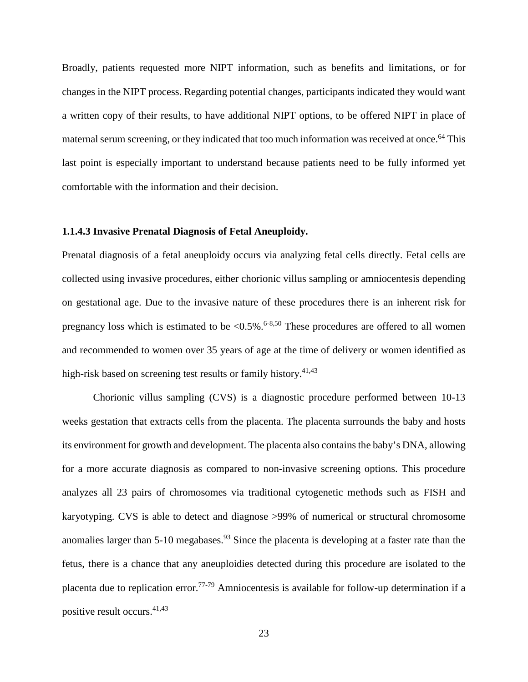Broadly, patients requested more NIPT information, such as benefits and limitations, or for changes in the NIPT process. Regarding potential changes, participants indicated they would want a written copy of their results, to have additional NIPT options, to be offered NIPT in place of maternal serum screening, or they indicated that too much information was received at once.<sup>64</sup> This last point is especially important to understand because patients need to be fully informed yet comfortable with the information and their decision.

## <span id="page-33-0"></span>**1.1.4.3 Invasive Prenatal Diagnosis of Fetal Aneuploidy.**

Prenatal diagnosis of a fetal aneuploidy occurs via analyzing fetal cells directly. Fetal cells are collected using invasive procedures, either chorionic villus sampling or amniocentesis depending on gestational age. Due to the invasive nature of these procedures there is an inherent risk for pregnancy loss which is estimated to be  $\langle 0.5\% \cdot$ .<sup>6-8,50</sup> These procedures are offered to all women and recommended to women over 35 years of age at the time of delivery or women identified as high-risk based on screening test results or family history.<sup>41,43</sup>

Chorionic villus sampling (CVS) is a diagnostic procedure performed between 10-13 weeks gestation that extracts cells from the placenta. The placenta surrounds the baby and hosts its environment for growth and development. The placenta also contains the baby's DNA, allowing for a more accurate diagnosis as compared to non-invasive screening options. This procedure analyzes all 23 pairs of chromosomes via traditional cytogenetic methods such as FISH and karyotyping. CVS is able to detect and diagnose >99% of numerical or structural chromosome anomalies larger than 5-10 megabases.<sup>93</sup> Since the placenta is developing at a faster rate than the fetus, there is a chance that any aneuploidies detected during this procedure are isolated to the placenta due to replication error.<sup>77-79</sup> Amniocentesis is available for follow-up determination if a positive result occurs.41,43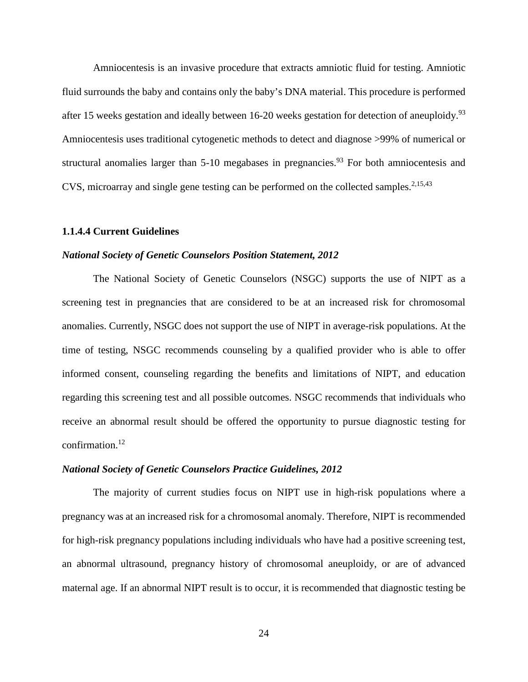Amniocentesis is an invasive procedure that extracts amniotic fluid for testing. Amniotic fluid surrounds the baby and contains only the baby's DNA material. This procedure is performed after 15 weeks gestation and ideally between 16-20 weeks gestation for detection of aneuploidy.<sup>93</sup> Amniocentesis uses traditional cytogenetic methods to detect and diagnose >99% of numerical or structural anomalies larger than  $5-10$  megabases in pregnancies.<sup>93</sup> For both amniocentesis and CVS, microarray and single gene testing can be performed on the collected samples.<sup>2,15,43</sup>

## <span id="page-34-0"></span>**1.1.4.4 Current Guidelines**

#### *National Society of Genetic Counselors Position Statement, 2012*

The National Society of Genetic Counselors (NSGC) supports the use of NIPT as a screening test in pregnancies that are considered to be at an increased risk for chromosomal anomalies. Currently, NSGC does not support the use of NIPT in average-risk populations. At the time of testing, NSGC recommends counseling by a qualified provider who is able to offer informed consent, counseling regarding the benefits and limitations of NIPT, and education regarding this screening test and all possible outcomes. NSGC recommends that individuals who receive an abnormal result should be offered the opportunity to pursue diagnostic testing for confirmation.12

## *National Society of Genetic Counselors Practice Guidelines, 2012*

The majority of current studies focus on NIPT use in high-risk populations where a pregnancy was at an increased risk for a chromosomal anomaly. Therefore, NIPT is recommended for high-risk pregnancy populations including individuals who have had a positive screening test, an abnormal ultrasound, pregnancy history of chromosomal aneuploidy, or are of advanced maternal age. If an abnormal NIPT result is to occur, it is recommended that diagnostic testing be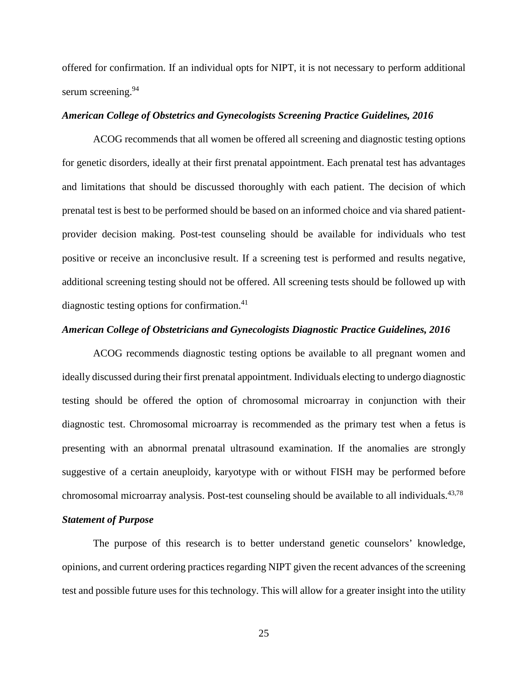offered for confirmation. If an individual opts for NIPT, it is not necessary to perform additional serum screening.<sup>94</sup>

## *American College of Obstetrics and Gynecologists Screening Practice Guidelines, 2016*

ACOG recommends that all women be offered all screening and diagnostic testing options for genetic disorders, ideally at their first prenatal appointment. Each prenatal test has advantages and limitations that should be discussed thoroughly with each patient. The decision of which prenatal test is best to be performed should be based on an informed choice and via shared patientprovider decision making. Post-test counseling should be available for individuals who test positive or receive an inconclusive result. If a screening test is performed and results negative, additional screening testing should not be offered. All screening tests should be followed up with diagnostic testing options for confirmation.<sup>41</sup>

## *American College of Obstetricians and Gynecologists Diagnostic Practice Guidelines, 2016*

ACOG recommends diagnostic testing options be available to all pregnant women and ideally discussed during their first prenatal appointment. Individuals electing to undergo diagnostic testing should be offered the option of chromosomal microarray in conjunction with their diagnostic test. Chromosomal microarray is recommended as the primary test when a fetus is presenting with an abnormal prenatal ultrasound examination. If the anomalies are strongly suggestive of a certain aneuploidy, karyotype with or without FISH may be performed before chromosomal microarray analysis. Post-test counseling should be available to all individuals.<sup>43,78</sup>

## *Statement of Purpose*

The purpose of this research is to better understand genetic counselors' knowledge, opinions, and current ordering practices regarding NIPT given the recent advances of the screening test and possible future uses for this technology. This will allow for a greater insight into the utility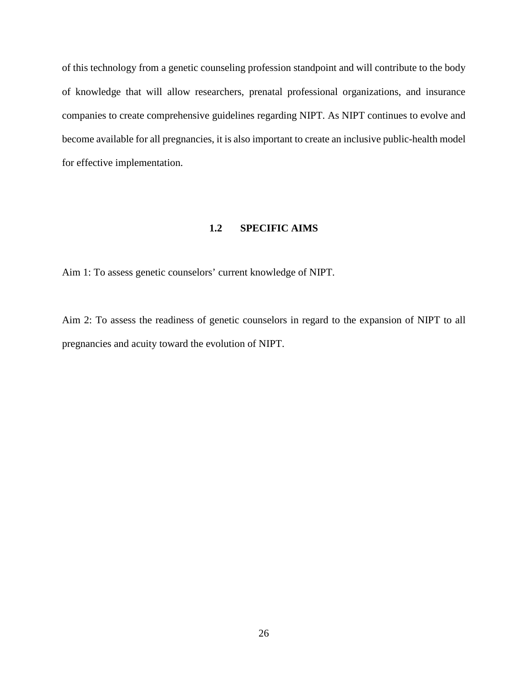of this technology from a genetic counseling profession standpoint and will contribute to the body of knowledge that will allow researchers, prenatal professional organizations, and insurance companies to create comprehensive guidelines regarding NIPT. As NIPT continues to evolve and become available for all pregnancies, it is also important to create an inclusive public-health model for effective implementation.

## **1.2 SPECIFIC AIMS**

Aim 1: To assess genetic counselors' current knowledge of NIPT.

Aim 2: To assess the readiness of genetic counselors in regard to the expansion of NIPT to all pregnancies and acuity toward the evolution of NIPT.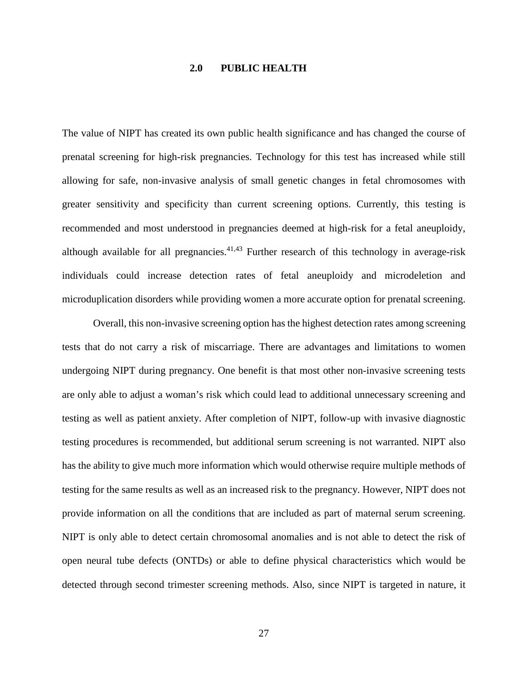## **2.0 PUBLIC HEALTH**

The value of NIPT has created its own public health significance and has changed the course of prenatal screening for high-risk pregnancies. Technology for this test has increased while still allowing for safe, non-invasive analysis of small genetic changes in fetal chromosomes with greater sensitivity and specificity than current screening options. Currently, this testing is recommended and most understood in pregnancies deemed at high-risk for a fetal aneuploidy, although available for all pregnancies. $41,43$  Further research of this technology in average-risk individuals could increase detection rates of fetal aneuploidy and microdeletion and microduplication disorders while providing women a more accurate option for prenatal screening.

Overall, this non-invasive screening option has the highest detection rates among screening tests that do not carry a risk of miscarriage. There are advantages and limitations to women undergoing NIPT during pregnancy. One benefit is that most other non-invasive screening tests are only able to adjust a woman's risk which could lead to additional unnecessary screening and testing as well as patient anxiety. After completion of NIPT, follow-up with invasive diagnostic testing procedures is recommended, but additional serum screening is not warranted. NIPT also has the ability to give much more information which would otherwise require multiple methods of testing for the same results as well as an increased risk to the pregnancy. However, NIPT does not provide information on all the conditions that are included as part of maternal serum screening. NIPT is only able to detect certain chromosomal anomalies and is not able to detect the risk of open neural tube defects (ONTDs) or able to define physical characteristics which would be detected through second trimester screening methods. Also, since NIPT is targeted in nature, it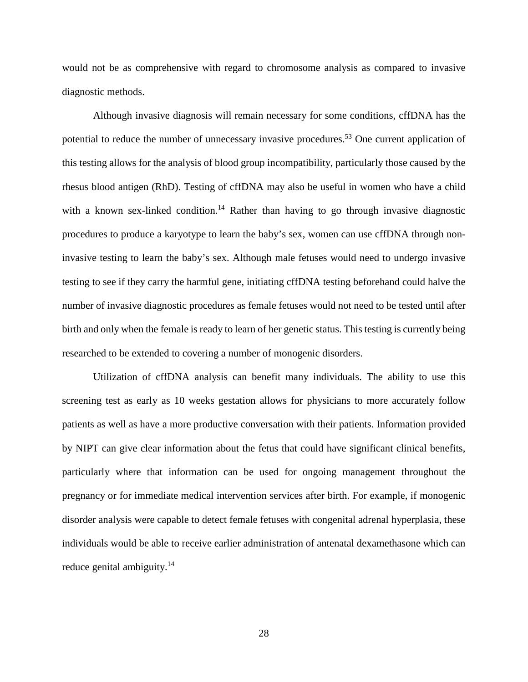would not be as comprehensive with regard to chromosome analysis as compared to invasive diagnostic methods.

Although invasive diagnosis will remain necessary for some conditions, cffDNA has the potential to reduce the number of unnecessary invasive procedures.<sup>53</sup> One current application of this testing allows for the analysis of blood group incompatibility, particularly those caused by the rhesus blood antigen (RhD). Testing of cffDNA may also be useful in women who have a child with a known sex-linked condition.<sup>14</sup> Rather than having to go through invasive diagnostic procedures to produce a karyotype to learn the baby's sex, women can use cffDNA through noninvasive testing to learn the baby's sex. Although male fetuses would need to undergo invasive testing to see if they carry the harmful gene, initiating cffDNA testing beforehand could halve the number of invasive diagnostic procedures as female fetuses would not need to be tested until after birth and only when the female is ready to learn of her genetic status. This testing is currently being researched to be extended to covering a number of monogenic disorders.

Utilization of cffDNA analysis can benefit many individuals. The ability to use this screening test as early as 10 weeks gestation allows for physicians to more accurately follow patients as well as have a more productive conversation with their patients. Information provided by NIPT can give clear information about the fetus that could have significant clinical benefits, particularly where that information can be used for ongoing management throughout the pregnancy or for immediate medical intervention services after birth. For example, if monogenic disorder analysis were capable to detect female fetuses with congenital adrenal hyperplasia, these individuals would be able to receive earlier administration of antenatal dexamethasone which can reduce genital ambiguity.<sup>14</sup>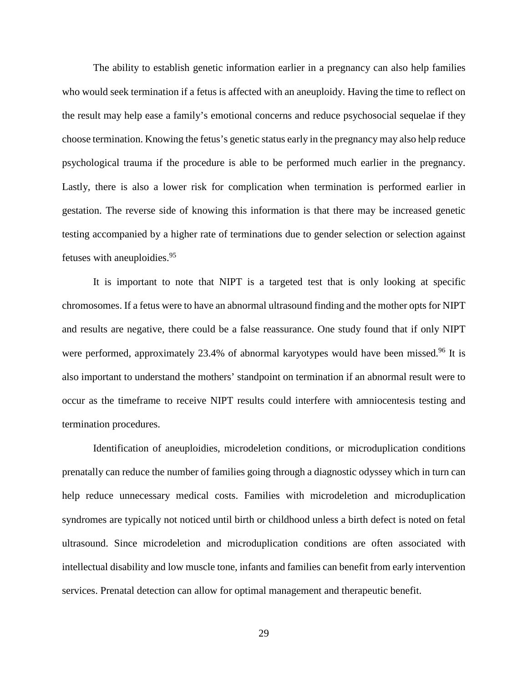The ability to establish genetic information earlier in a pregnancy can also help families who would seek termination if a fetus is affected with an aneuploidy. Having the time to reflect on the result may help ease a family's emotional concerns and reduce psychosocial sequelae if they choose termination. Knowing the fetus's genetic status early in the pregnancy may also help reduce psychological trauma if the procedure is able to be performed much earlier in the pregnancy. Lastly, there is also a lower risk for complication when termination is performed earlier in gestation. The reverse side of knowing this information is that there may be increased genetic testing accompanied by a higher rate of terminations due to gender selection or selection against fetuses with aneuploidies. 95

It is important to note that NIPT is a targeted test that is only looking at specific chromosomes. If a fetus were to have an abnormal ultrasound finding and the mother opts for NIPT and results are negative, there could be a false reassurance. One study found that if only NIPT were performed, approximately 23.4% of abnormal karyotypes would have been missed.<sup>96</sup> It is also important to understand the mothers' standpoint on termination if an abnormal result were to occur as the timeframe to receive NIPT results could interfere with amniocentesis testing and termination procedures.

Identification of aneuploidies, microdeletion conditions, or microduplication conditions prenatally can reduce the number of families going through a diagnostic odyssey which in turn can help reduce unnecessary medical costs. Families with microdeletion and microduplication syndromes are typically not noticed until birth or childhood unless a birth defect is noted on fetal ultrasound. Since microdeletion and microduplication conditions are often associated with intellectual disability and low muscle tone, infants and families can benefit from early intervention services. Prenatal detection can allow for optimal management and therapeutic benefit.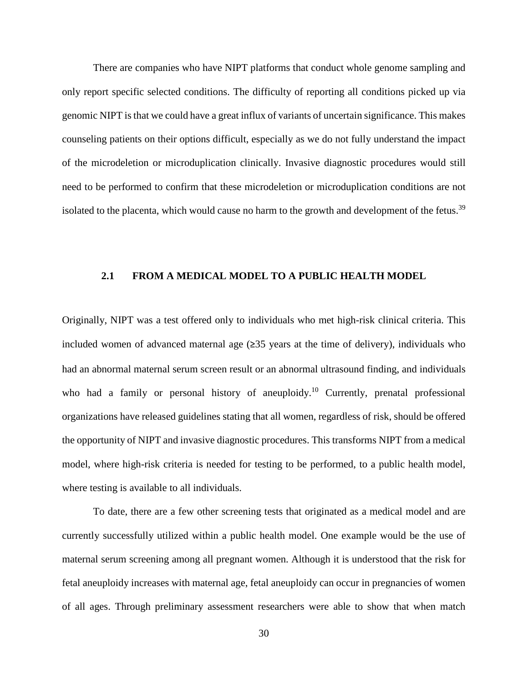There are companies who have NIPT platforms that conduct whole genome sampling and only report specific selected conditions. The difficulty of reporting all conditions picked up via genomic NIPT is that we could have a great influx of variants of uncertain significance. This makes counseling patients on their options difficult, especially as we do not fully understand the impact of the microdeletion or microduplication clinically. Invasive diagnostic procedures would still need to be performed to confirm that these microdeletion or microduplication conditions are not isolated to the placenta, which would cause no harm to the growth and development of the fetus.<sup>39</sup>

#### **2.1 FROM A MEDICAL MODEL TO A PUBLIC HEALTH MODEL**

Originally, NIPT was a test offered only to individuals who met high-risk clinical criteria. This included women of advanced maternal age  $(235 \text{ years at the time of delivery})$ , individuals who had an abnormal maternal serum screen result or an abnormal ultrasound finding, and individuals who had a family or personal history of aneuploidy.<sup>10</sup> Currently, prenatal professional organizations have released guidelines stating that all women, regardless of risk, should be offered the opportunity of NIPT and invasive diagnostic procedures. This transforms NIPT from a medical model, where high-risk criteria is needed for testing to be performed, to a public health model, where testing is available to all individuals.

To date, there are a few other screening tests that originated as a medical model and are currently successfully utilized within a public health model. One example would be the use of maternal serum screening among all pregnant women. Although it is understood that the risk for fetal aneuploidy increases with maternal age, fetal aneuploidy can occur in pregnancies of women of all ages. Through preliminary assessment researchers were able to show that when match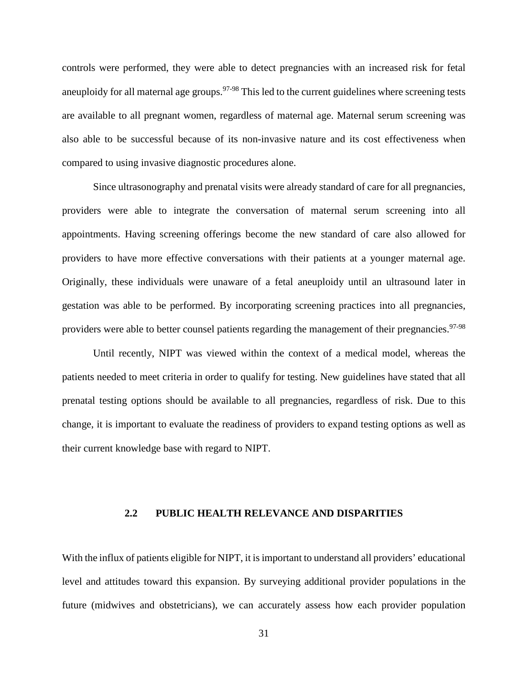controls were performed, they were able to detect pregnancies with an increased risk for fetal aneuploidy for all maternal age groups.<sup>97-98</sup> This led to the current guidelines where screening tests are available to all pregnant women, regardless of maternal age. Maternal serum screening was also able to be successful because of its non-invasive nature and its cost effectiveness when compared to using invasive diagnostic procedures alone.

Since ultrasonography and prenatal visits were already standard of care for all pregnancies, providers were able to integrate the conversation of maternal serum screening into all appointments. Having screening offerings become the new standard of care also allowed for providers to have more effective conversations with their patients at a younger maternal age. Originally, these individuals were unaware of a fetal aneuploidy until an ultrasound later in gestation was able to be performed. By incorporating screening practices into all pregnancies, providers were able to better counsel patients regarding the management of their pregnancies.<sup>97-98</sup>

Until recently, NIPT was viewed within the context of a medical model, whereas the patients needed to meet criteria in order to qualify for testing. New guidelines have stated that all prenatal testing options should be available to all pregnancies, regardless of risk. Due to this change, it is important to evaluate the readiness of providers to expand testing options as well as their current knowledge base with regard to NIPT.

## **2.2 PUBLIC HEALTH RELEVANCE AND DISPARITIES**

With the influx of patients eligible for NIPT, it is important to understand all providers' educational level and attitudes toward this expansion. By surveying additional provider populations in the future (midwives and obstetricians), we can accurately assess how each provider population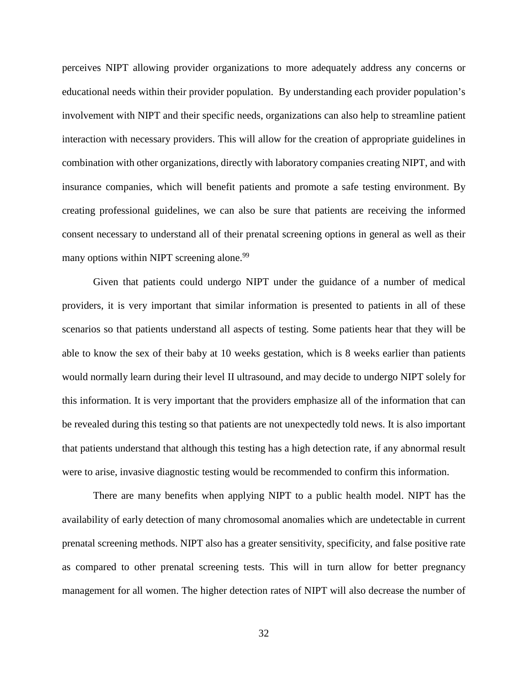perceives NIPT allowing provider organizations to more adequately address any concerns or educational needs within their provider population. By understanding each provider population's involvement with NIPT and their specific needs, organizations can also help to streamline patient interaction with necessary providers. This will allow for the creation of appropriate guidelines in combination with other organizations, directly with laboratory companies creating NIPT, and with insurance companies, which will benefit patients and promote a safe testing environment. By creating professional guidelines, we can also be sure that patients are receiving the informed consent necessary to understand all of their prenatal screening options in general as well as their many options within NIPT screening alone.<sup>99</sup>

Given that patients could undergo NIPT under the guidance of a number of medical providers, it is very important that similar information is presented to patients in all of these scenarios so that patients understand all aspects of testing. Some patients hear that they will be able to know the sex of their baby at 10 weeks gestation, which is 8 weeks earlier than patients would normally learn during their level II ultrasound, and may decide to undergo NIPT solely for this information. It is very important that the providers emphasize all of the information that can be revealed during this testing so that patients are not unexpectedly told news. It is also important that patients understand that although this testing has a high detection rate, if any abnormal result were to arise, invasive diagnostic testing would be recommended to confirm this information.

There are many benefits when applying NIPT to a public health model. NIPT has the availability of early detection of many chromosomal anomalies which are undetectable in current prenatal screening methods. NIPT also has a greater sensitivity, specificity, and false positive rate as compared to other prenatal screening tests. This will in turn allow for better pregnancy management for all women. The higher detection rates of NIPT will also decrease the number of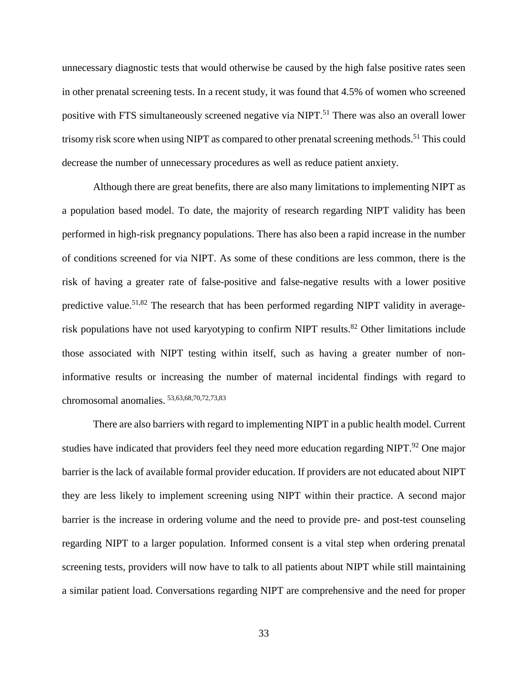unnecessary diagnostic tests that would otherwise be caused by the high false positive rates seen in other prenatal screening tests. In a recent study, it was found that 4.5% of women who screened positive with FTS simultaneously screened negative via NIPT.<sup>51</sup> There was also an overall lower trisomy risk score when using NIPT as compared to other prenatal screening methods.<sup>51</sup> This could decrease the number of unnecessary procedures as well as reduce patient anxiety.

Although there are great benefits, there are also many limitations to implementing NIPT as a population based model. To date, the majority of research regarding NIPT validity has been performed in high-risk pregnancy populations. There has also been a rapid increase in the number of conditions screened for via NIPT. As some of these conditions are less common, there is the risk of having a greater rate of false-positive and false-negative results with a lower positive predictive value.<sup>51,82</sup> The research that has been performed regarding NIPT validity in averagerisk populations have not used karyotyping to confirm NIPT results.<sup>82</sup> Other limitations include those associated with NIPT testing within itself, such as having a greater number of noninformative results or increasing the number of maternal incidental findings with regard to chromosomal anomalies. 53,63,68,70,72,73,83

There are also barriers with regard to implementing NIPT in a public health model. Current studies have indicated that providers feel they need more education regarding NIPT.<sup>92</sup> One major barrier is the lack of available formal provider education. If providers are not educated about NIPT they are less likely to implement screening using NIPT within their practice. A second major barrier is the increase in ordering volume and the need to provide pre- and post-test counseling regarding NIPT to a larger population. Informed consent is a vital step when ordering prenatal screening tests, providers will now have to talk to all patients about NIPT while still maintaining a similar patient load. Conversations regarding NIPT are comprehensive and the need for proper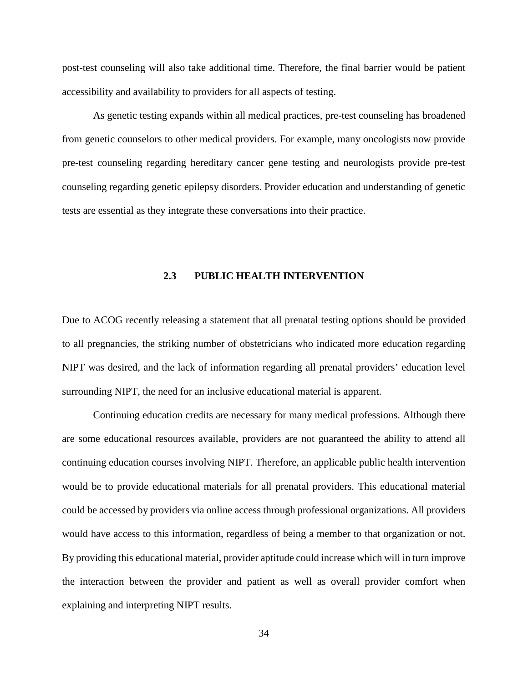post-test counseling will also take additional time. Therefore, the final barrier would be patient accessibility and availability to providers for all aspects of testing.

As genetic testing expands within all medical practices, pre-test counseling has broadened from genetic counselors to other medical providers. For example, many oncologists now provide pre-test counseling regarding hereditary cancer gene testing and neurologists provide pre-test counseling regarding genetic epilepsy disorders. Provider education and understanding of genetic tests are essential as they integrate these conversations into their practice.

#### **2.3 PUBLIC HEALTH INTERVENTION**

Due to ACOG recently releasing a statement that all prenatal testing options should be provided to all pregnancies, the striking number of obstetricians who indicated more education regarding NIPT was desired, and the lack of information regarding all prenatal providers' education level surrounding NIPT, the need for an inclusive educational material is apparent.

Continuing education credits are necessary for many medical professions. Although there are some educational resources available, providers are not guaranteed the ability to attend all continuing education courses involving NIPT. Therefore, an applicable public health intervention would be to provide educational materials for all prenatal providers. This educational material could be accessed by providers via online access through professional organizations. All providers would have access to this information, regardless of being a member to that organization or not. By providing this educational material, provider aptitude could increase which will in turn improve the interaction between the provider and patient as well as overall provider comfort when explaining and interpreting NIPT results.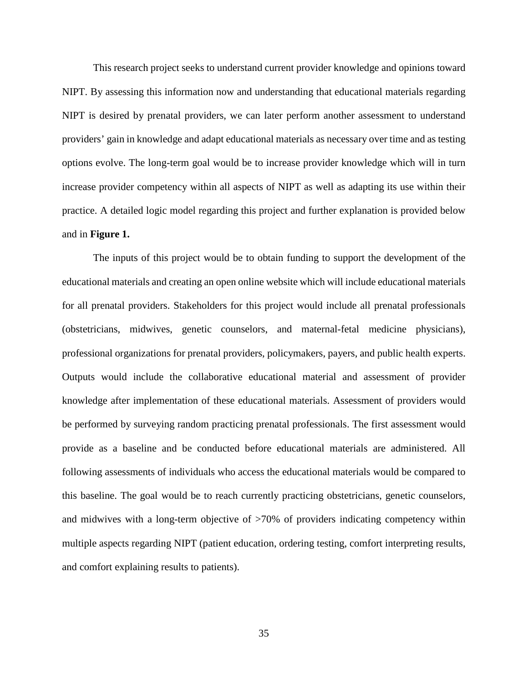This research project seeks to understand current provider knowledge and opinions toward NIPT. By assessing this information now and understanding that educational materials regarding NIPT is desired by prenatal providers, we can later perform another assessment to understand providers' gain in knowledge and adapt educational materials as necessary over time and as testing options evolve. The long-term goal would be to increase provider knowledge which will in turn increase provider competency within all aspects of NIPT as well as adapting its use within their practice. A detailed logic model regarding this project and further explanation is provided below and in **Figure 1.**

The inputs of this project would be to obtain funding to support the development of the educational materials and creating an open online website which will include educational materials for all prenatal providers. Stakeholders for this project would include all prenatal professionals (obstetricians, midwives, genetic counselors, and maternal-fetal medicine physicians), professional organizations for prenatal providers, policymakers, payers, and public health experts. Outputs would include the collaborative educational material and assessment of provider knowledge after implementation of these educational materials. Assessment of providers would be performed by surveying random practicing prenatal professionals. The first assessment would provide as a baseline and be conducted before educational materials are administered. All following assessments of individuals who access the educational materials would be compared to this baseline. The goal would be to reach currently practicing obstetricians, genetic counselors, and midwives with a long-term objective of >70% of providers indicating competency within multiple aspects regarding NIPT (patient education, ordering testing, comfort interpreting results, and comfort explaining results to patients).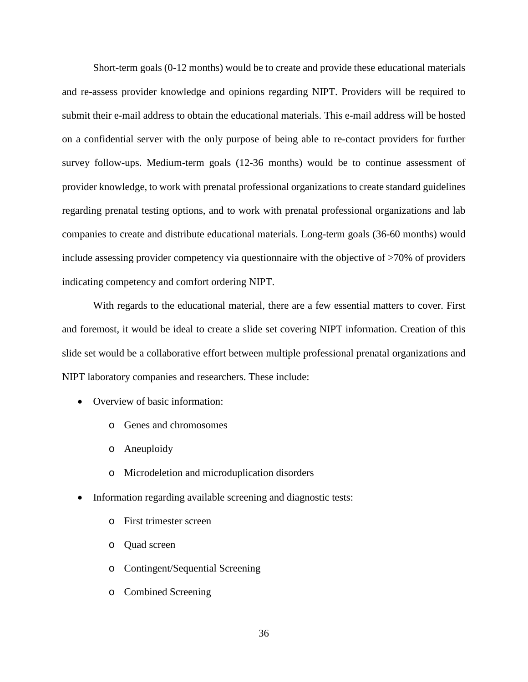Short-term goals (0-12 months) would be to create and provide these educational materials and re-assess provider knowledge and opinions regarding NIPT. Providers will be required to submit their e-mail address to obtain the educational materials. This e-mail address will be hosted on a confidential server with the only purpose of being able to re-contact providers for further survey follow-ups. Medium-term goals (12-36 months) would be to continue assessment of provider knowledge, to work with prenatal professional organizations to create standard guidelines regarding prenatal testing options, and to work with prenatal professional organizations and lab companies to create and distribute educational materials. Long-term goals (36-60 months) would include assessing provider competency via questionnaire with the objective of >70% of providers indicating competency and comfort ordering NIPT.

With regards to the educational material, there are a few essential matters to cover. First and foremost, it would be ideal to create a slide set covering NIPT information. Creation of this slide set would be a collaborative effort between multiple professional prenatal organizations and NIPT laboratory companies and researchers. These include:

- Overview of basic information:
	- o Genes and chromosomes
	- o Aneuploidy
	- o Microdeletion and microduplication disorders
- Information regarding available screening and diagnostic tests:
	- o First trimester screen
	- o Quad screen
	- o Contingent/Sequential Screening
	- o Combined Screening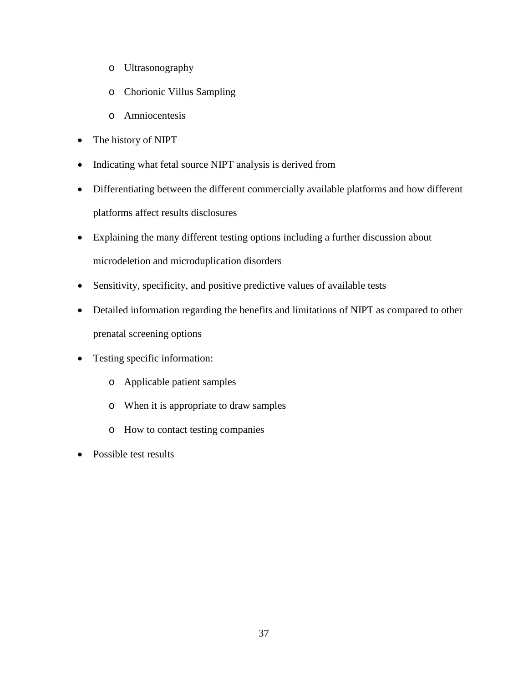- o Ultrasonography
- o Chorionic Villus Sampling
- o Amniocentesis
- The history of NIPT
- Indicating what fetal source NIPT analysis is derived from
- Differentiating between the different commercially available platforms and how different platforms affect results disclosures
- Explaining the many different testing options including a further discussion about microdeletion and microduplication disorders
- Sensitivity, specificity, and positive predictive values of available tests
- Detailed information regarding the benefits and limitations of NIPT as compared to other prenatal screening options
- Testing specific information:
	- o Applicable patient samples
	- o When it is appropriate to draw samples
	- o How to contact testing companies
- Possible test results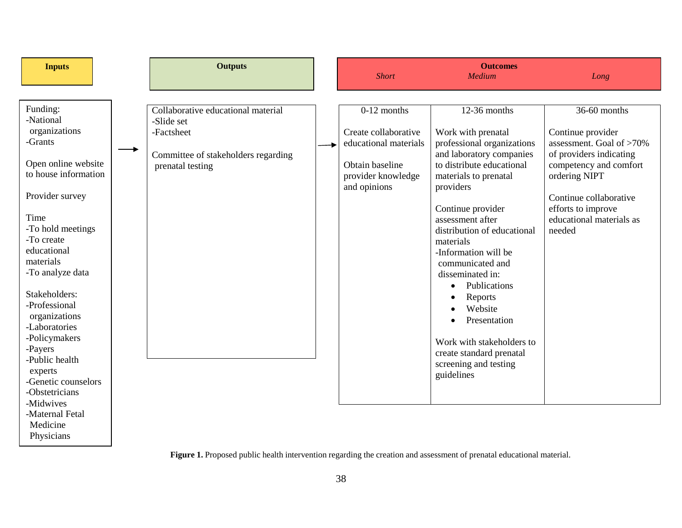| <b>Inputs</b>                                                                                                                                                                                                                                                                                                                                                                                                                                  | <b>Outputs</b>                                                                                                            | <b>Short</b>                                                                                                            | <b>Outcomes</b><br>Medium                                                                                                                                                                                                                                                                                                                                                                                                                                                  | Long                                                                                                                                                                                                                      |
|------------------------------------------------------------------------------------------------------------------------------------------------------------------------------------------------------------------------------------------------------------------------------------------------------------------------------------------------------------------------------------------------------------------------------------------------|---------------------------------------------------------------------------------------------------------------------------|-------------------------------------------------------------------------------------------------------------------------|----------------------------------------------------------------------------------------------------------------------------------------------------------------------------------------------------------------------------------------------------------------------------------------------------------------------------------------------------------------------------------------------------------------------------------------------------------------------------|---------------------------------------------------------------------------------------------------------------------------------------------------------------------------------------------------------------------------|
| Funding:<br>-National<br>organizations<br>-Grants<br>Open online website<br>to house information<br>Provider survey<br>Time<br>-To hold meetings<br>-To create<br>educational<br>materials<br>-To analyze data<br>Stakeholders:<br>-Professional<br>organizations<br>-Laboratories<br>-Policymakers<br>-Payers<br>-Public health<br>experts<br>-Genetic counselors<br>-Obstetricians<br>-Midwives<br>-Maternal Fetal<br>Medicine<br>Physicians | Collaborative educational material<br>-Slide set<br>-Factsheet<br>Committee of stakeholders regarding<br>prenatal testing | $0-12$ months<br>Create collaborative<br>educational materials<br>Obtain baseline<br>provider knowledge<br>and opinions | 12-36 months<br>Work with prenatal<br>professional organizations<br>and laboratory companies<br>to distribute educational<br>materials to prenatal<br>providers<br>Continue provider<br>assessment after<br>distribution of educational<br>materials<br>-Information will be<br>communicated and<br>disseminated in:<br>Publications<br>Reports<br>Website<br>Presentation<br>Work with stakeholders to<br>create standard prenatal<br>screening and testing<br>guidelines | 36-60 months<br>Continue provider<br>assessment. Goal of >70%<br>of providers indicating<br>competency and comfort<br>ordering NIPT<br>Continue collaborative<br>efforts to improve<br>educational materials as<br>needed |

Figure 1. Proposed public health intervention regarding the creation and assessment of prenatal educational material.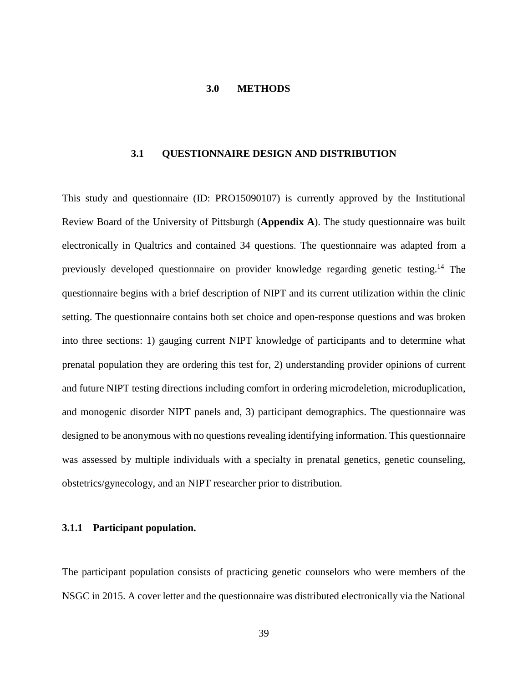#### **3.0 METHODS**

### **3.1 QUESTIONNAIRE DESIGN AND DISTRIBUTION**

This study and questionnaire (ID: PRO15090107) is currently approved by the Institutional Review Board of the University of Pittsburgh (**Appendix A**). The study questionnaire was built electronically in Qualtrics and contained 34 questions. The questionnaire was adapted from a previously developed questionnaire on provider knowledge regarding genetic testing.14 The questionnaire begins with a brief description of NIPT and its current utilization within the clinic setting. The questionnaire contains both set choice and open-response questions and was broken into three sections: 1) gauging current NIPT knowledge of participants and to determine what prenatal population they are ordering this test for, 2) understanding provider opinions of current and future NIPT testing directions including comfort in ordering microdeletion, microduplication, and monogenic disorder NIPT panels and, 3) participant demographics. The questionnaire was designed to be anonymous with no questions revealing identifying information. This questionnaire was assessed by multiple individuals with a specialty in prenatal genetics, genetic counseling, obstetrics/gynecology, and an NIPT researcher prior to distribution.

### **3.1.1 Participant population.**

The participant population consists of practicing genetic counselors who were members of the NSGC in 2015. A cover letter and the questionnaire was distributed electronically via the National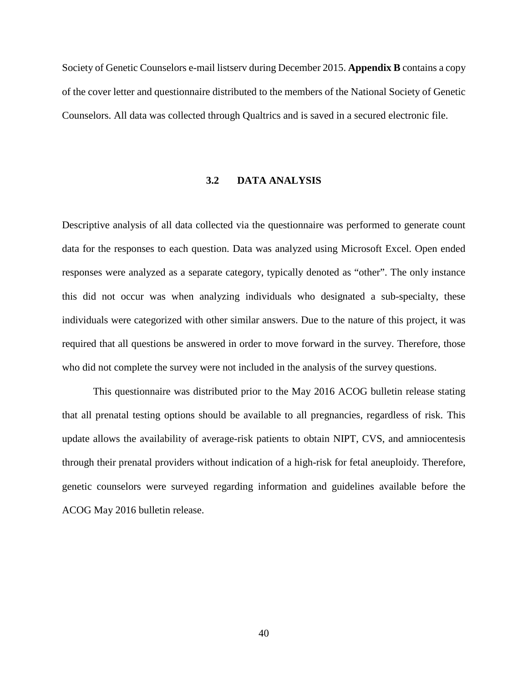Society of Genetic Counselors e-mail listserv during December 2015. **Appendix B** contains a copy of the cover letter and questionnaire distributed to the members of the National Society of Genetic Counselors. All data was collected through Qualtrics and is saved in a secured electronic file.

#### **3.2 DATA ANALYSIS**

Descriptive analysis of all data collected via the questionnaire was performed to generate count data for the responses to each question. Data was analyzed using Microsoft Excel. Open ended responses were analyzed as a separate category, typically denoted as "other". The only instance this did not occur was when analyzing individuals who designated a sub-specialty, these individuals were categorized with other similar answers. Due to the nature of this project, it was required that all questions be answered in order to move forward in the survey. Therefore, those who did not complete the survey were not included in the analysis of the survey questions.

This questionnaire was distributed prior to the May 2016 ACOG bulletin release stating that all prenatal testing options should be available to all pregnancies, regardless of risk. This update allows the availability of average-risk patients to obtain NIPT, CVS, and amniocentesis through their prenatal providers without indication of a high-risk for fetal aneuploidy. Therefore, genetic counselors were surveyed regarding information and guidelines available before the ACOG May 2016 bulletin release.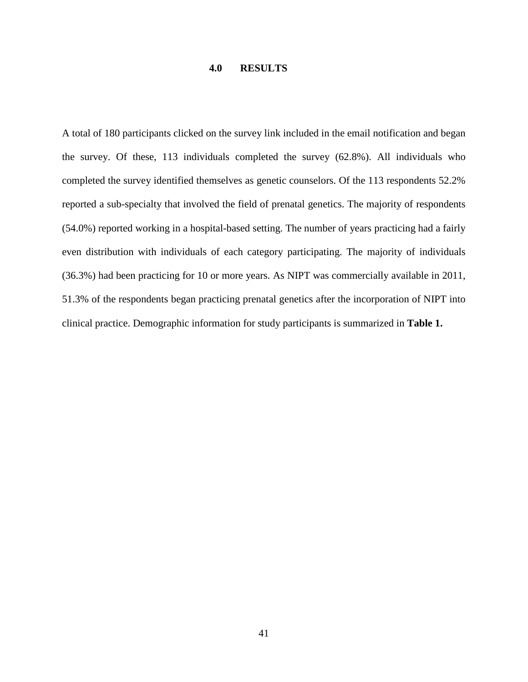# **4.0 RESULTS**

A total of 180 participants clicked on the survey link included in the email notification and began the survey. Of these, 113 individuals completed the survey (62.8%). All individuals who completed the survey identified themselves as genetic counselors. Of the 113 respondents 52.2% reported a sub-specialty that involved the field of prenatal genetics. The majority of respondents (54.0%) reported working in a hospital-based setting. The number of years practicing had a fairly even distribution with individuals of each category participating. The majority of individuals (36.3%) had been practicing for 10 or more years. As NIPT was commercially available in 2011, 51.3% of the respondents began practicing prenatal genetics after the incorporation of NIPT into clinical practice. Demographic information for study participants is summarized in **Table 1.**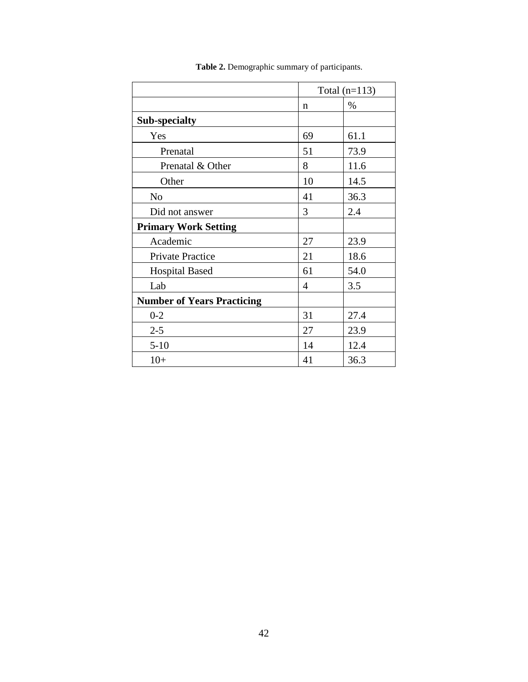|                                   |             | Total $(n=113)$ |  |
|-----------------------------------|-------------|-----------------|--|
|                                   | $\mathbf n$ | %               |  |
| <b>Sub-specialty</b>              |             |                 |  |
| Yes                               | 69          | 61.1            |  |
| Prenatal                          | 51          | 73.9            |  |
| Prenatal & Other                  | 8           | 11.6            |  |
| Other                             | 10          | 14.5            |  |
| N <sub>o</sub>                    | 41          | 36.3            |  |
| Did not answer                    | 3           | 2.4             |  |
| <b>Primary Work Setting</b>       |             |                 |  |
| Academic                          | 27          | 23.9            |  |
| <b>Private Practice</b>           | 21          | 18.6            |  |
| <b>Hospital Based</b>             | 61          | 54.0            |  |
| Lab                               | 4           | 3.5             |  |
| <b>Number of Years Practicing</b> |             |                 |  |
| $0 - 2$                           | 31          | 27.4            |  |
| $2 - 5$                           | 27          | 23.9            |  |
| $5 - 10$                          | 14          | 12.4            |  |
| $10+$                             | 41          | 36.3            |  |

**Table 2.** Demographic summary of participants.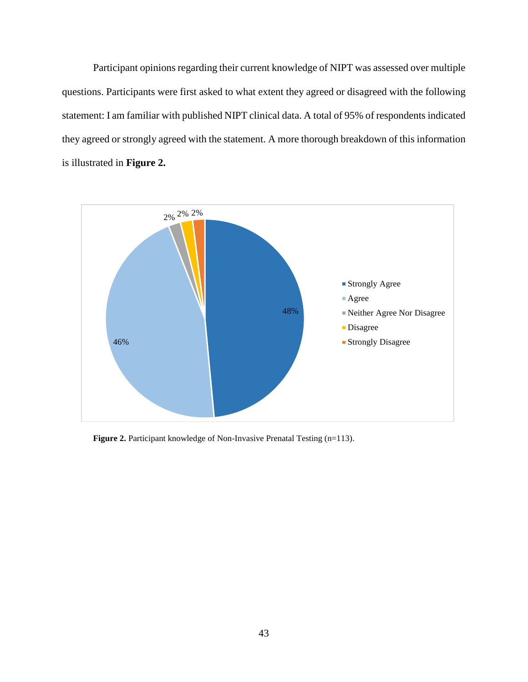Participant opinions regarding their current knowledge of NIPT was assessed over multiple questions. Participants were first asked to what extent they agreed or disagreed with the following statement: I am familiar with published NIPT clinical data. A total of 95% of respondents indicated they agreed or strongly agreed with the statement. A more thorough breakdown of this information is illustrated in **Figure 2.** 



**Figure 2.** Participant knowledge of Non-Invasive Prenatal Testing (n=113).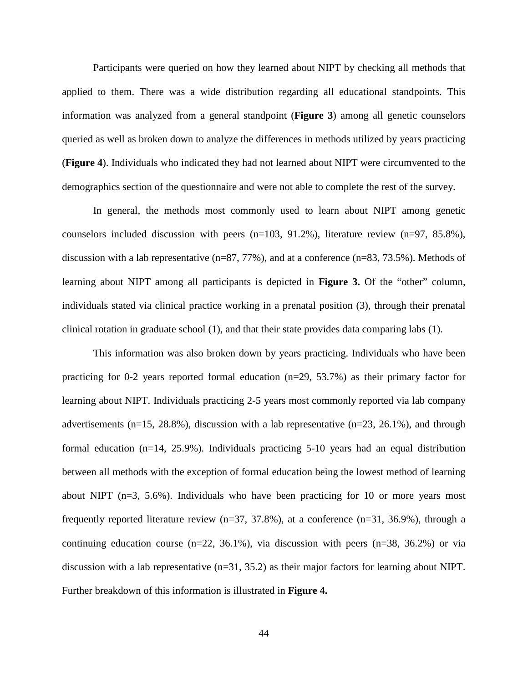Participants were queried on how they learned about NIPT by checking all methods that applied to them. There was a wide distribution regarding all educational standpoints. This information was analyzed from a general standpoint (**Figure 3**) among all genetic counselors queried as well as broken down to analyze the differences in methods utilized by years practicing (**Figure 4**). Individuals who indicated they had not learned about NIPT were circumvented to the demographics section of the questionnaire and were not able to complete the rest of the survey.

In general, the methods most commonly used to learn about NIPT among genetic counselors included discussion with peers  $(n=103, 91.2\%)$ , literature review  $(n=97, 85.8\%)$ , discussion with a lab representative  $(n=87, 77\%)$ , and at a conference  $(n=83, 73.5\%)$ . Methods of learning about NIPT among all participants is depicted in **Figure 3.** Of the "other" column, individuals stated via clinical practice working in a prenatal position (3), through their prenatal clinical rotation in graduate school (1), and that their state provides data comparing labs (1).

This information was also broken down by years practicing. Individuals who have been practicing for 0-2 years reported formal education  $(n=29, 53.7%)$  as their primary factor for learning about NIPT. Individuals practicing 2-5 years most commonly reported via lab company advertisements (n=15, 28.8%), discussion with a lab representative (n=23, 26.1%), and through formal education (n=14, 25.9%). Individuals practicing 5-10 years had an equal distribution between all methods with the exception of formal education being the lowest method of learning about NIPT (n=3, 5.6%). Individuals who have been practicing for 10 or more years most frequently reported literature review  $(n=37, 37.8\%)$ , at a conference  $(n=31, 36.9\%)$ , through a continuing education course  $(n=22, 36.1\%)$ , via discussion with peers  $(n=38, 36.2\%)$  or via discussion with a lab representative (n=31, 35.2) as their major factors for learning about NIPT. Further breakdown of this information is illustrated in **Figure 4.**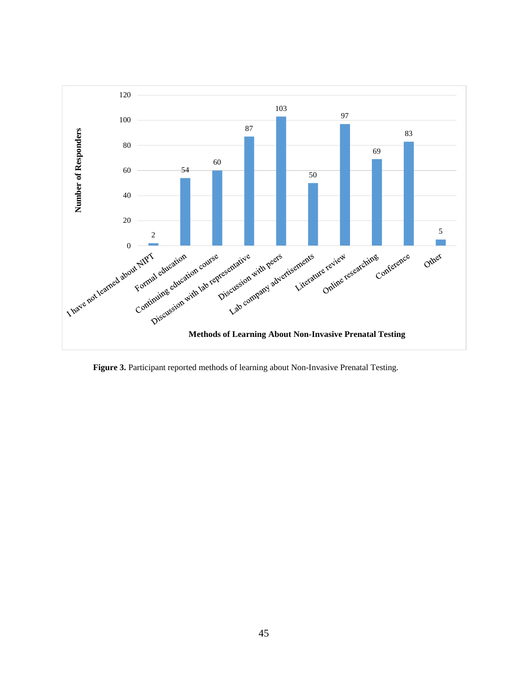

Figure 3. Participant reported methods of learning about Non-Invasive Prenatal Testing.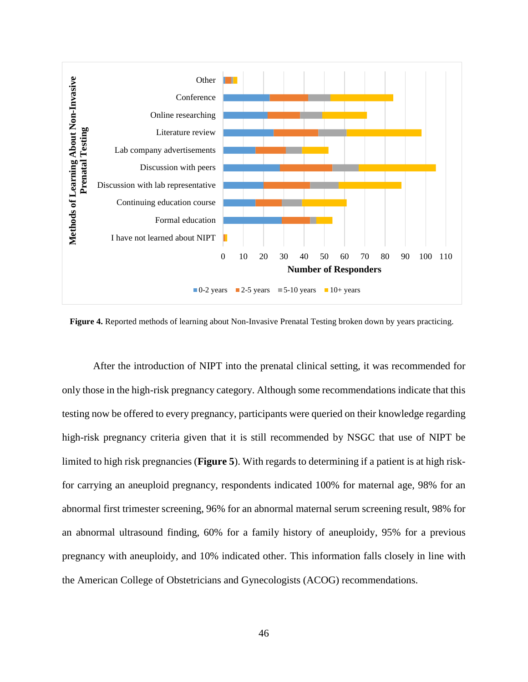

**Figure 4.** Reported methods of learning about Non-Invasive Prenatal Testing broken down by years practicing.

After the introduction of NIPT into the prenatal clinical setting, it was recommended for only those in the high-risk pregnancy category. Although some recommendations indicate that this testing now be offered to every pregnancy, participants were queried on their knowledge regarding high-risk pregnancy criteria given that it is still recommended by NSGC that use of NIPT be limited to high risk pregnancies (**Figure 5**). With regards to determining if a patient is at high riskfor carrying an aneuploid pregnancy, respondents indicated 100% for maternal age, 98% for an abnormal first trimester screening, 96% for an abnormal maternal serum screening result, 98% for an abnormal ultrasound finding, 60% for a family history of aneuploidy, 95% for a previous pregnancy with aneuploidy, and 10% indicated other. This information falls closely in line with the American College of Obstetricians and Gynecologists (ACOG) recommendations.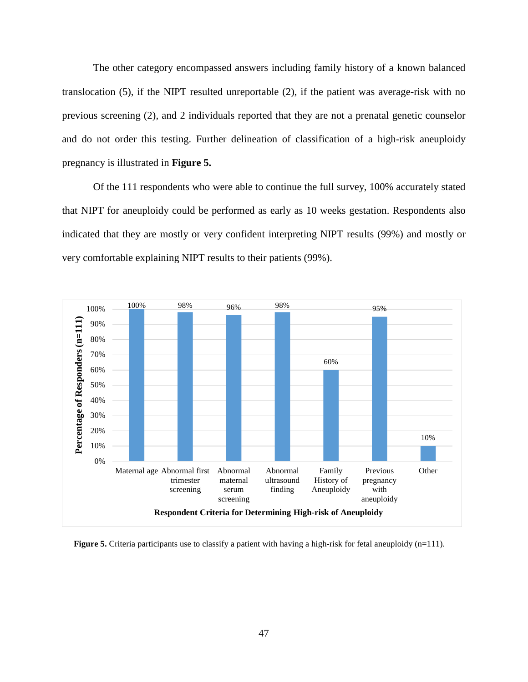The other category encompassed answers including family history of a known balanced translocation (5), if the NIPT resulted unreportable (2), if the patient was average-risk with no previous screening (2), and 2 individuals reported that they are not a prenatal genetic counselor and do not order this testing. Further delineation of classification of a high-risk aneuploidy pregnancy is illustrated in **Figure 5.**

Of the 111 respondents who were able to continue the full survey, 100% accurately stated that NIPT for aneuploidy could be performed as early as 10 weeks gestation. Respondents also indicated that they are mostly or very confident interpreting NIPT results (99%) and mostly or very comfortable explaining NIPT results to their patients (99%).



**Figure 5.** Criteria participants use to classify a patient with having a high-risk for fetal aneuploidy (n=111).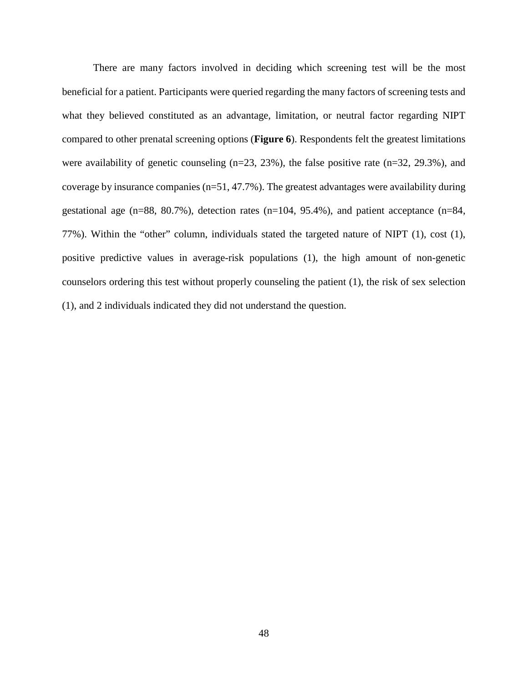There are many factors involved in deciding which screening test will be the most beneficial for a patient. Participants were queried regarding the many factors of screening tests and what they believed constituted as an advantage, limitation, or neutral factor regarding NIPT compared to other prenatal screening options (**Figure 6**). Respondents felt the greatest limitations were availability of genetic counseling (n=23, 23%), the false positive rate (n=32, 29.3%), and coverage by insurance companies (n=51, 47.7%). The greatest advantages were availability during gestational age (n=88, 80.7%), detection rates (n=104, 95.4%), and patient acceptance (n=84, 77%). Within the "other" column, individuals stated the targeted nature of NIPT (1), cost (1), positive predictive values in average-risk populations (1), the high amount of non-genetic counselors ordering this test without properly counseling the patient (1), the risk of sex selection (1), and 2 individuals indicated they did not understand the question.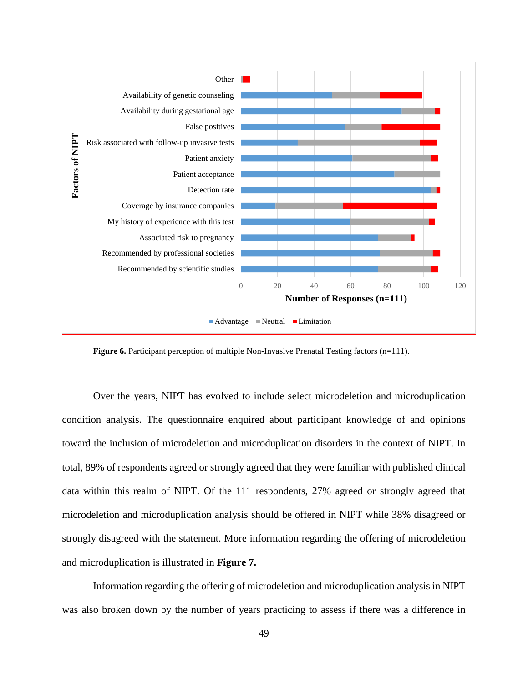

**Figure 6.** Participant perception of multiple Non-Invasive Prenatal Testing factors (n=111).

Over the years, NIPT has evolved to include select microdeletion and microduplication condition analysis. The questionnaire enquired about participant knowledge of and opinions toward the inclusion of microdeletion and microduplication disorders in the context of NIPT. In total, 89% of respondents agreed or strongly agreed that they were familiar with published clinical data within this realm of NIPT. Of the 111 respondents, 27% agreed or strongly agreed that microdeletion and microduplication analysis should be offered in NIPT while 38% disagreed or strongly disagreed with the statement. More information regarding the offering of microdeletion and microduplication is illustrated in **Figure 7.**

Information regarding the offering of microdeletion and microduplication analysis in NIPT was also broken down by the number of years practicing to assess if there was a difference in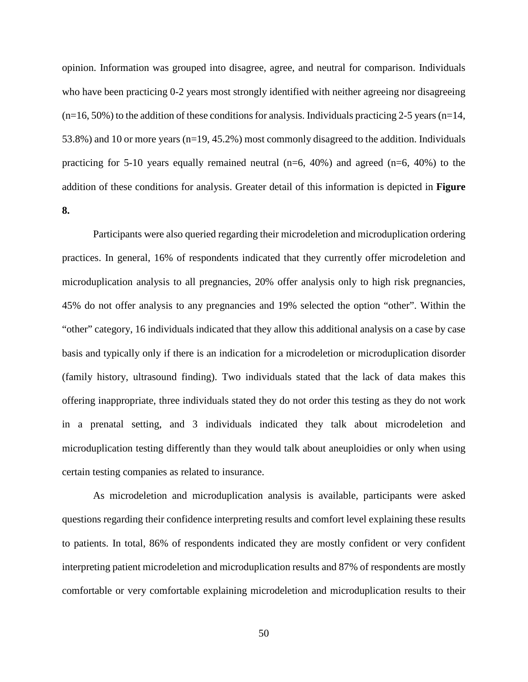opinion. Information was grouped into disagree, agree, and neutral for comparison. Individuals who have been practicing 0-2 years most strongly identified with neither agreeing nor disagreeing  $(n=16, 50\%)$  to the addition of these conditions for analysis. Individuals practicing 2-5 years  $(n=14, 50\%)$ 53.8%) and 10 or more years (n=19, 45.2%) most commonly disagreed to the addition. Individuals practicing for 5-10 years equally remained neutral  $(n=6, 40\%)$  and agreed  $(n=6, 40\%)$  to the addition of these conditions for analysis. Greater detail of this information is depicted in **Figure 8.**

Participants were also queried regarding their microdeletion and microduplication ordering practices. In general, 16% of respondents indicated that they currently offer microdeletion and microduplication analysis to all pregnancies, 20% offer analysis only to high risk pregnancies, 45% do not offer analysis to any pregnancies and 19% selected the option "other". Within the "other" category, 16 individuals indicated that they allow this additional analysis on a case by case basis and typically only if there is an indication for a microdeletion or microduplication disorder (family history, ultrasound finding). Two individuals stated that the lack of data makes this offering inappropriate, three individuals stated they do not order this testing as they do not work in a prenatal setting, and 3 individuals indicated they talk about microdeletion and microduplication testing differently than they would talk about aneuploidies or only when using certain testing companies as related to insurance.

As microdeletion and microduplication analysis is available, participants were asked questions regarding their confidence interpreting results and comfort level explaining these results to patients. In total, 86% of respondents indicated they are mostly confident or very confident interpreting patient microdeletion and microduplication results and 87% of respondents are mostly comfortable or very comfortable explaining microdeletion and microduplication results to their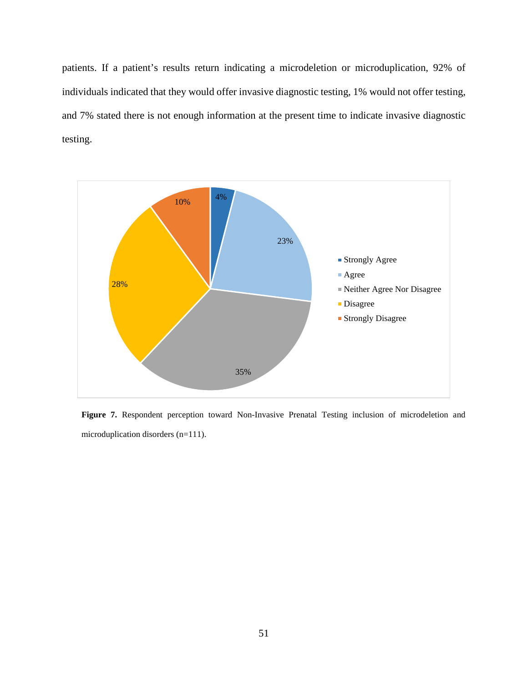patients. If a patient's results return indicating a microdeletion or microduplication, 92% of individuals indicated that they would offer invasive diagnostic testing, 1% would not offer testing, and 7% stated there is not enough information at the present time to indicate invasive diagnostic testing.



**Figure 7.** Respondent perception toward Non-Invasive Prenatal Testing inclusion of microdeletion and microduplication disorders (n=111).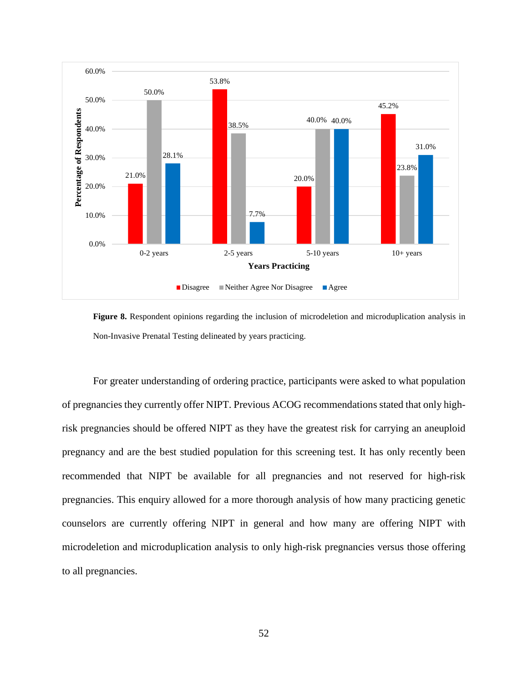

**Figure 8.** Respondent opinions regarding the inclusion of microdeletion and microduplication analysis in Non-Invasive Prenatal Testing delineated by years practicing.

For greater understanding of ordering practice, participants were asked to what population of pregnancies they currently offer NIPT. Previous ACOG recommendations stated that only highrisk pregnancies should be offered NIPT as they have the greatest risk for carrying an aneuploid pregnancy and are the best studied population for this screening test. It has only recently been recommended that NIPT be available for all pregnancies and not reserved for high-risk pregnancies. This enquiry allowed for a more thorough analysis of how many practicing genetic counselors are currently offering NIPT in general and how many are offering NIPT with microdeletion and microduplication analysis to only high-risk pregnancies versus those offering to all pregnancies.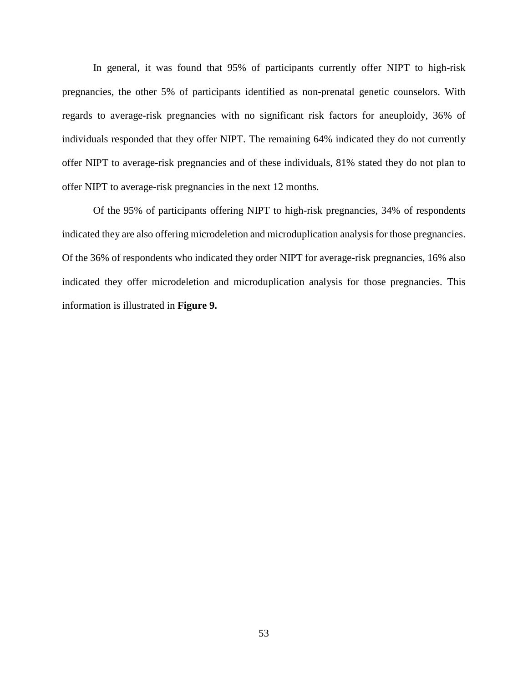In general, it was found that 95% of participants currently offer NIPT to high-risk pregnancies, the other 5% of participants identified as non-prenatal genetic counselors. With regards to average-risk pregnancies with no significant risk factors for aneuploidy, 36% of individuals responded that they offer NIPT. The remaining 64% indicated they do not currently offer NIPT to average-risk pregnancies and of these individuals, 81% stated they do not plan to offer NIPT to average-risk pregnancies in the next 12 months.

Of the 95% of participants offering NIPT to high-risk pregnancies, 34% of respondents indicated they are also offering microdeletion and microduplication analysis for those pregnancies. Of the 36% of respondents who indicated they order NIPT for average-risk pregnancies, 16% also indicated they offer microdeletion and microduplication analysis for those pregnancies. This information is illustrated in **Figure 9.**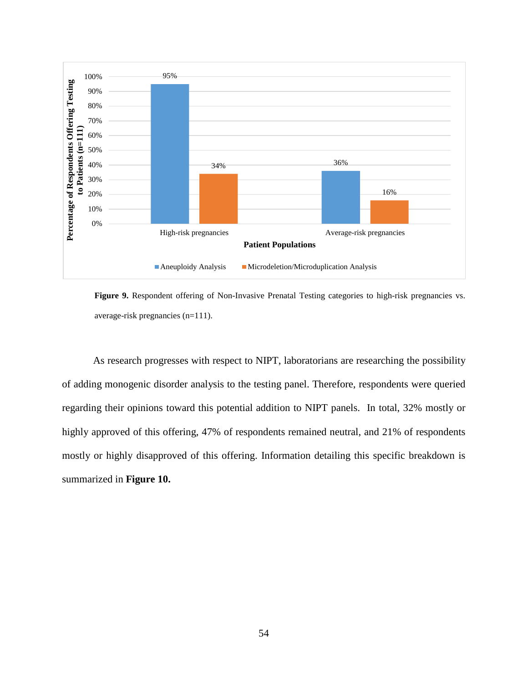

**Figure 9.** Respondent offering of Non-Invasive Prenatal Testing categories to high-risk pregnancies vs. average-risk pregnancies (n=111).

As research progresses with respect to NIPT, laboratorians are researching the possibility of adding monogenic disorder analysis to the testing panel. Therefore, respondents were queried regarding their opinions toward this potential addition to NIPT panels. In total, 32% mostly or highly approved of this offering, 47% of respondents remained neutral, and 21% of respondents mostly or highly disapproved of this offering. Information detailing this specific breakdown is summarized in **Figure 10.**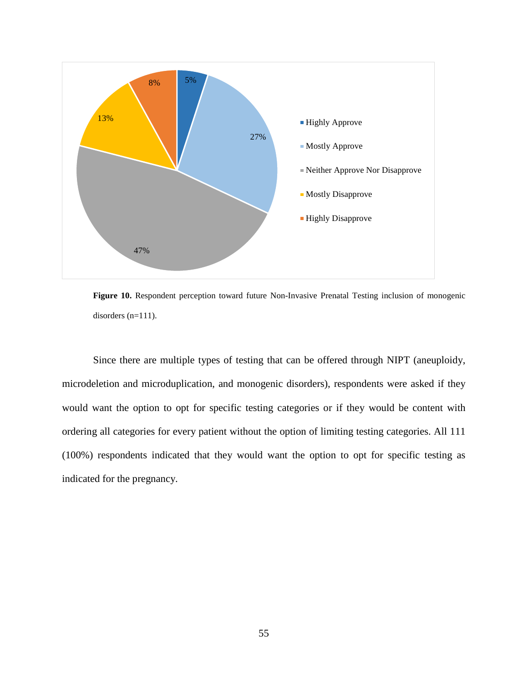

**Figure 10.** Respondent perception toward future Non-Invasive Prenatal Testing inclusion of monogenic disorders (n=111).

Since there are multiple types of testing that can be offered through NIPT (aneuploidy, microdeletion and microduplication, and monogenic disorders), respondents were asked if they would want the option to opt for specific testing categories or if they would be content with ordering all categories for every patient without the option of limiting testing categories. All 111 (100%) respondents indicated that they would want the option to opt for specific testing as indicated for the pregnancy.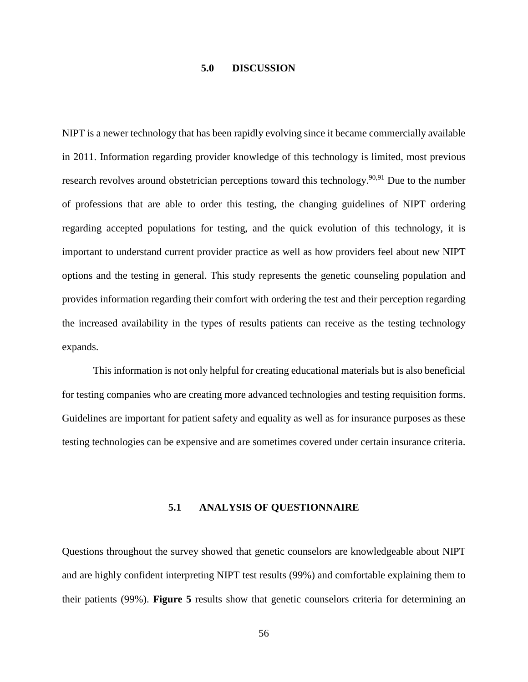# **5.0 DISCUSSION**

NIPT is a newer technology that has been rapidly evolving since it became commercially available in 2011. Information regarding provider knowledge of this technology is limited, most previous research revolves around obstetrician perceptions toward this technology.<sup>90,91</sup> Due to the number of professions that are able to order this testing, the changing guidelines of NIPT ordering regarding accepted populations for testing, and the quick evolution of this technology, it is important to understand current provider practice as well as how providers feel about new NIPT options and the testing in general. This study represents the genetic counseling population and provides information regarding their comfort with ordering the test and their perception regarding the increased availability in the types of results patients can receive as the testing technology expands.

This information is not only helpful for creating educational materials but is also beneficial for testing companies who are creating more advanced technologies and testing requisition forms. Guidelines are important for patient safety and equality as well as for insurance purposes as these testing technologies can be expensive and are sometimes covered under certain insurance criteria.

### **5.1 ANALYSIS OF QUESTIONNAIRE**

Questions throughout the survey showed that genetic counselors are knowledgeable about NIPT and are highly confident interpreting NIPT test results (99%) and comfortable explaining them to their patients (99%). **Figure 5** results show that genetic counselors criteria for determining an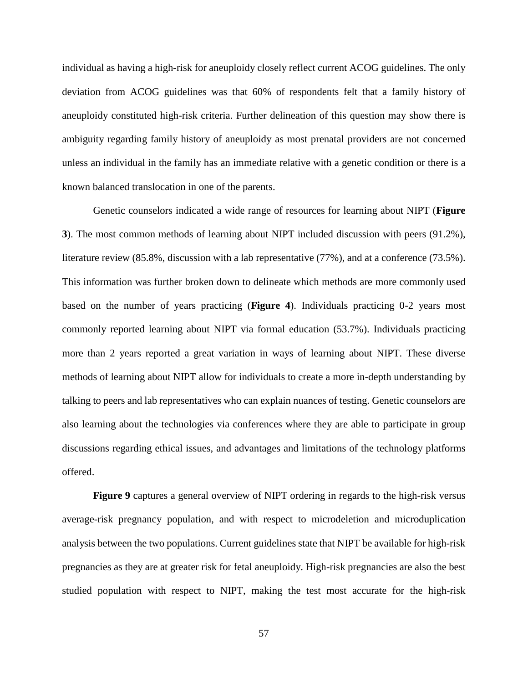individual as having a high-risk for aneuploidy closely reflect current ACOG guidelines. The only deviation from ACOG guidelines was that 60% of respondents felt that a family history of aneuploidy constituted high-risk criteria. Further delineation of this question may show there is ambiguity regarding family history of aneuploidy as most prenatal providers are not concerned unless an individual in the family has an immediate relative with a genetic condition or there is a known balanced translocation in one of the parents.

Genetic counselors indicated a wide range of resources for learning about NIPT (**Figure 3**). The most common methods of learning about NIPT included discussion with peers (91.2%), literature review (85.8%, discussion with a lab representative (77%), and at a conference (73.5%). This information was further broken down to delineate which methods are more commonly used based on the number of years practicing (**Figure 4**). Individuals practicing 0-2 years most commonly reported learning about NIPT via formal education (53.7%). Individuals practicing more than 2 years reported a great variation in ways of learning about NIPT. These diverse methods of learning about NIPT allow for individuals to create a more in-depth understanding by talking to peers and lab representatives who can explain nuances of testing. Genetic counselors are also learning about the technologies via conferences where they are able to participate in group discussions regarding ethical issues, and advantages and limitations of the technology platforms offered.

**Figure 9** captures a general overview of NIPT ordering in regards to the high-risk versus average-risk pregnancy population, and with respect to microdeletion and microduplication analysis between the two populations. Current guidelines state that NIPT be available for high-risk pregnancies as they are at greater risk for fetal aneuploidy. High-risk pregnancies are also the best studied population with respect to NIPT, making the test most accurate for the high-risk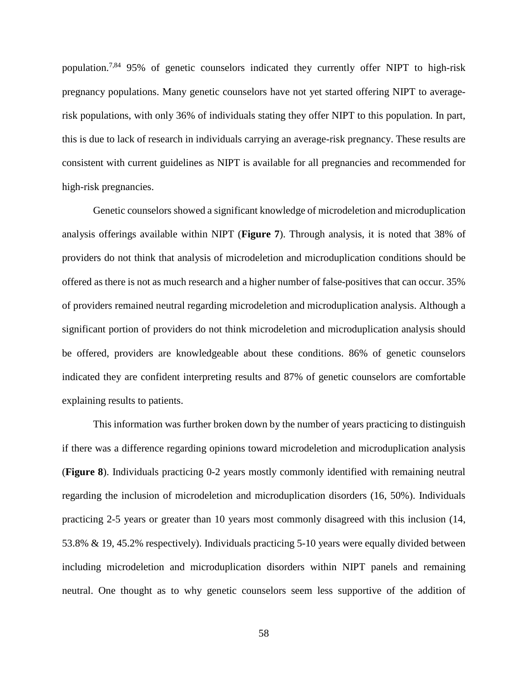population.7,84 95% of genetic counselors indicated they currently offer NIPT to high-risk pregnancy populations. Many genetic counselors have not yet started offering NIPT to averagerisk populations, with only 36% of individuals stating they offer NIPT to this population. In part, this is due to lack of research in individuals carrying an average-risk pregnancy. These results are consistent with current guidelines as NIPT is available for all pregnancies and recommended for high-risk pregnancies.

Genetic counselors showed a significant knowledge of microdeletion and microduplication analysis offerings available within NIPT (**Figure 7**). Through analysis, it is noted that 38% of providers do not think that analysis of microdeletion and microduplication conditions should be offered as there is not as much research and a higher number of false-positives that can occur. 35% of providers remained neutral regarding microdeletion and microduplication analysis. Although a significant portion of providers do not think microdeletion and microduplication analysis should be offered, providers are knowledgeable about these conditions. 86% of genetic counselors indicated they are confident interpreting results and 87% of genetic counselors are comfortable explaining results to patients.

This information was further broken down by the number of years practicing to distinguish if there was a difference regarding opinions toward microdeletion and microduplication analysis (**Figure 8**). Individuals practicing 0-2 years mostly commonly identified with remaining neutral regarding the inclusion of microdeletion and microduplication disorders (16, 50%). Individuals practicing 2-5 years or greater than 10 years most commonly disagreed with this inclusion (14, 53.8% & 19, 45.2% respectively). Individuals practicing 5-10 years were equally divided between including microdeletion and microduplication disorders within NIPT panels and remaining neutral. One thought as to why genetic counselors seem less supportive of the addition of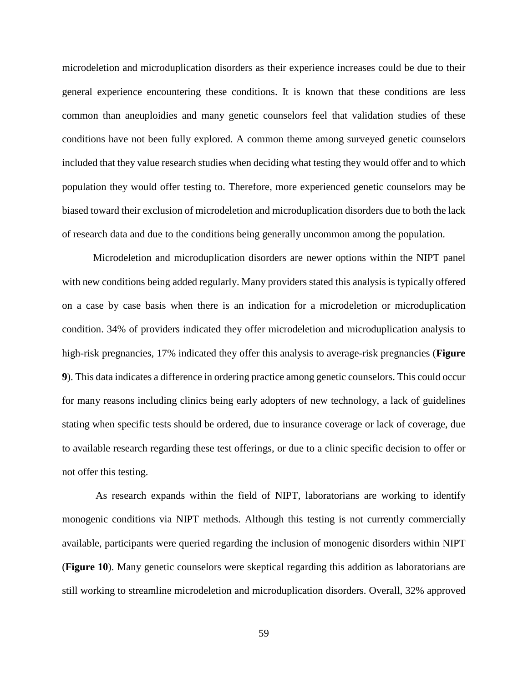microdeletion and microduplication disorders as their experience increases could be due to their general experience encountering these conditions. It is known that these conditions are less common than aneuploidies and many genetic counselors feel that validation studies of these conditions have not been fully explored. A common theme among surveyed genetic counselors included that they value research studies when deciding what testing they would offer and to which population they would offer testing to. Therefore, more experienced genetic counselors may be biased toward their exclusion of microdeletion and microduplication disorders due to both the lack of research data and due to the conditions being generally uncommon among the population.

Microdeletion and microduplication disorders are newer options within the NIPT panel with new conditions being added regularly. Many providers stated this analysis is typically offered on a case by case basis when there is an indication for a microdeletion or microduplication condition. 34% of providers indicated they offer microdeletion and microduplication analysis to high-risk pregnancies, 17% indicated they offer this analysis to average-risk pregnancies (**Figure 9**). This data indicates a difference in ordering practice among genetic counselors. This could occur for many reasons including clinics being early adopters of new technology, a lack of guidelines stating when specific tests should be ordered, due to insurance coverage or lack of coverage, due to available research regarding these test offerings, or due to a clinic specific decision to offer or not offer this testing.

As research expands within the field of NIPT, laboratorians are working to identify monogenic conditions via NIPT methods. Although this testing is not currently commercially available, participants were queried regarding the inclusion of monogenic disorders within NIPT (**Figure 10**). Many genetic counselors were skeptical regarding this addition as laboratorians are still working to streamline microdeletion and microduplication disorders. Overall, 32% approved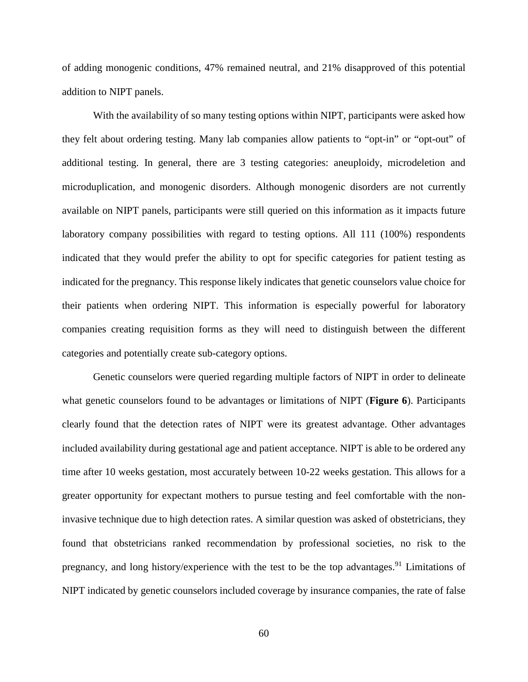of adding monogenic conditions, 47% remained neutral, and 21% disapproved of this potential addition to NIPT panels.

With the availability of so many testing options within NIPT, participants were asked how they felt about ordering testing. Many lab companies allow patients to "opt-in" or "opt-out" of additional testing. In general, there are 3 testing categories: aneuploidy, microdeletion and microduplication, and monogenic disorders. Although monogenic disorders are not currently available on NIPT panels, participants were still queried on this information as it impacts future laboratory company possibilities with regard to testing options. All 111 (100%) respondents indicated that they would prefer the ability to opt for specific categories for patient testing as indicated for the pregnancy. This response likely indicates that genetic counselors value choice for their patients when ordering NIPT. This information is especially powerful for laboratory companies creating requisition forms as they will need to distinguish between the different categories and potentially create sub-category options.

Genetic counselors were queried regarding multiple factors of NIPT in order to delineate what genetic counselors found to be advantages or limitations of NIPT (**Figure 6**). Participants clearly found that the detection rates of NIPT were its greatest advantage. Other advantages included availability during gestational age and patient acceptance. NIPT is able to be ordered any time after 10 weeks gestation, most accurately between 10-22 weeks gestation. This allows for a greater opportunity for expectant mothers to pursue testing and feel comfortable with the noninvasive technique due to high detection rates. A similar question was asked of obstetricians, they found that obstetricians ranked recommendation by professional societies, no risk to the pregnancy, and long history/experience with the test to be the top advantages.<sup>91</sup> Limitations of NIPT indicated by genetic counselors included coverage by insurance companies, the rate of false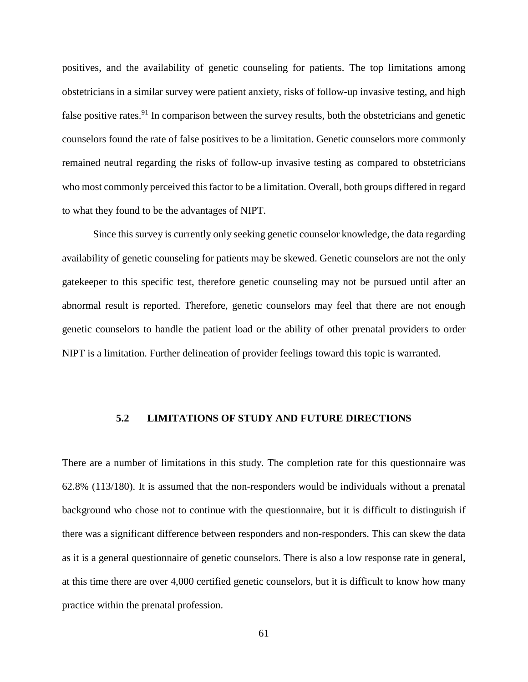positives, and the availability of genetic counseling for patients. The top limitations among obstetricians in a similar survey were patient anxiety, risks of follow-up invasive testing, and high false positive rates.<sup>91</sup> In comparison between the survey results, both the obstetricians and genetic counselors found the rate of false positives to be a limitation. Genetic counselors more commonly remained neutral regarding the risks of follow-up invasive testing as compared to obstetricians who most commonly perceived this factor to be a limitation. Overall, both groups differed in regard to what they found to be the advantages of NIPT.

Since this survey is currently only seeking genetic counselor knowledge, the data regarding availability of genetic counseling for patients may be skewed. Genetic counselors are not the only gatekeeper to this specific test, therefore genetic counseling may not be pursued until after an abnormal result is reported. Therefore, genetic counselors may feel that there are not enough genetic counselors to handle the patient load or the ability of other prenatal providers to order NIPT is a limitation. Further delineation of provider feelings toward this topic is warranted.

# **5.2 LIMITATIONS OF STUDY AND FUTURE DIRECTIONS**

There are a number of limitations in this study. The completion rate for this questionnaire was 62.8% (113/180). It is assumed that the non-responders would be individuals without a prenatal background who chose not to continue with the questionnaire, but it is difficult to distinguish if there was a significant difference between responders and non-responders. This can skew the data as it is a general questionnaire of genetic counselors. There is also a low response rate in general, at this time there are over 4,000 certified genetic counselors, but it is difficult to know how many practice within the prenatal profession.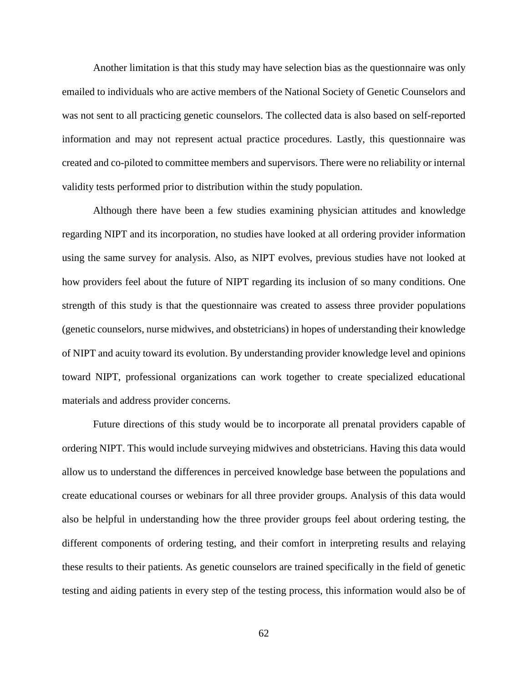Another limitation is that this study may have selection bias as the questionnaire was only emailed to individuals who are active members of the National Society of Genetic Counselors and was not sent to all practicing genetic counselors. The collected data is also based on self-reported information and may not represent actual practice procedures. Lastly, this questionnaire was created and co-piloted to committee members and supervisors. There were no reliability or internal validity tests performed prior to distribution within the study population.

Although there have been a few studies examining physician attitudes and knowledge regarding NIPT and its incorporation, no studies have looked at all ordering provider information using the same survey for analysis. Also, as NIPT evolves, previous studies have not looked at how providers feel about the future of NIPT regarding its inclusion of so many conditions. One strength of this study is that the questionnaire was created to assess three provider populations (genetic counselors, nurse midwives, and obstetricians) in hopes of understanding their knowledge of NIPT and acuity toward its evolution. By understanding provider knowledge level and opinions toward NIPT, professional organizations can work together to create specialized educational materials and address provider concerns.

Future directions of this study would be to incorporate all prenatal providers capable of ordering NIPT. This would include surveying midwives and obstetricians. Having this data would allow us to understand the differences in perceived knowledge base between the populations and create educational courses or webinars for all three provider groups. Analysis of this data would also be helpful in understanding how the three provider groups feel about ordering testing, the different components of ordering testing, and their comfort in interpreting results and relaying these results to their patients. As genetic counselors are trained specifically in the field of genetic testing and aiding patients in every step of the testing process, this information would also be of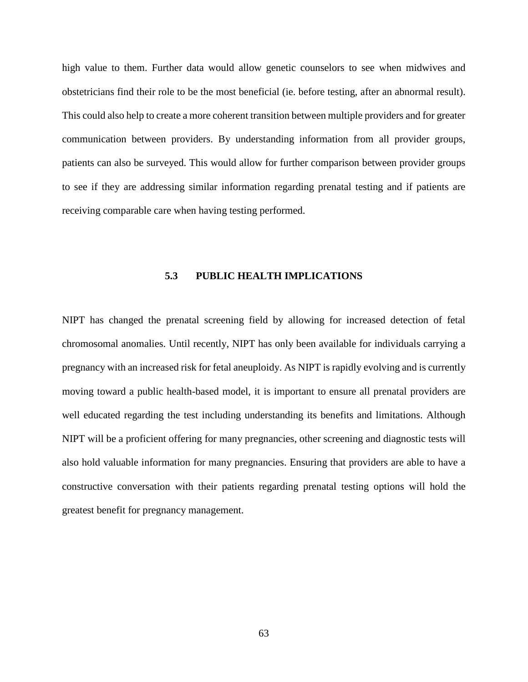high value to them. Further data would allow genetic counselors to see when midwives and obstetricians find their role to be the most beneficial (ie. before testing, after an abnormal result). This could also help to create a more coherent transition between multiple providers and for greater communication between providers. By understanding information from all provider groups, patients can also be surveyed. This would allow for further comparison between provider groups to see if they are addressing similar information regarding prenatal testing and if patients are receiving comparable care when having testing performed.

### **5.3 PUBLIC HEALTH IMPLICATIONS**

NIPT has changed the prenatal screening field by allowing for increased detection of fetal chromosomal anomalies. Until recently, NIPT has only been available for individuals carrying a pregnancy with an increased risk for fetal aneuploidy. As NIPT is rapidly evolving and is currently moving toward a public health-based model, it is important to ensure all prenatal providers are well educated regarding the test including understanding its benefits and limitations. Although NIPT will be a proficient offering for many pregnancies, other screening and diagnostic tests will also hold valuable information for many pregnancies. Ensuring that providers are able to have a constructive conversation with their patients regarding prenatal testing options will hold the greatest benefit for pregnancy management.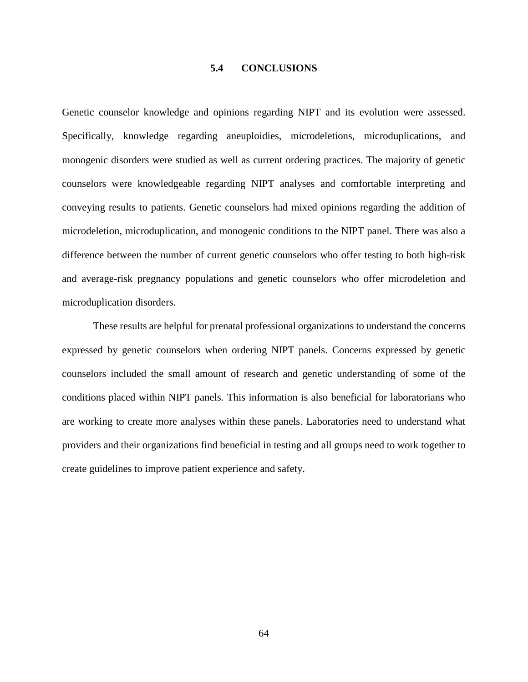#### **5.4 CONCLUSIONS**

Genetic counselor knowledge and opinions regarding NIPT and its evolution were assessed. Specifically, knowledge regarding aneuploidies, microdeletions, microduplications, and monogenic disorders were studied as well as current ordering practices. The majority of genetic counselors were knowledgeable regarding NIPT analyses and comfortable interpreting and conveying results to patients. Genetic counselors had mixed opinions regarding the addition of microdeletion, microduplication, and monogenic conditions to the NIPT panel. There was also a difference between the number of current genetic counselors who offer testing to both high-risk and average-risk pregnancy populations and genetic counselors who offer microdeletion and microduplication disorders.

These results are helpful for prenatal professional organizations to understand the concerns expressed by genetic counselors when ordering NIPT panels. Concerns expressed by genetic counselors included the small amount of research and genetic understanding of some of the conditions placed within NIPT panels. This information is also beneficial for laboratorians who are working to create more analyses within these panels. Laboratories need to understand what providers and their organizations find beneficial in testing and all groups need to work together to create guidelines to improve patient experience and safety.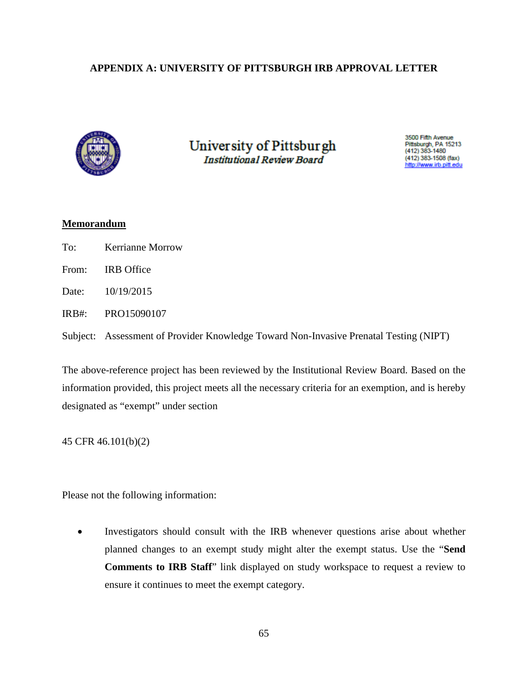# **APPENDIX A: UNIVERSITY OF PITTSBURGH IRB APPROVAL LETTER**



University of Pittsburgh **Institutional Review Board** 

3500 Fifth Avenue Pittsburgh, PA 15213<br>(412) 383-1480  $(412)$  383-1508 (fax) ttp://www.irb.pitt.edu

## **Memorandum**

- To: Kerrianne Morrow
- From: IRB Office
- Date: 10/19/2015

IRB#: PRO15090107

Subject: Assessment of Provider Knowledge Toward Non-Invasive Prenatal Testing (NIPT)

The above-reference project has been reviewed by the Institutional Review Board. Based on the information provided, this project meets all the necessary criteria for an exemption, and is hereby designated as "exempt" under section

45 CFR 46.101(b)(2)

Please not the following information:

Investigators should consult with the IRB whenever questions arise about whether planned changes to an exempt study might alter the exempt status. Use the "**Send Comments to IRB Staff**" link displayed on study workspace to request a review to ensure it continues to meet the exempt category.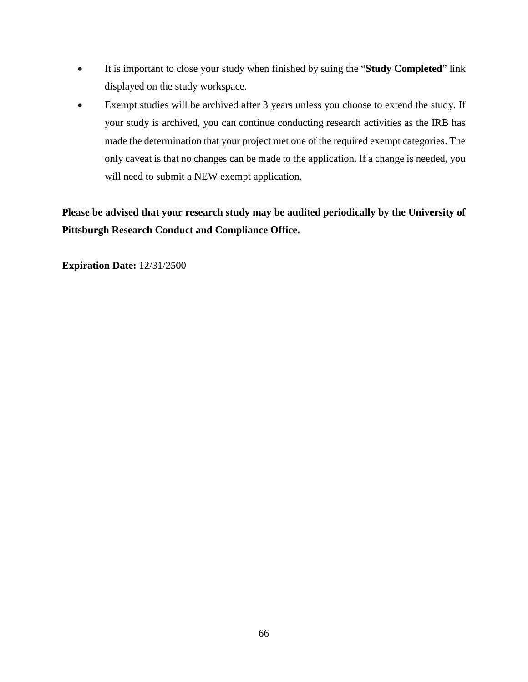- It is important to close your study when finished by suing the "**Study Completed**" link displayed on the study workspace.
- Exempt studies will be archived after 3 years unless you choose to extend the study. If your study is archived, you can continue conducting research activities as the IRB has made the determination that your project met one of the required exempt categories. The only caveat is that no changes can be made to the application. If a change is needed, you will need to submit a NEW exempt application.

**Please be advised that your research study may be audited periodically by the University of Pittsburgh Research Conduct and Compliance Office.**

**Expiration Date:** 12/31/2500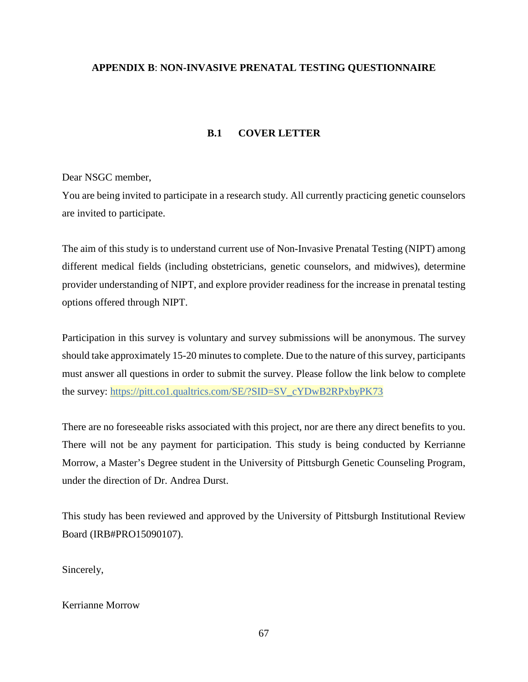## **APPENDIX B**: **NON-INVASIVE PRENATAL TESTING QUESTIONNAIRE**

## **B.1 COVER LETTER**

Dear NSGC member,

You are being invited to participate in a research study. All currently practicing genetic counselors are invited to participate.

The aim of this study is to understand current use of Non-Invasive Prenatal Testing (NIPT) among different medical fields (including obstetricians, genetic counselors, and midwives), determine provider understanding of NIPT, and explore provider readiness for the increase in prenatal testing options offered through NIPT.

Participation in this survey is voluntary and survey submissions will be anonymous. The survey should take approximately 15-20 minutes to complete. Due to the nature of this survey, participants must answer all questions in order to submit the survey. Please follow the link below to complete the survey: [https://pitt.co1.qualtrics.com/SE/?SID=SV\\_cYDwB2RPxbyPK73](https://pitt.co1.qualtrics.com/SE/?SID=SV_cYDwB2RPxbyPK73)

There are no foreseeable risks associated with this project, nor are there any direct benefits to you. There will not be any payment for participation. This study is being conducted by Kerrianne Morrow, a Master's Degree student in the University of Pittsburgh Genetic Counseling Program, under the direction of Dr. Andrea Durst.

This study has been reviewed and approved by the University of Pittsburgh Institutional Review Board (IRB#PRO15090107).

Sincerely,

#### Kerrianne Morrow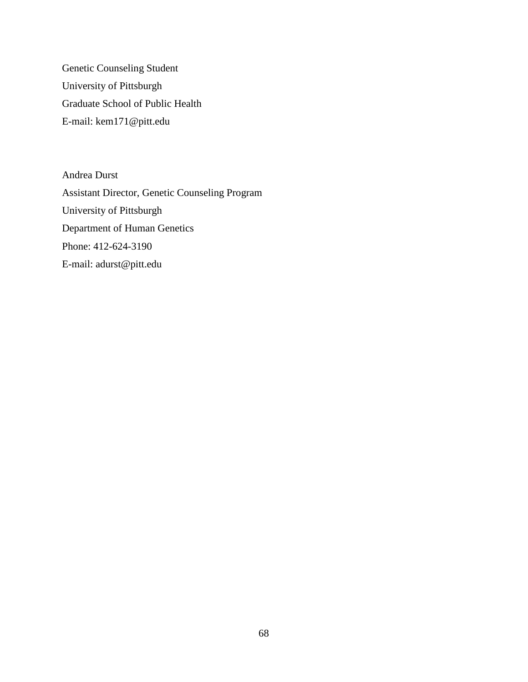Genetic Counseling Student University of Pittsburgh Graduate School of Public Health E-mail: kem171@pitt.edu

Andrea Durst Assistant Director, Genetic Counseling Program University of Pittsburgh Department of Human Genetics Phone: 412-624-3190 E-mail: adurst@pitt.edu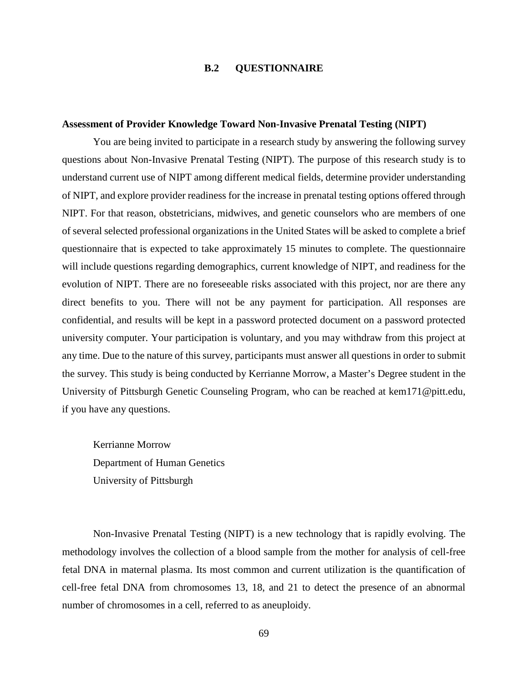## **B.2 QUESTIONNAIRE**

#### **Assessment of Provider Knowledge Toward Non-Invasive Prenatal Testing (NIPT)**

You are being invited to participate in a research study by answering the following survey questions about Non-Invasive Prenatal Testing (NIPT). The purpose of this research study is to understand current use of NIPT among different medical fields, determine provider understanding of NIPT, and explore provider readiness for the increase in prenatal testing options offered through NIPT. For that reason, obstetricians, midwives, and genetic counselors who are members of one of several selected professional organizations in the United States will be asked to complete a brief questionnaire that is expected to take approximately 15 minutes to complete. The questionnaire will include questions regarding demographics, current knowledge of NIPT, and readiness for the evolution of NIPT. There are no foreseeable risks associated with this project, nor are there any direct benefits to you. There will not be any payment for participation. All responses are confidential, and results will be kept in a password protected document on a password protected university computer. Your participation is voluntary, and you may withdraw from this project at any time. Due to the nature of this survey, participants must answer all questions in order to submit the survey. This study is being conducted by Kerrianne Morrow, a Master's Degree student in the University of Pittsburgh Genetic Counseling Program, who can be reached at kem171@pitt.edu, if you have any questions.

Kerrianne Morrow Department of Human Genetics University of Pittsburgh

Non-Invasive Prenatal Testing (NIPT) is a new technology that is rapidly evolving. The methodology involves the collection of a blood sample from the mother for analysis of cell-free fetal DNA in maternal plasma. Its most common and current utilization is the quantification of cell-free fetal DNA from chromosomes 13, 18, and 21 to detect the presence of an abnormal number of chromosomes in a cell, referred to as aneuploidy.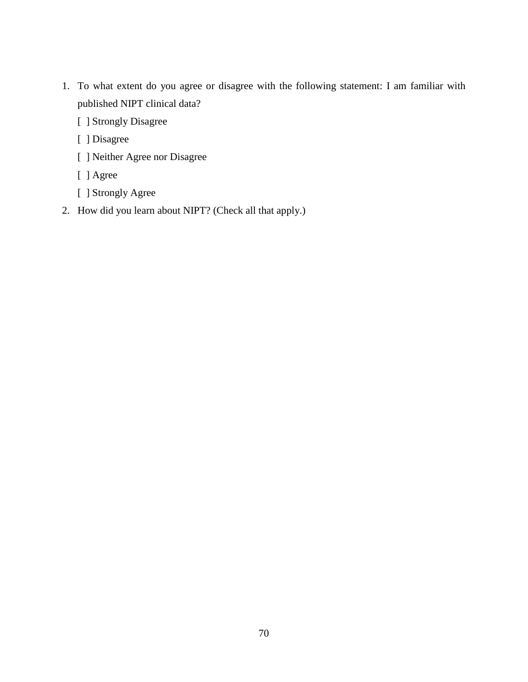- 1. To what extent do you agree or disagree with the following statement: I am familiar with published NIPT clinical data?
	- [ ] Strongly Disagree
	- [ ] Disagree
	- [ ] Neither Agree nor Disagree
	- [ ] Agree
	- [ ] Strongly Agree
- 2. How did you learn about NIPT? (Check all that apply.)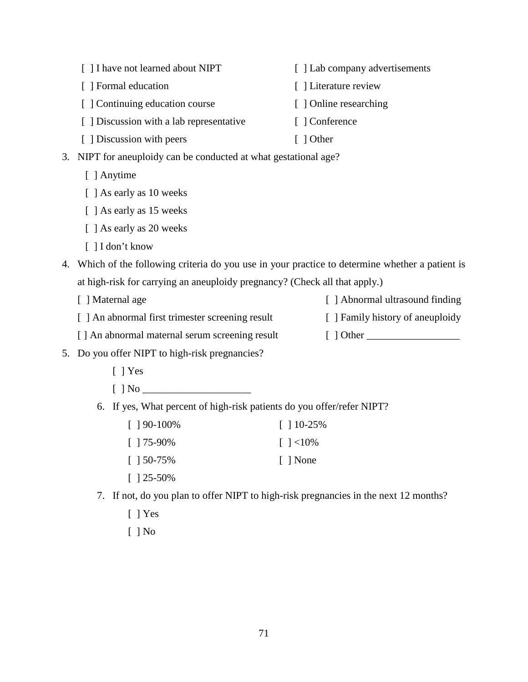|                                                                                                  | [ ] I have not learned about NIPT                                          | [ ] Lab company advertisements   |  |
|--------------------------------------------------------------------------------------------------|----------------------------------------------------------------------------|----------------------------------|--|
|                                                                                                  | [ ] Formal education                                                       | [] Literature review             |  |
|                                                                                                  | [ ] Continuing education course                                            | [ ] Online researching           |  |
|                                                                                                  | [ ] Discussion with a lab representative                                   | [ ] Conference                   |  |
|                                                                                                  | [ ] Discussion with peers                                                  | $\lceil$ ] Other                 |  |
| 3.                                                                                               | NIPT for aneuploidy can be conducted at what gestational age?              |                                  |  |
|                                                                                                  | [ ] Anytime                                                                |                                  |  |
|                                                                                                  | [ ] As early as 10 weeks                                                   |                                  |  |
|                                                                                                  | [ ] As early as 15 weeks                                                   |                                  |  |
|                                                                                                  | [ ] As early as 20 weeks                                                   |                                  |  |
|                                                                                                  | [ ] I don't know                                                           |                                  |  |
| 4. Which of the following criteria do you use in your practice to determine whether a patient is |                                                                            |                                  |  |
|                                                                                                  | at high-risk for carrying an aneuploidy pregnancy? (Check all that apply.) |                                  |  |
|                                                                                                  | [ ] Maternal age                                                           | [ ] Abnormal ultrasound finding  |  |
|                                                                                                  | [ ] An abnormal first trimester screening result                           | [ ] Family history of aneuploidy |  |
|                                                                                                  | [] An abnormal maternal serum screening result                             |                                  |  |
|                                                                                                  | 5. Do you offer NIPT to high-risk pregnancies?                             |                                  |  |
|                                                                                                  | $[$   Yes                                                                  |                                  |  |
|                                                                                                  |                                                                            |                                  |  |
|                                                                                                  | 6. If yes, What percent of high-risk patients do you offer/refer NIPT?     |                                  |  |
|                                                                                                  | $[$ 190-100%                                                               | $\lceil$ 10-25%                  |  |
|                                                                                                  |                                                                            |                                  |  |

- [ ] 75-90%  $[$  ]  $<$ 10%
- [ ] 50-75% [ ] None
- [ ] 25-50%
- 7. If not, do you plan to offer NIPT to high-risk pregnancies in the next 12 months?
	- [ ] Yes
	- [ ] No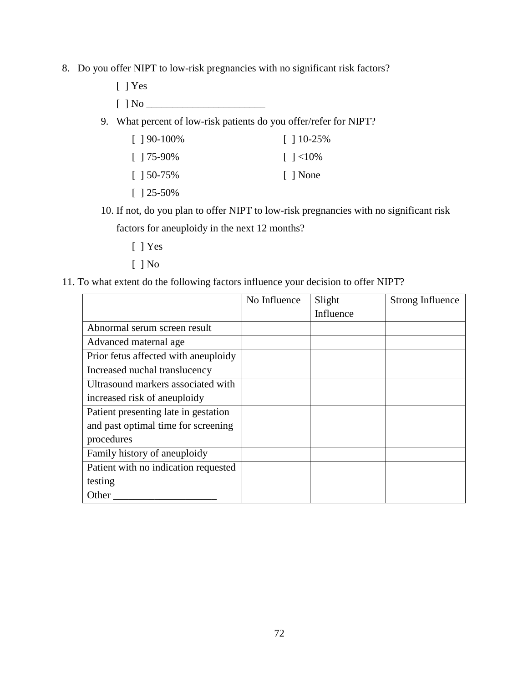- 8. Do you offer NIPT to low-risk pregnancies with no significant risk factors?
	- [ ] Yes
	- $[ ] No ]$
	- 9. What percent of low-risk patients do you offer/refer for NIPT?

| $\lceil 190 - 100\% \rceil$ | $\lceil$ 10-25%  |
|-----------------------------|------------------|
| $\lceil 175-90\% \rceil$    | $\lceil$ 1 < 10% |
| $\lceil 150 - 75\% \rceil$  | None             |
| $\lceil$ 125-50%            |                  |

10. If not, do you plan to offer NIPT to low-risk pregnancies with no significant risk

factors for aneuploidy in the next 12 months?

- [ ] Yes
- [ ] No
- 11. To what extent do the following factors influence your decision to offer NIPT?

|                                      | No Influence | Slight    | <b>Strong Influence</b> |
|--------------------------------------|--------------|-----------|-------------------------|
|                                      |              | Influence |                         |
| Abnormal serum screen result         |              |           |                         |
| Advanced maternal age                |              |           |                         |
| Prior fetus affected with aneuploidy |              |           |                         |
| Increased nuchal translucency        |              |           |                         |
| Ultrasound markers associated with   |              |           |                         |
| increased risk of aneuploidy         |              |           |                         |
| Patient presenting late in gestation |              |           |                         |
| and past optimal time for screening  |              |           |                         |
| procedures                           |              |           |                         |
| Family history of aneuploidy         |              |           |                         |
| Patient with no indication requested |              |           |                         |
| testing                              |              |           |                         |
| Other                                |              |           |                         |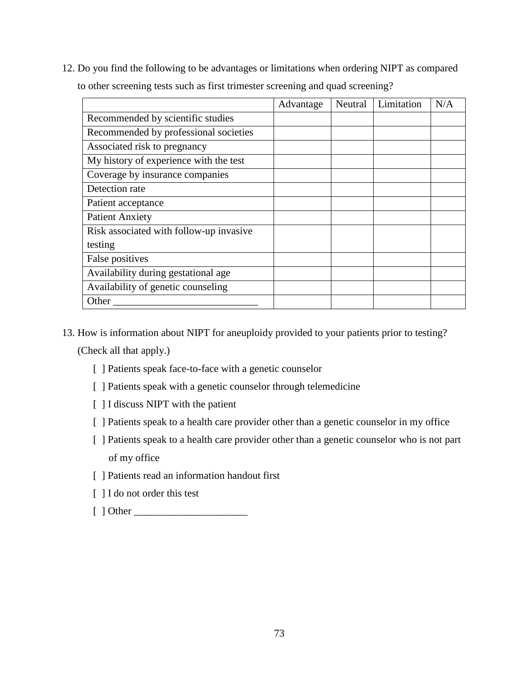12. Do you find the following to be advantages or limitations when ordering NIPT as compared to other screening tests such as first trimester screening and quad screening?

|                                         | Advantage | Neutral | Limitation | N/A |
|-----------------------------------------|-----------|---------|------------|-----|
| Recommended by scientific studies       |           |         |            |     |
| Recommended by professional societies   |           |         |            |     |
| Associated risk to pregnancy            |           |         |            |     |
| My history of experience with the test  |           |         |            |     |
| Coverage by insurance companies         |           |         |            |     |
| Detection rate                          |           |         |            |     |
| Patient acceptance                      |           |         |            |     |
| <b>Patient Anxiety</b>                  |           |         |            |     |
| Risk associated with follow-up invasive |           |         |            |     |
| testing                                 |           |         |            |     |
| False positives                         |           |         |            |     |
| Availability during gestational age     |           |         |            |     |
| Availability of genetic counseling      |           |         |            |     |
| Other                                   |           |         |            |     |

13. How is information about NIPT for aneuploidy provided to your patients prior to testing?

(Check all that apply.)

- [ ] Patients speak face-to-face with a genetic counselor
- [ ] Patients speak with a genetic counselor through telemedicine
- [ ] I discuss NIPT with the patient
- [ ] Patients speak to a health care provider other than a genetic counselor in my office
- [ ] Patients speak to a health care provider other than a genetic counselor who is not part of my office
- [ ] Patients read an information handout first
- [ ] I do not order this test
- [ ] Other \_\_\_\_\_\_\_\_\_\_\_\_\_\_\_\_\_\_\_\_\_\_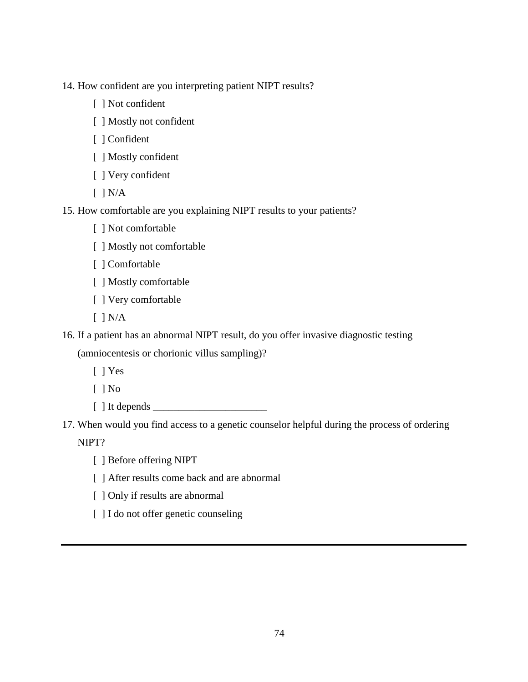14. How confident are you interpreting patient NIPT results?

- [ ] Not confident
- [ ] Mostly not confident
- [ ] Confident
- [ ] Mostly confident
- [ ] Very confident
- [ ] N/A
- 15. How comfortable are you explaining NIPT results to your patients?
	- [ ] Not comfortable
	- [ ] Mostly not comfortable
	- [ ] Comfortable
	- [ ] Mostly comfortable
	- [ ] Very comfortable
	- $[$   $]$   $N/A$
- 16. If a patient has an abnormal NIPT result, do you offer invasive diagnostic testing

(amniocentesis or chorionic villus sampling)?

- [ ] Yes
- $[$   $]$  No
- $[ ]$  It depends  $[ ]$
- 17. When would you find access to a genetic counselor helpful during the process of ordering NIPT?
	- [ ] Before offering NIPT
	- [ ] After results come back and are abnormal
	- [ ] Only if results are abnormal
	- [ ] I do not offer genetic counseling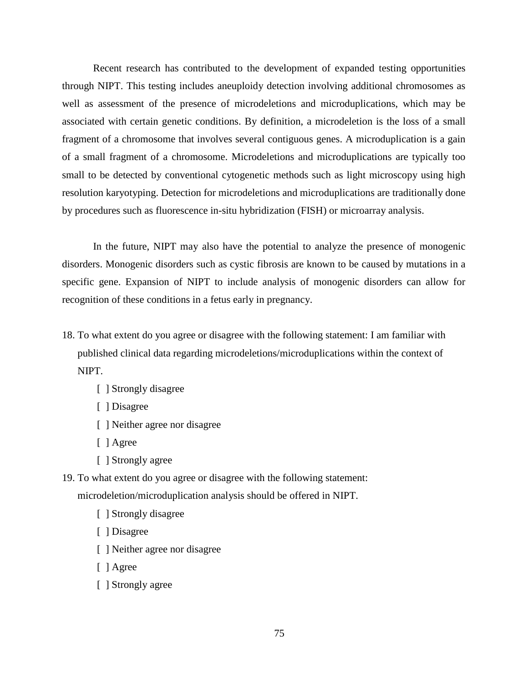Recent research has contributed to the development of expanded testing opportunities through NIPT. This testing includes aneuploidy detection involving additional chromosomes as well as assessment of the presence of microdeletions and microduplications, which may be associated with certain genetic conditions. By definition, a microdeletion is the loss of a small fragment of a chromosome that involves several contiguous genes. A microduplication is a gain of a small fragment of a chromosome. Microdeletions and microduplications are typically too small to be detected by conventional cytogenetic methods such as light microscopy using high resolution karyotyping. Detection for microdeletions and microduplications are traditionally done by procedures such as fluorescence in-situ hybridization (FISH) or microarray analysis.

In the future, NIPT may also have the potential to analyze the presence of monogenic disorders. Monogenic disorders such as cystic fibrosis are known to be caused by mutations in a specific gene. Expansion of NIPT to include analysis of monogenic disorders can allow for recognition of these conditions in a fetus early in pregnancy.

- 18. To what extent do you agree or disagree with the following statement: I am familiar with published clinical data regarding microdeletions/microduplications within the context of NIPT.
	- [ ] Strongly disagree
	- [ ] Disagree
	- [ ] Neither agree nor disagree
	- [ ] Agree
	- [ ] Strongly agree
- 19. To what extent do you agree or disagree with the following statement: microdeletion/microduplication analysis should be offered in NIPT.
	- [ ] Strongly disagree
	- [ ] Disagree
	- [ ] Neither agree nor disagree
	- [ ] Agree
	- [ ] Strongly agree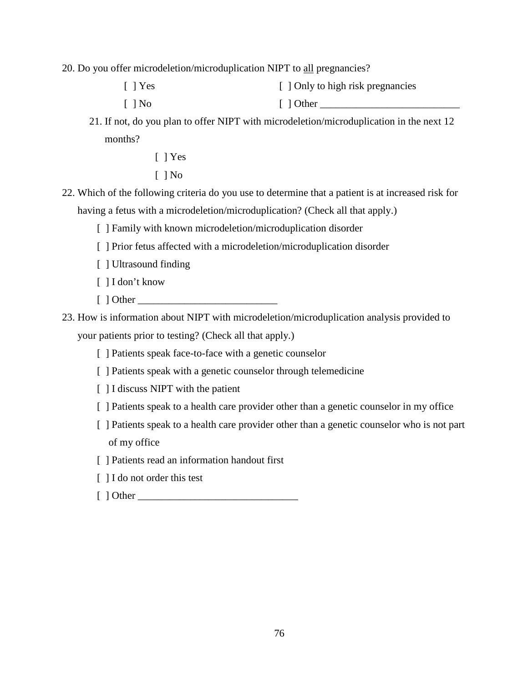20. Do you offer microdeletion/microduplication NIPT to all pregnancies?

- [ ] Yes [  $\vert$  Only to high risk pregnancies
- [ ] No  $[$  ] Other  $\_\_$
- 21. If not, do you plan to offer NIPT with microdeletion/microduplication in the next 12 months?
	- [ ] Yes
	- $[$   $]$  No
- 22. Which of the following criteria do you use to determine that a patient is at increased risk for having a fetus with a microdeletion/microduplication? (Check all that apply.)
	- [ ] Family with known microdeletion/microduplication disorder
	- [ ] Prior fetus affected with a microdeletion/microduplication disorder
	- [ ] Ultrasound finding
	- [ ] I don't know
	- $\lceil$  ] Other
- 23. How is information about NIPT with microdeletion/microduplication analysis provided to your patients prior to testing? (Check all that apply.)
	- [ ] Patients speak face-to-face with a genetic counselor
	- [ ] Patients speak with a genetic counselor through telemedicine
	- [ ] I discuss NIPT with the patient
	- [ ] Patients speak to a health care provider other than a genetic counselor in my office
	- [ ] Patients speak to a health care provider other than a genetic counselor who is not part of my office
	- [ ] Patients read an information handout first
	- [ ] I do not order this test
	- [ ] Other \_\_\_\_\_\_\_\_\_\_\_\_\_\_\_\_\_\_\_\_\_\_\_\_\_\_\_\_\_\_\_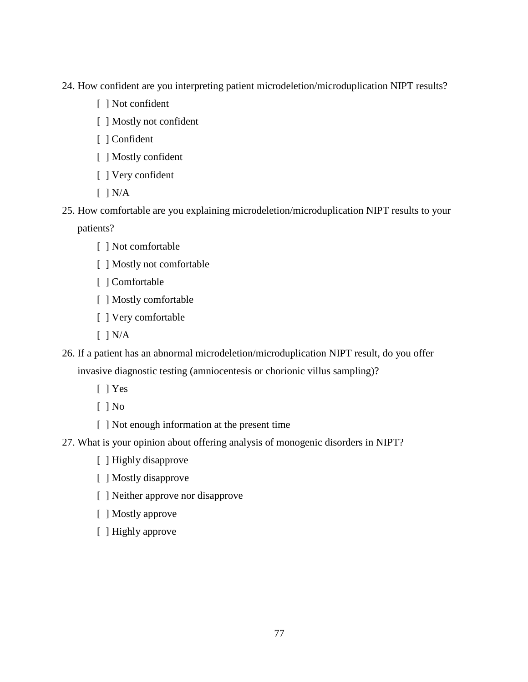24. How confident are you interpreting patient microdeletion/microduplication NIPT results?

- [ ] Not confident
- [ ] Mostly not confident
- [ ] Confident
- [ ] Mostly confident
- [ ] Very confident
- $[ ] N/A ]$
- 25. How comfortable are you explaining microdeletion/microduplication NIPT results to your

patients?

- [ ] Not comfortable
- [ ] Mostly not comfortable
- [ ] Comfortable
- [ ] Mostly comfortable
- [ ] Very comfortable
- $\lceil$   $\rceil$  N/A
- 26. If a patient has an abnormal microdeletion/microduplication NIPT result, do you offer invasive diagnostic testing (amniocentesis or chorionic villus sampling)?
	- [ ] Yes

[ ] No

- [ ] Not enough information at the present time
- 27. What is your opinion about offering analysis of monogenic disorders in NIPT?
	- [ ] Highly disapprove
	- [ ] Mostly disapprove
	- [ ] Neither approve nor disapprove
	- [ ] Mostly approve
	- [ ] Highly approve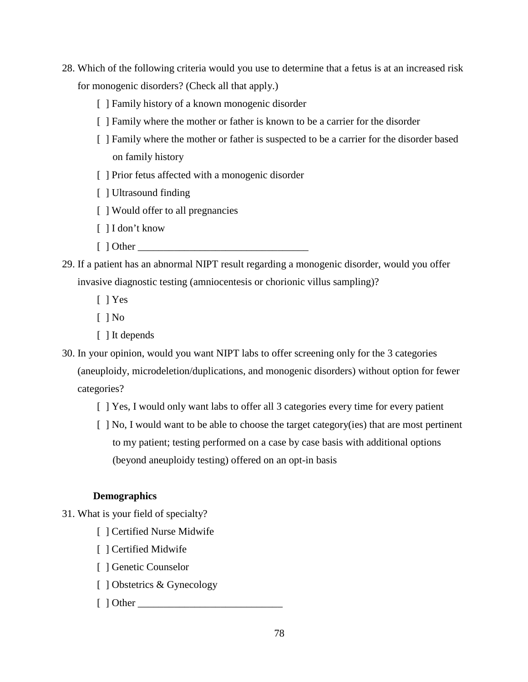- 28. Which of the following criteria would you use to determine that a fetus is at an increased risk for monogenic disorders? (Check all that apply.)
	- [ ] Family history of a known monogenic disorder
	- [ ] Family where the mother or father is known to be a carrier for the disorder
	- [ ] Family where the mother or father is suspected to be a carrier for the disorder based on family history
	- [ ] Prior fetus affected with a monogenic disorder
	- [ ] Ultrasound finding
	- [ ] Would offer to all pregnancies
	- [ ] I don't know
	- $\lceil$   $\lceil$  Other  $\lceil$
- 29. If a patient has an abnormal NIPT result regarding a monogenic disorder, would you offer invasive diagnostic testing (amniocentesis or chorionic villus sampling)?
	- [ ] Yes
	- $[$   $]$  No
	- [ ] It depends
- 30. In your opinion, would you want NIPT labs to offer screening only for the 3 categories (aneuploidy, microdeletion/duplications, and monogenic disorders) without option for fewer categories?
	- [ ] Yes, I would only want labs to offer all 3 categories every time for every patient
	- [ ] No, I would want to be able to choose the target category(ies) that are most pertinent to my patient; testing performed on a case by case basis with additional options (beyond aneuploidy testing) offered on an opt-in basis

### **Demographics**

- 31. What is your field of specialty?
	- [ ] Certified Nurse Midwife
	- [ ] Certified Midwife
	- [ ] Genetic Counselor
	- [ ] Obstetrics & Gynecology
	- $\lceil$  1 Other  $\lceil$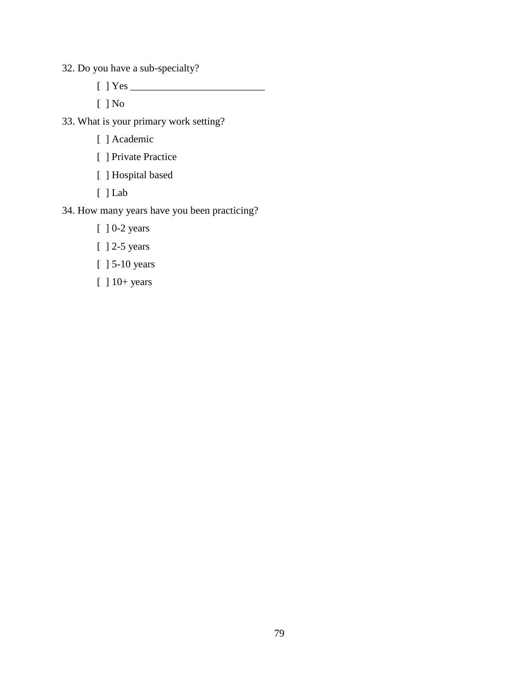32. Do you have a sub-specialty?

[ ] Yes \_\_\_\_\_\_\_\_\_\_\_\_\_\_\_\_\_\_\_\_\_\_\_\_\_\_

[ ] No

33. What is your primary work setting?

- [ ] Academic
- [ ] Private Practice
- [ ] Hospital based
- [ ] Lab

# 34. How many years have you been practicing?

- [ ] 0-2 years
- [ ] 2-5 years
- [ ] 5-10 years
- [ ] 10+ years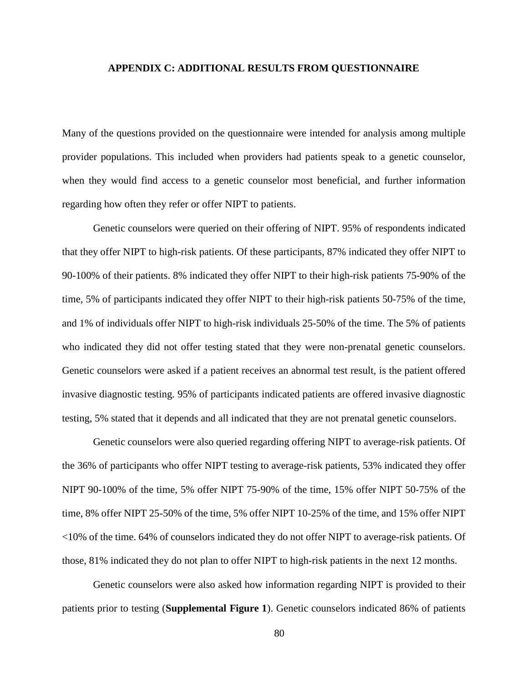#### **APPENDIX C: ADDITIONAL RESULTS FROM QUESTIONNAIRE**

Many of the questions provided on the questionnaire were intended for analysis among multiple provider populations. This included when providers had patients speak to a genetic counselor, when they would find access to a genetic counselor most beneficial, and further information regarding how often they refer or offer NIPT to patients.

Genetic counselors were queried on their offering of NIPT. 95% of respondents indicated that they offer NIPT to high-risk patients. Of these participants, 87% indicated they offer NIPT to 90-100% of their patients. 8% indicated they offer NIPT to their high-risk patients 75-90% of the time, 5% of participants indicated they offer NIPT to their high-risk patients 50-75% of the time, and 1% of individuals offer NIPT to high-risk individuals 25-50% of the time. The 5% of patients who indicated they did not offer testing stated that they were non-prenatal genetic counselors. Genetic counselors were asked if a patient receives an abnormal test result, is the patient offered invasive diagnostic testing. 95% of participants indicated patients are offered invasive diagnostic testing, 5% stated that it depends and all indicated that they are not prenatal genetic counselors.

Genetic counselors were also queried regarding offering NIPT to average-risk patients. Of the 36% of participants who offer NIPT testing to average-risk patients, 53% indicated they offer NIPT 90-100% of the time, 5% offer NIPT 75-90% of the time, 15% offer NIPT 50-75% of the time, 8% offer NIPT 25-50% of the time, 5% offer NIPT 10-25% of the time, and 15% offer NIPT <10% of the time. 64% of counselors indicated they do not offer NIPT to average-risk patients. Of those, 81% indicated they do not plan to offer NIPT to high-risk patients in the next 12 months.

Genetic counselors were also asked how information regarding NIPT is provided to their patients prior to testing (**Supplemental Figure 1**). Genetic counselors indicated 86% of patients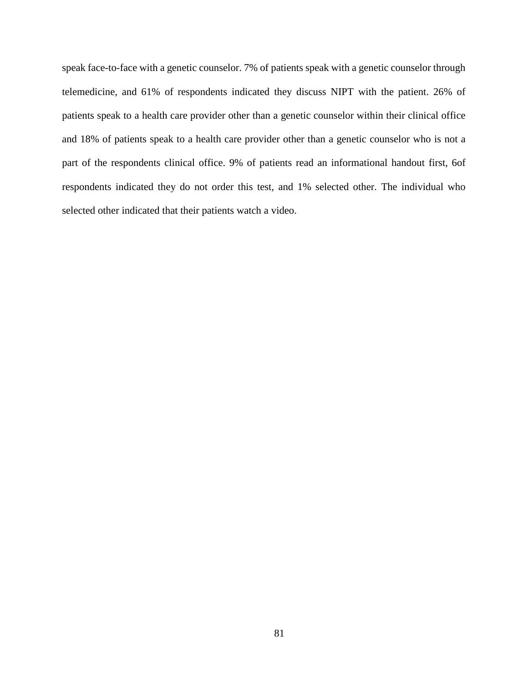speak face-to-face with a genetic counselor. 7% of patients speak with a genetic counselor through telemedicine, and 61% of respondents indicated they discuss NIPT with the patient. 26% of patients speak to a health care provider other than a genetic counselor within their clinical office and 18% of patients speak to a health care provider other than a genetic counselor who is not a part of the respondents clinical office. 9% of patients read an informational handout first, 6of respondents indicated they do not order this test, and 1% selected other. The individual who selected other indicated that their patients watch a video.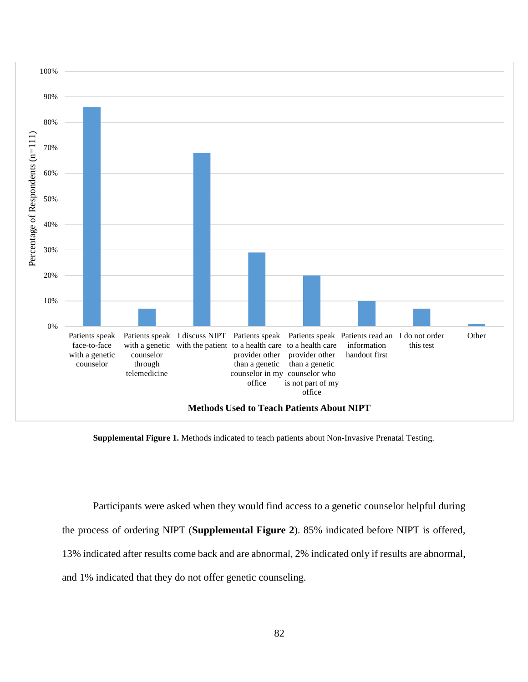

**Supplemental Figure 1.** Methods indicated to teach patients about Non-Invasive Prenatal Testing.

Participants were asked when they would find access to a genetic counselor helpful during

the process of ordering NIPT (**Supplemental Figure 2**). 85% indicated before NIPT is offered,

13% indicated after results come back and are abnormal, 2% indicated only if results are abnormal,

and 1% indicated that they do not offer genetic counseling.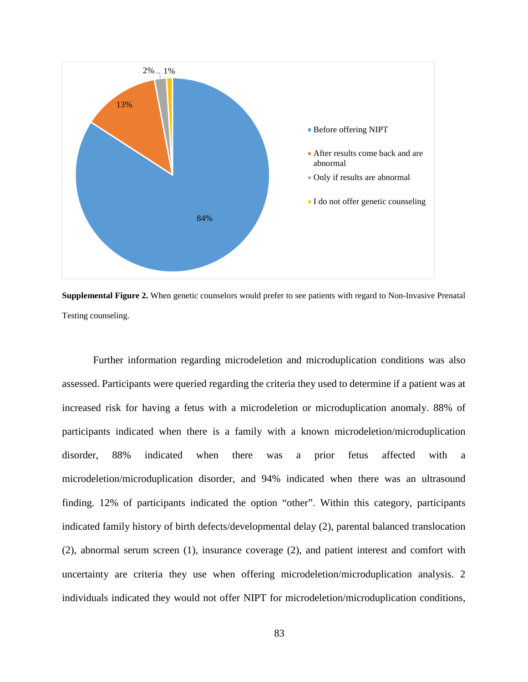

**Supplemental Figure 2.** When genetic counselors would prefer to see patients with regard to Non-Invasive Prenatal Testing counseling.

Further information regarding microdeletion and microduplication conditions was also assessed. Participants were queried regarding the criteria they used to determine if a patient was at increased risk for having a fetus with a microdeletion or microduplication anomaly. 88% of participants indicated when there is a family with a known microdeletion/microduplication disorder, 88% indicated when there was a prior fetus affected with a microdeletion/microduplication disorder, and 94% indicated when there was an ultrasound finding. 12% of participants indicated the option "other". Within this category, participants indicated family history of birth defects/developmental delay (2), parental balanced translocation (2), abnormal serum screen (1), insurance coverage (2), and patient interest and comfort with uncertainty are criteria they use when offering microdeletion/microduplication analysis. 2 individuals indicated they would not offer NIPT for microdeletion/microduplication conditions,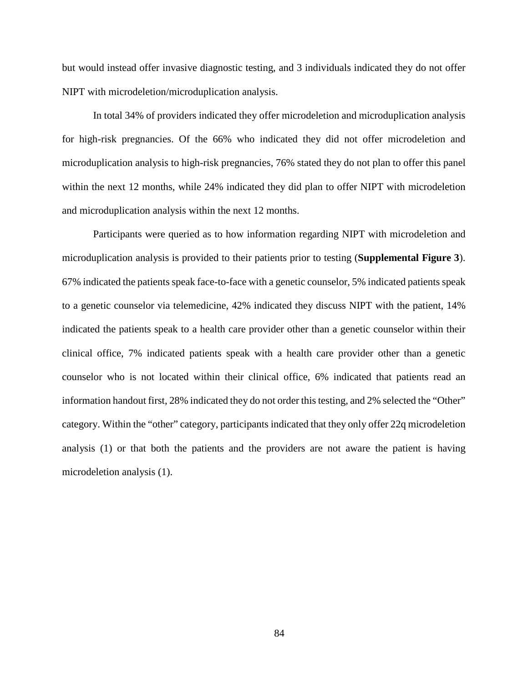but would instead offer invasive diagnostic testing, and 3 individuals indicated they do not offer NIPT with microdeletion/microduplication analysis.

In total 34% of providers indicated they offer microdeletion and microduplication analysis for high-risk pregnancies. Of the 66% who indicated they did not offer microdeletion and microduplication analysis to high-risk pregnancies, 76% stated they do not plan to offer this panel within the next 12 months, while 24% indicated they did plan to offer NIPT with microdeletion and microduplication analysis within the next 12 months.

Participants were queried as to how information regarding NIPT with microdeletion and microduplication analysis is provided to their patients prior to testing (**Supplemental Figure 3**). 67% indicated the patients speak face-to-face with a genetic counselor, 5% indicated patients speak to a genetic counselor via telemedicine, 42% indicated they discuss NIPT with the patient, 14% indicated the patients speak to a health care provider other than a genetic counselor within their clinical office, 7% indicated patients speak with a health care provider other than a genetic counselor who is not located within their clinical office, 6% indicated that patients read an information handout first, 28% indicated they do not order this testing, and 2% selected the "Other" category. Within the "other" category, participants indicated that they only offer 22q microdeletion analysis (1) or that both the patients and the providers are not aware the patient is having microdeletion analysis (1).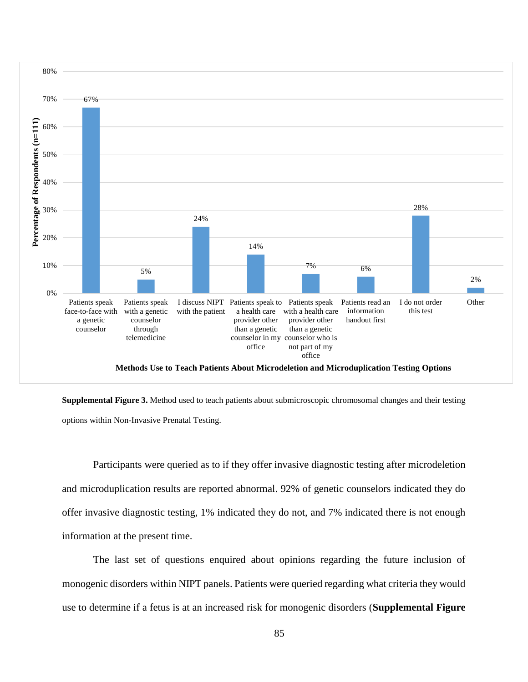

**Supplemental Figure 3.** Method used to teach patients about submicroscopic chromosomal changes and their testing options within Non-Invasive Prenatal Testing.

Participants were queried as to if they offer invasive diagnostic testing after microdeletion and microduplication results are reported abnormal. 92% of genetic counselors indicated they do offer invasive diagnostic testing, 1% indicated they do not, and 7% indicated there is not enough information at the present time.

The last set of questions enquired about opinions regarding the future inclusion of monogenic disorders within NIPT panels. Patients were queried regarding what criteria they would use to determine if a fetus is at an increased risk for monogenic disorders (**Supplemental Figure**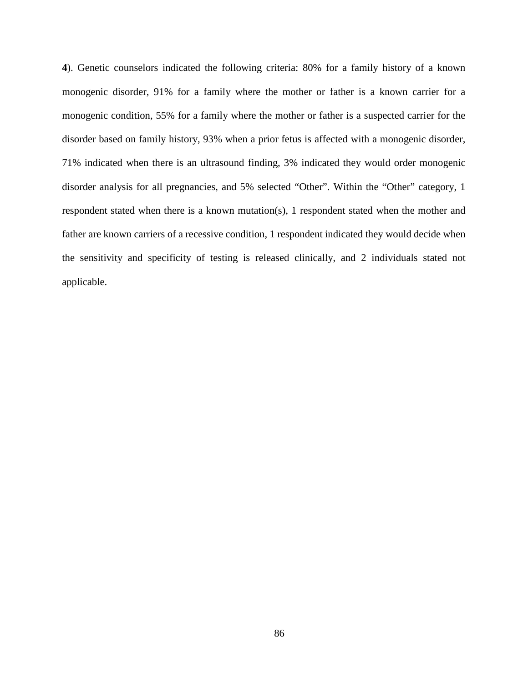**4**). Genetic counselors indicated the following criteria: 80% for a family history of a known monogenic disorder, 91% for a family where the mother or father is a known carrier for a monogenic condition, 55% for a family where the mother or father is a suspected carrier for the disorder based on family history, 93% when a prior fetus is affected with a monogenic disorder, 71% indicated when there is an ultrasound finding, 3% indicated they would order monogenic disorder analysis for all pregnancies, and 5% selected "Other". Within the "Other" category, 1 respondent stated when there is a known mutation(s), 1 respondent stated when the mother and father are known carriers of a recessive condition, 1 respondent indicated they would decide when the sensitivity and specificity of testing is released clinically, and 2 individuals stated not applicable.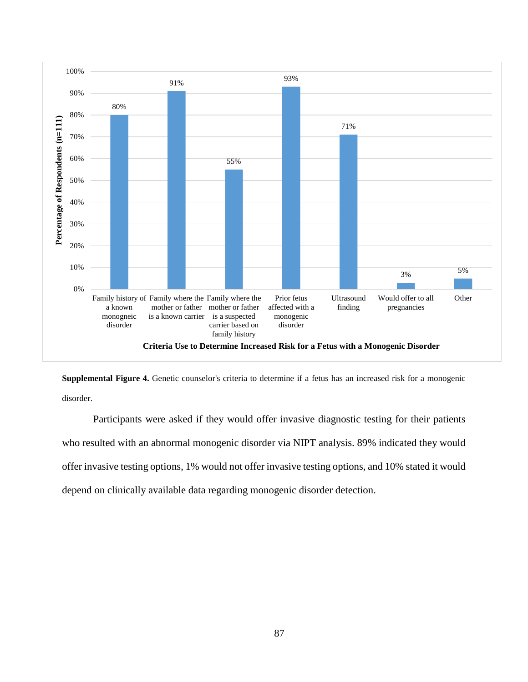

**Supplemental Figure 4.** Genetic counselor's criteria to determine if a fetus has an increased risk for a monogenic disorder.

Participants were asked if they would offer invasive diagnostic testing for their patients who resulted with an abnormal monogenic disorder via NIPT analysis. 89% indicated they would offer invasive testing options, 1% would not offer invasive testing options, and 10% stated it would depend on clinically available data regarding monogenic disorder detection.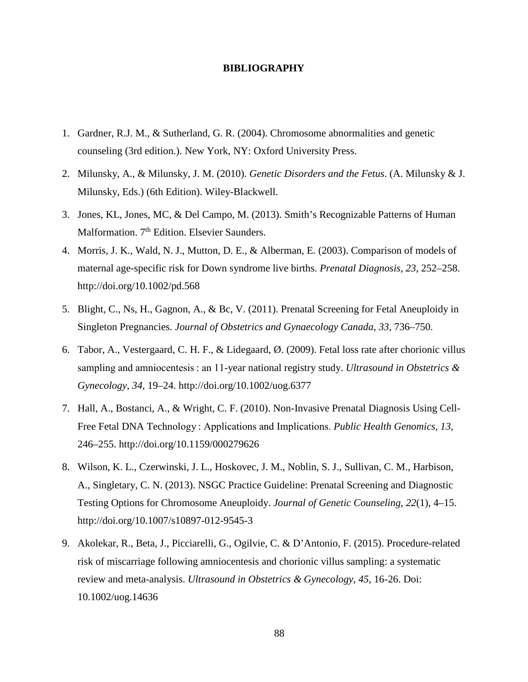#### **BIBLIOGRAPHY**

- 1. Gardner, R.J. M., & Sutherland, G. R. (2004). Chromosome abnormalities and genetic counseling (3rd edition.). New York, NY: Oxford University Press.
- 2. Milunsky, A., & Milunsky, J. M. (2010). *Genetic Disorders and the Fetus*. (A. Milunsky & J. Milunsky, Eds.) (6th Edition). Wiley-Blackwell.
- 3. Jones, KL, Jones, MC, & Del Campo, M. (2013). Smith's Recognizable Patterns of Human Malformation.  $7<sup>th</sup>$  Edition. Elsevier Saunders.
- 4. Morris, J. K., Wald, N. J., Mutton, D. E., & Alberman, E. (2003). Comparison of models of maternal age-specific risk for Down syndrome live births. *Prenatal Diagnosis*, *23*, 252–258. http://doi.org/10.1002/pd.568
- 5. Blight, C., Ns, H., Gagnon, A., & Bc, V. (2011). Prenatal Screening for Fetal Aneuploidy in Singleton Pregnancies. *Journal of Obstetrics and Gynaecology Canada*, *33*, 736–750.
- 6. Tabor, A., Vestergaard, C. H. F., & Lidegaard, Ø. (2009). Fetal loss rate after chorionic villus sampling and amniocentesis : an 11-year national registry study. *Ultrasound in Obstetrics & Gynecology*, *34*, 19–24. http://doi.org/10.1002/uog.6377
- 7. Hall, A., Bostanci, A., & Wright, C. F. (2010). Non-Invasive Prenatal Diagnosis Using Cell-Free Fetal DNA Technology : Applications and Implications. *Public Health Genomics*, *13*, 246–255. http://doi.org/10.1159/000279626
- 8. Wilson, K. L., Czerwinski, J. L., Hoskovec, J. M., Noblin, S. J., Sullivan, C. M., Harbison, A., Singletary, C. N. (2013). NSGC Practice Guideline: Prenatal Screening and Diagnostic Testing Options for Chromosome Aneuploidy. *Journal of Genetic Counseling*, *22*(1), 4–15. http://doi.org/10.1007/s10897-012-9545-3
- 9. Akolekar, R., Beta, J., Picciarelli, G., Ogilvie, C. & D'Antonio, F. (2015). Procedure-related risk of miscarriage following amniocentesis and chorionic villus sampling: a systematic review and meta-analysis. *Ultrasound in Obstetrics & Gynecology, 45,* 16-26. Doi: 10.1002/uog.14636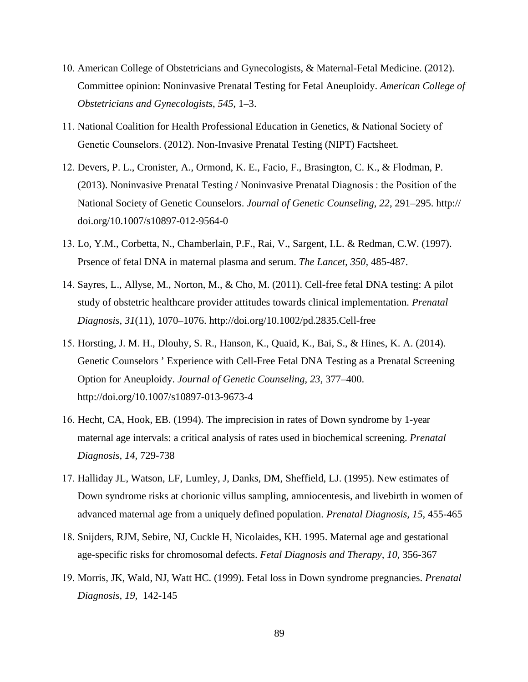- 10. American College of Obstetricians and Gynecologists, & Maternal-Fetal Medicine. (2012). Committee opinion: Noninvasive Prenatal Testing for Fetal Aneuploidy. *American College of Obstetricians and Gynecologists*, *545*, 1–3.
- 11. National Coalition for Health Professional Education in Genetics, & National Society of Genetic Counselors. (2012). Non-Invasive Prenatal Testing (NIPT) Factsheet.
- 12. Devers, P. L., Cronister, A., Ormond, K. E., Facio, F., Brasington, C. K., & Flodman, P. (2013). Noninvasive Prenatal Testing / Noninvasive Prenatal Diagnosis : the Position of the National Society of Genetic Counselors. *Journal of Genetic Counseling*, *22*, 291–295. http:// doi.org/10.1007/s10897-012-9564-0
- 13. Lo, Y.M., Corbetta, N., Chamberlain, P.F., Rai, V., Sargent, I.L. & Redman, C.W. (1997). Prsence of fetal DNA in maternal plasma and serum. *The Lancet, 350,* 485-487.
- 14. Sayres, L., Allyse, M., Norton, M., & Cho, M. (2011). Cell-free fetal DNA testing: A pilot study of obstetric healthcare provider attitudes towards clinical implementation. *Prenatal Diagnosis*, *31*(11), 1070–1076. http://doi.org/10.1002/pd.2835.Cell-free
- 15. Horsting, J. M. H., Dlouhy, S. R., Hanson, K., Quaid, K., Bai, S., & Hines, K. A. (2014). Genetic Counselors ' Experience with Cell-Free Fetal DNA Testing as a Prenatal Screening Option for Aneuploidy. *Journal of Genetic Counseling*, *23*, 377–400. http://doi.org/10.1007/s10897-013-9673-4
- 16. Hecht, CA, Hook, EB. (1994). The imprecision in rates of Down syndrome by 1-year maternal age intervals: a critical analysis of rates used in biochemical screening. *Prenatal Diagnosis, 14,* 729-738
- 17. Halliday JL, Watson, LF, Lumley, J, Danks, DM, Sheffield, LJ. (1995). New estimates of Down syndrome risks at chorionic villus sampling, amniocentesis, and livebirth in women of advanced maternal age from a uniquely defined population. *Prenatal Diagnosis, 15,* 455-465
- 18. Snijders, RJM, Sebire, NJ, Cuckle H, Nicolaides, KH. 1995. Maternal age and gestational age-specific risks for chromosomal defects. *Fetal Diagnosis and Therapy, 10,* 356-367
- 19. Morris, JK, Wald, NJ, Watt HC. (1999). Fetal loss in Down syndrome pregnancies. *Prenatal Diagnosis, 19,* 142-145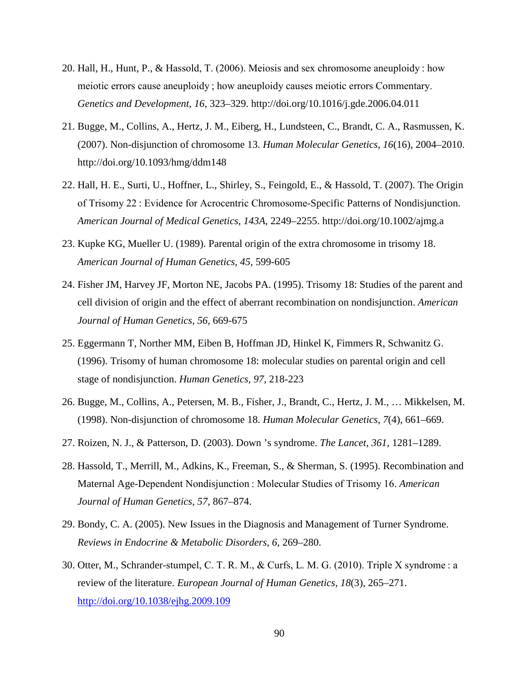- 20. Hall, H., Hunt, P., & Hassold, T. (2006). Meiosis and sex chromosome aneuploidy : how meiotic errors cause aneuploidy ; how aneuploidy causes meiotic errors Commentary. *Genetics and Development*, *16*, 323–329. http://doi.org/10.1016/j.gde.2006.04.011
- 21. Bugge, M., Collins, A., Hertz, J. M., Eiberg, H., Lundsteen, C., Brandt, C. A., Rasmussen, K. (2007). Non-disjunction of chromosome 13. *Human Molecular Genetics*, *16*(16), 2004–2010. http://doi.org/10.1093/hmg/ddm148
- 22. Hall, H. E., Surti, U., Hoffner, L., Shirley, S., Feingold, E., & Hassold, T. (2007). The Origin of Trisomy 22 : Evidence for Acrocentric Chromosome-Specific Patterns of Nondisjunction. *American Journal of Medical Genetics*, *143A*, 2249–2255. http://doi.org/10.1002/ajmg.a
- 23. Kupke KG, Mueller U. (1989). Parental origin of the extra chromosome in trisomy 18. *American Journal of Human Genetics, 45,* 599-605
- 24. Fisher JM, Harvey JF, Morton NE, Jacobs PA. (1995). Trisomy 18: Studies of the parent and cell division of origin and the effect of aberrant recombination on nondisjunction. *American Journal of Human Genetics, 56,* 669-675
- 25. Eggermann T, Norther MM, Eiben B, Hoffman JD, Hinkel K, Fimmers R, Schwanitz G. (1996). Trisomy of human chromosome 18: molecular studies on parental origin and cell stage of nondisjunction. *Human Genetics, 97,* 218-223
- 26. Bugge, M., Collins, A., Petersen, M. B., Fisher, J., Brandt, C., Hertz, J. M., … Mikkelsen, M. (1998). Non-disjunction of chromosome 18. *Human Molecular Genetics*, *7*(4), 661–669.
- 27. Roizen, N. J., & Patterson, D. (2003). Down 's syndrome. *The Lancet*, *361*, 1281–1289.
- 28. Hassold, T., Merrill, M., Adkins, K., Freeman, S., & Sherman, S. (1995). Recombination and Maternal Age-Dependent Nondisjunction : Molecular Studies of Trisomy 16. *American Journal of Human Genetics*, *57*, 867–874.
- 29. Bondy, C. A. (2005). New Issues in the Diagnosis and Management of Turner Syndrome. *Reviews in Endocrine & Metabolic Disorders*, *6*, 269–280.
- 30. Otter, M., Schrander-stumpel, C. T. R. M., & Curfs, L. M. G. (2010). Triple X syndrome : a review of the literature. *European Journal of Human Genetics*, *18*(3), 265–271. <http://doi.org/10.1038/ejhg.2009.109>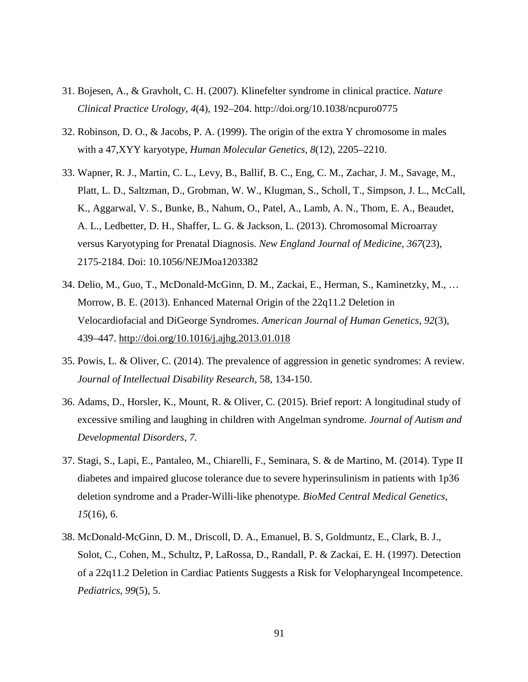- 31. Bojesen, A., & Gravholt, C. H. (2007). Klinefelter syndrome in clinical practice. *Nature Clinical Practice Urology*, *4*(4), 192–204. http://doi.org/10.1038/ncpuro0775
- 32. Robinson, D. O., & Jacobs, P. A. (1999). The origin of the extra Y chromosome in males with a 47,XYY karyotype, *Human Molecular Genetics, 8*(12), 2205–2210.
- 33. Wapner, R. J., Martin, C. L., Levy, B., Ballif, B. C., Eng, C. M., Zachar, J. M., Savage, M., Platt, L. D., Saltzman, D., Grobman, W. W., Klugman, S., Scholl, T., Simpson, J. L., McCall, K., Aggarwal, V. S., Bunke, B., Nahum, O., Patel, A., Lamb, A. N., Thom, E. A., Beaudet, A. L., Ledbetter, D. H., Shaffer, L. G. & Jackson, L. (2013). Chromosomal Microarray versus Karyotyping for Prenatal Diagnosis. *New England Journal of Medicine, 367*(23), 2175-2184. Doi: 10.1056/NEJMoa1203382
- 34. Delio, M., Guo, T., McDonald-McGinn, D. M., Zackai, E., Herman, S., Kaminetzky, M., … Morrow, B. E. (2013). Enhanced Maternal Origin of the 22q11.2 Deletion in Velocardiofacial and DiGeorge Syndromes. *American Journal of Human Genetics*, *92*(3), 439–447.<http://doi.org/10.1016/j.ajhg.2013.01.018>
- 35. Powis, L. & Oliver, C. (2014). The prevalence of aggression in genetic syndromes: A review. *Journal of Intellectual Disability Research,* 58, 134-150.
- 36. Adams, D., Horsler, K., Mount, R. & Oliver, C. (2015). Brief report: A longitudinal study of excessive smiling and laughing in children with Angelman syndrome. *Journal of Autism and Developmental Disorders, 7.*
- 37. Stagi, S., Lapi, E., Pantaleo, M., Chiarelli, F., Seminara, S. & de Martino, M. (2014). Type II diabetes and impaired glucose tolerance due to severe hyperinsulinism in patients with 1p36 deletion syndrome and a Prader-Willi-like phenotype. *BioMed Central Medical Genetics, 15*(16), 6.
- 38. McDonald-McGinn, D. M., Driscoll, D. A., Emanuel, B. S, Goldmuntz, E., Clark, B. J., Solot, C., Cohen, M., Schultz, P, LaRossa, D., Randall, P. & Zackai, E. H. (1997). Detection of a 22q11.2 Deletion in Cardiac Patients Suggests a Risk for Velopharyngeal Incompetence. *Pediatrics, 99*(5), 5.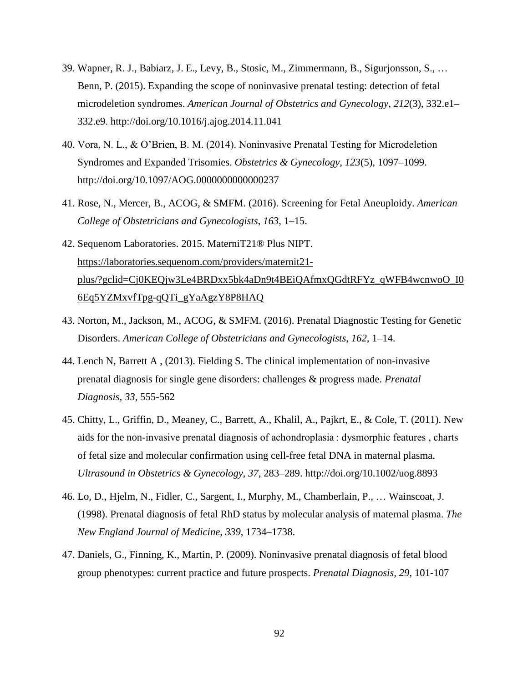- 39. Wapner, R. J., Babiarz, J. E., Levy, B., Stosic, M., Zimmermann, B., Sigurjonsson, S., … Benn, P. (2015). Expanding the scope of noninvasive prenatal testing: detection of fetal microdeletion syndromes. *American Journal of Obstetrics and Gynecology*, *212*(3), 332.e1– 332.e9. http://doi.org/10.1016/j.ajog.2014.11.041
- 40. Vora, N. L., & O'Brien, B. M. (2014). Noninvasive Prenatal Testing for Microdeletion Syndromes and Expanded Trisomies. *Obstetrics & Gynecology*, *123*(5), 1097–1099. http://doi.org/10.1097/AOG.0000000000000237
- 41. Rose, N., Mercer, B., ACOG, & SMFM. (2016). Screening for Fetal Aneuploidy. *American College of Obstetricians and Gynecologists*, *163*, 1–15.
- 42. Sequenom Laboratories. 2015. MaterniT21® Plus NIPT. https://laboratories.sequenom.com/providers/maternit21 [plus/?gclid=Cj0KEQjw3Le4BRDxx5bk4aDn9t4BEiQAfmxQGdtRFYz\\_qWFB4wcnwoO\\_I0](https://laboratories.sequenom.com/providers/maternit21-plus/?gclid=Cj0KEQjw3Le4BRDxx5bk4aDn9t4BEiQAfmxQGdtRFYz_qWFB4wcnwoO_I06Eq5YZMxvfTpg-qQTi_gYaAgzY8P8HAQ) [6Eq5YZMxvfTpg-qQTi\\_gYaAgzY8P8HAQ](https://laboratories.sequenom.com/providers/maternit21-plus/?gclid=Cj0KEQjw3Le4BRDxx5bk4aDn9t4BEiQAfmxQGdtRFYz_qWFB4wcnwoO_I06Eq5YZMxvfTpg-qQTi_gYaAgzY8P8HAQ)
- 43. [Norton, M., Jackson, M., ACOG, & SMFM. \(](https://laboratories.sequenom.com/providers/maternit21-plus/?gclid=Cj0KEQjw3Le4BRDxx5bk4aDn9t4BEiQAfmxQGdtRFYz_qWFB4wcnwoO_I06Eq5YZMxvfTpg-qQTi_gYaAgzY8P8HAQ)2016). Prenatal Diagnostic Testing for Genetic Disorders. *American College of Obstetricians and Gynecologists*, *162*, 1–14.
- 44. Lench N, Barrett A , (2013). Fielding S. The clinical implementation of non-invasive prenatal diagnosis for single gene disorders: challenges & progress made. *Prenatal Diagnosis, 33,* 555-562
- 45. Chitty, L., Griffin, D., Meaney, C., Barrett, A., Khalil, A., Pajkrt, E., & Cole, T. (2011). New aids for the non-invasive prenatal diagnosis of achondroplasia : dysmorphic features , charts of fetal size and molecular confirmation using cell-free fetal DNA in maternal plasma. *Ultrasound in Obstetrics & Gynecology*, *37*, 283–289. http://doi.org/10.1002/uog.8893
- 46. Lo, D., Hjelm, N., Fidler, C., Sargent, I., Murphy, M., Chamberlain, P., … Wainscoat, J. (1998). Prenatal diagnosis of fetal RhD status by molecular analysis of maternal plasma. *The New England Journal of Medicine*, *339*, 1734–1738.
- 47. Daniels, G., Finning, K., Martin, P. (2009). Noninvasive prenatal diagnosis of fetal blood group phenotypes: current practice and future prospects. *Prenatal Diagnosis, 29,* 101-107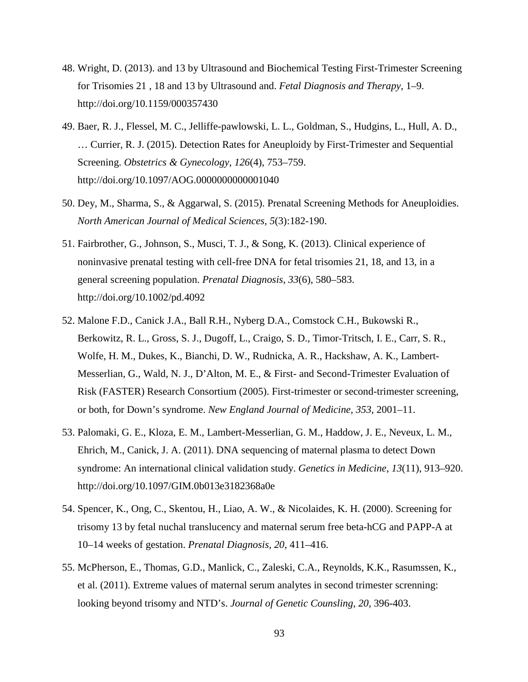- 48. Wright, D. (2013). and 13 by Ultrasound and Biochemical Testing First-Trimester Screening for Trisomies 21 , 18 and 13 by Ultrasound and. *Fetal Diagnosis and Therapy*, 1–9. http://doi.org/10.1159/000357430
- 49. Baer, R. J., Flessel, M. C., Jelliffe-pawlowski, L. L., Goldman, S., Hudgins, L., Hull, A. D., … Currier, R. J. (2015). Detection Rates for Aneuploidy by First-Trimester and Sequential Screening. *Obstetrics & Gynecology*, *126*(4), 753–759. http://doi.org/10.1097/AOG.0000000000001040
- 50. Dey, M., Sharma, S., & Aggarwal, S. (2015). Prenatal Screening Methods for Aneuploidies. *North American Journal of Medical Sciences, 5*(3):182-190.
- 51. Fairbrother, G., Johnson, S., Musci, T. J., & Song, K. (2013). Clinical experience of noninvasive prenatal testing with cell-free DNA for fetal trisomies 21, 18, and 13, in a general screening population. *Prenatal Diagnosis*, *33*(6), 580–583. http://doi.org/10.1002/pd.4092
- 52. Malone F.D., Canick J.A., Ball R.H., Nyberg D.A., Comstock C.H., Bukowski R., Berkowitz, R. L., Gross, S. J., Dugoff, L., Craigo, S. D., Timor-Tritsch, I. E., Carr, S. R., Wolfe, H. M., Dukes, K., Bianchi, D. W., Rudnicka, A. R., Hackshaw, A. K., Lambert-Messerlian, G., Wald, N. J., D'Alton, M. E., & First- and Second-Trimester Evaluation of Risk (FASTER) Research Consortium (2005). First-trimester or second-trimester screening, or both, for Down's syndrome. *New England Journal of Medicine, 353*, 2001–11.
- 53. Palomaki, G. E., Kloza, E. M., Lambert-Messerlian, G. M., Haddow, J. E., Neveux, L. M., Ehrich, M., Canick, J. A. (2011). DNA sequencing of maternal plasma to detect Down syndrome: An international clinical validation study. *Genetics in Medicine*, *13*(11), 913–920. http://doi.org/10.1097/GIM.0b013e3182368a0e
- 54. Spencer, K., Ong, C., Skentou, H., Liao, A. W., & Nicolaides, K. H. (2000). Screening for trisomy 13 by fetal nuchal translucency and maternal serum free beta-hCG and PAPP-A at 10–14 weeks of gestation. *Prenatal Diagnosis, 20*, 411–416.
- 55. McPherson, E., Thomas, G.D., Manlick, C., Zaleski, C.A., Reynolds, K.K., Rasumssen, K., et al. (2011). Extreme values of maternal serum analytes in second trimester screnning: looking beyond trisomy and NTD's. *Journal of Genetic Counsling, 20,* 396-403.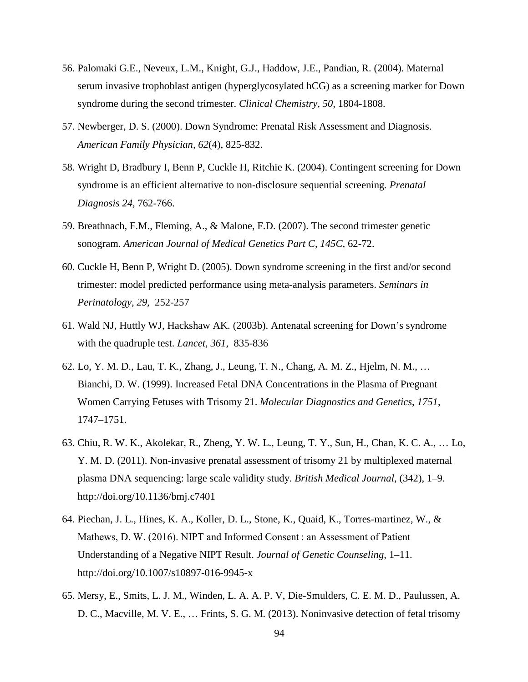- 56. Palomaki G.E., Neveux, L.M., Knight, G.J., Haddow, J.E., Pandian, R. (2004). Maternal serum invasive trophoblast antigen (hyperglycosylated hCG) as a screening marker for Down syndrome during the second trimester. *Clinical Chemistry, 50,* 1804-1808.
- 57. Newberger, D. S. (2000). Down Syndrome: Prenatal Risk Assessment and Diagnosis. *American Family Physician, 62*(4), 825-832.
- 58. Wright D, Bradbury I, Benn P, Cuckle H, Ritchie K. (2004). Contingent screening for Down syndrome is an efficient alternative to non-disclosure sequential screening*. Prenatal Diagnosis 24,* 762-766.
- 59. Breathnach, F.M., Fleming, A., & Malone, F.D. (2007). The second trimester genetic sonogram. *American Journal of Medical Genetics Part C, 145C*, 62-72.
- 60. Cuckle H, Benn P, Wright D. (2005). Down syndrome screening in the first and/or second trimester: model predicted performance using meta-analysis parameters. *Seminars in Perinatology, 29,* 252-257
- 61. Wald NJ, Huttly WJ, Hackshaw AK. (2003b). Antenatal screening for Down's syndrome with the quadruple test. *Lancet, 361,* 835-836
- 62. Lo, Y. M. D., Lau, T. K., Zhang, J., Leung, T. N., Chang, A. M. Z., Hjelm, N. M., … Bianchi, D. W. (1999). Increased Fetal DNA Concentrations in the Plasma of Pregnant Women Carrying Fetuses with Trisomy 21. *Molecular Diagnostics and Genetics*, *1751*, 1747–1751.
- 63. Chiu, R. W. K., Akolekar, R., Zheng, Y. W. L., Leung, T. Y., Sun, H., Chan, K. C. A., … Lo, Y. M. D. (2011). Non-invasive prenatal assessment of trisomy 21 by multiplexed maternal plasma DNA sequencing: large scale validity study. *British Medical Journal*, (342), 1–9. http://doi.org/10.1136/bmj.c7401
- 64. Piechan, J. L., Hines, K. A., Koller, D. L., Stone, K., Quaid, K., Torres-martinez, W., & Mathews, D. W. (2016). NIPT and Informed Consent : an Assessment of Patient Understanding of a Negative NIPT Result. *Journal of Genetic Counseling*, 1–11. http://doi.org/10.1007/s10897-016-9945-x
- 65. Mersy, E., Smits, L. J. M., Winden, L. A. A. P. V, Die-Smulders, C. E. M. D., Paulussen, A. D. C., Macville, M. V. E., … Frints, S. G. M. (2013). Noninvasive detection of fetal trisomy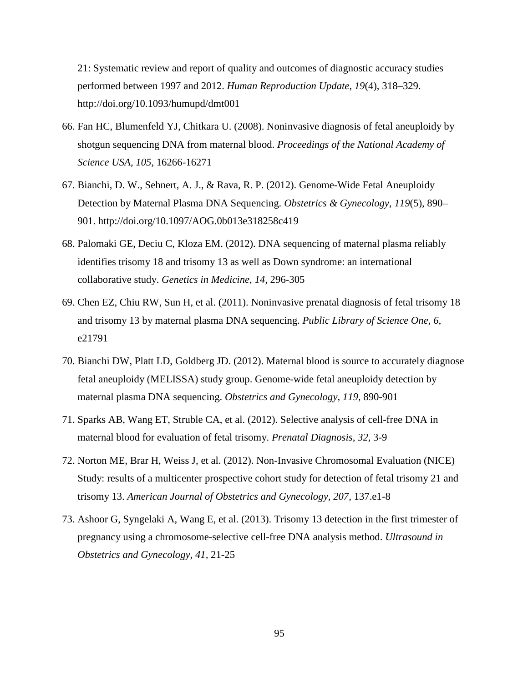21: Systematic review and report of quality and outcomes of diagnostic accuracy studies performed between 1997 and 2012. *Human Reproduction Update*, *19*(4), 318–329. http://doi.org/10.1093/humupd/dmt001

- 66. Fan HC, Blumenfeld YJ, Chitkara U. (2008). Noninvasive diagnosis of fetal aneuploidy by shotgun sequencing DNA from maternal blood. *Proceedings of the National Academy of Science USA, 105,* 16266-16271
- 67. Bianchi, D. W., Sehnert, A. J., & Rava, R. P. (2012). Genome-Wide Fetal Aneuploidy Detection by Maternal Plasma DNA Sequencing. *Obstetrics & Gynecology*, *119*(5), 890– 901. http://doi.org/10.1097/AOG.0b013e318258c419
- 68. Palomaki GE, Deciu C, Kloza EM. (2012). DNA sequencing of maternal plasma reliably identifies trisomy 18 and trisomy 13 as well as Down syndrome: an international collaborative study. *Genetics in Medicine, 14,* 296-305
- 69. Chen EZ, Chiu RW, Sun H, et al. (2011). Noninvasive prenatal diagnosis of fetal trisomy 18 and trisomy 13 by maternal plasma DNA sequencing. *Public Library of Science One, 6,* e21791
- 70. Bianchi DW, Platt LD, Goldberg JD. (2012). Maternal blood is source to accurately diagnose fetal aneuploidy (MELISSA) study group. Genome-wide fetal aneuploidy detection by maternal plasma DNA sequencing. *Obstetrics and Gynecology, 119,* 890-901
- 71. Sparks AB, Wang ET, Struble CA, et al. (2012). Selective analysis of cell-free DNA in maternal blood for evaluation of fetal trisomy. *Prenatal Diagnosis, 32,* 3-9
- 72. Norton ME, Brar H, Weiss J, et al. (2012). Non-Invasive Chromosomal Evaluation (NICE) Study: results of a multicenter prospective cohort study for detection of fetal trisomy 21 and trisomy 13. *American Journal of Obstetrics and Gynecology, 207,* 137.e1-8
- 73. Ashoor G, Syngelaki A, Wang E, et al. (2013). Trisomy 13 detection in the first trimester of pregnancy using a chromosome-selective cell-free DNA analysis method. *Ultrasound in Obstetrics and Gynecology, 41,* 21-25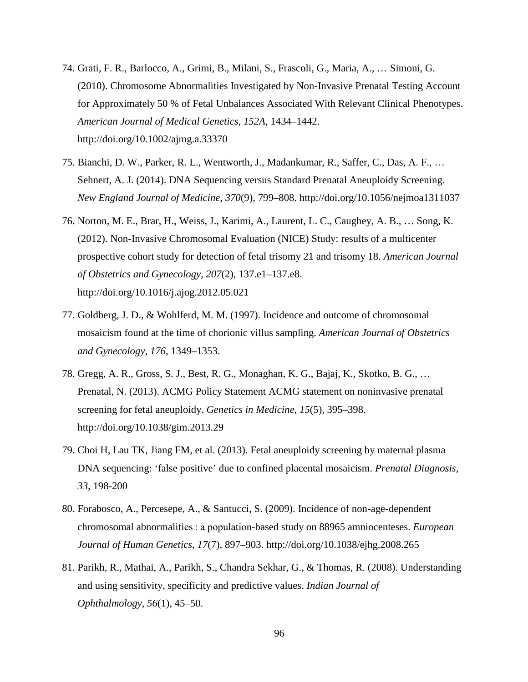- 74. Grati, F. R., Barlocco, A., Grimi, B., Milani, S., Frascoli, G., Maria, A., … Simoni, G. (2010). Chromosome Abnormalities Investigated by Non-Invasive Prenatal Testing Account for Approximately 50 % of Fetal Unbalances Associated With Relevant Clinical Phenotypes. *American Journal of Medical Genetics*, *152A*, 1434–1442. http://doi.org/10.1002/ajmg.a.33370
- 75. Bianchi, D. W., Parker, R. L., Wentworth, J., Madankumar, R., Saffer, C., Das, A. F., … Sehnert, A. J. (2014). DNA Sequencing versus Standard Prenatal Aneuploidy Screening. *New England Journal of Medicine*, *370*(9), 799–808. http://doi.org/10.1056/nejmoa1311037
- 76. Norton, M. E., Brar, H., Weiss, J., Karimi, A., Laurent, L. C., Caughey, A. B., … Song, K. (2012). Non-Invasive Chromosomal Evaluation (NICE) Study: results of a multicenter prospective cohort study for detection of fetal trisomy 21 and trisomy 18. *American Journal of Obstetrics and Gynecology*, *207*(2), 137.e1–137.e8. http://doi.org/10.1016/j.ajog.2012.05.021
- 77. Goldberg, J. D., & Wohlferd, M. M. (1997). Incidence and outcome of chromosomal mosaicism found at the time of chorionic villus sampling. *American Journal of Obstetrics and Gynecology*, *176*, 1349–1353.
- 78. Gregg, A. R., Gross, S. J., Best, R. G., Monaghan, K. G., Bajaj, K., Skotko, B. G., … Prenatal, N. (2013). ACMG Policy Statement ACMG statement on noninvasive prenatal screening for fetal aneuploidy. *Genetics in Medicine*, *15*(5), 395–398. http://doi.org/10.1038/gim.2013.29
- 79. Choi H, Lau TK, Jiang FM, et al. (2013). Fetal aneuploidy screening by maternal plasma DNA sequencing: 'false positive' due to confined placental mosaicism. *Prenatal Diagnosis, 33,* 198-200
- 80. Forabosco, A., Percesepe, A., & Santucci, S. (2009). Incidence of non-age-dependent chromosomal abnormalities : a population-based study on 88965 amniocenteses. *European Journal of Human Genetics*, *17*(7), 897–903. http://doi.org/10.1038/ejhg.2008.265
- 81. Parikh, R., Mathai, A., Parikh, S., Chandra Sekhar, G., & Thomas, R. (2008). Understanding and using sensitivity, specificity and predictive values. *Indian Journal of Ophthalmology*, *56*(1), 45–50.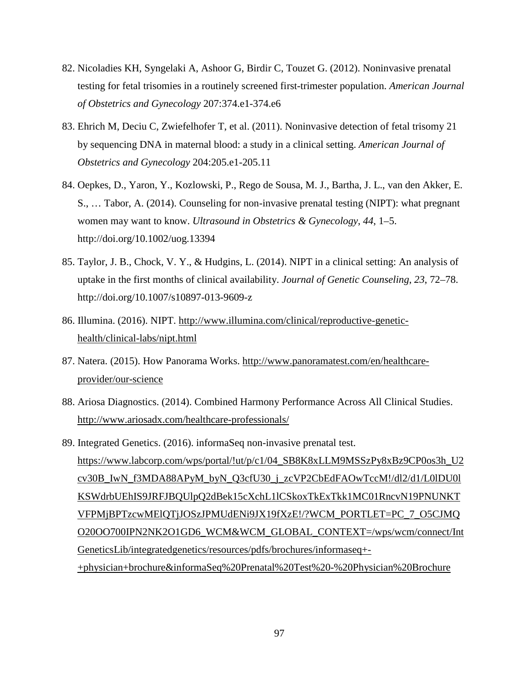- 82. Nicoladies KH, Syngelaki A, Ashoor G, Birdir C, Touzet G. (2012). Noninvasive prenatal testing for fetal trisomies in a routinely screened first-trimester population. *American Journal of Obstetrics and Gynecology* 207:374.e1-374.e6
- 83. Ehrich M, Deciu C, Zwiefelhofer T, et al. (2011). Noninvasive detection of fetal trisomy 21 by sequencing DNA in maternal blood: a study in a clinical setting. *American Journal of Obstetrics and Gynecology* 204:205.e1-205.11
- 84. Oepkes, D., Yaron, Y., Kozlowski, P., Rego de Sousa, M. J., Bartha, J. L., van den Akker, E. S., … Tabor, A. (2014). Counseling for non-invasive prenatal testing (NIPT): what pregnant women may want to know. *Ultrasound in Obstetrics & Gynecology*, *44*, 1–5. http://doi.org/10.1002/uog.13394
- 85. Taylor, J. B., Chock, V. Y., & Hudgins, L. (2014). NIPT in a clinical setting: An analysis of uptake in the first months of clinical availability. *Journal of Genetic Counseling*, *23*, 72–78. http://doi.org/10.1007/s10897-013-9609-z
- 86. Illumina. (2016). NIPT. [http://www.illumina.com/clinical/reproductive-genetic](http://www.illumina.com/clinical/reproductive-genetic-health/clinical-labs/nipt.html)[health/clinical-labs/nipt.html](http://www.illumina.com/clinical/reproductive-genetic-health/clinical-labs/nipt.html)
- 87. Natera. (2015). How Panorama Works. [http://www.panoramatest.com/en/healthcare](http://www.panoramatest.com/en/healthcare-provider/our-science)[provider/our-science](http://www.panoramatest.com/en/healthcare-provider/our-science)
- 88. Ariosa Diagnostics. (2014). Combined Harmony Performance Across All Clinical Studies. <http://www.ariosadx.com/healthcare-professionals/>
- 89. Integrated Genetics. (2016). informaSeq non-invasive prenatal test. [https://www.labcorp.com/wps/portal/!ut/p/c1/04\\_SB8K8xLLM9MSSzPy8xBz9CP0os3h\\_U2](https://www.labcorp.com/wps/portal/!ut/p/c1/04_SB8K8xLLM9MSSzPy8xBz9CP0os3h_U2cv30B_IwN_f3MDA88APyM_byN_Q3cfU30_j_zcVP2CbEdFAOwTccM!/dl2/d1/L0lDU0lKSWdrbUEhIS9JRFJBQUlpQ2dBek15cXchL1lCSkoxTkExTkk1MC01RncvN19PNUNKTVFPMjBPTzcwMElQTjJOSzJPMUdENi9JX19fXzE!/?WCM_PORTLET=PC_7_O5CJMQO20OO700IPN2NK2O1GD6_WCM&WCM_GLOBAL_CONTEXT=/wps/wcm/connect/IntGeneticsLib/integratedgenetics/resources/pdfs/brochures/informaseq+-+physician+brochure&informaSeq%20Prenatal%20Test%20-%20Physician%20Brochure) [cv30B\\_IwN\\_f3MDA88APyM\\_byN\\_Q3cfU30\\_j\\_zcVP2CbEdFAOwTccM!/dl2/d1/L0lDU0l](https://www.labcorp.com/wps/portal/!ut/p/c1/04_SB8K8xLLM9MSSzPy8xBz9CP0os3h_U2cv30B_IwN_f3MDA88APyM_byN_Q3cfU30_j_zcVP2CbEdFAOwTccM!/dl2/d1/L0lDU0lKSWdrbUEhIS9JRFJBQUlpQ2dBek15cXchL1lCSkoxTkExTkk1MC01RncvN19PNUNKTVFPMjBPTzcwMElQTjJOSzJPMUdENi9JX19fXzE!/?WCM_PORTLET=PC_7_O5CJMQO20OO700IPN2NK2O1GD6_WCM&WCM_GLOBAL_CONTEXT=/wps/wcm/connect/IntGeneticsLib/integratedgenetics/resources/pdfs/brochures/informaseq+-+physician+brochure&informaSeq%20Prenatal%20Test%20-%20Physician%20Brochure) [KSWdrbUEhIS9JRFJBQUlpQ2dBek15cXchL1lCSkoxTkExTkk1MC01RncvN19PNUNKT](https://www.labcorp.com/wps/portal/!ut/p/c1/04_SB8K8xLLM9MSSzPy8xBz9CP0os3h_U2cv30B_IwN_f3MDA88APyM_byN_Q3cfU30_j_zcVP2CbEdFAOwTccM!/dl2/d1/L0lDU0lKSWdrbUEhIS9JRFJBQUlpQ2dBek15cXchL1lCSkoxTkExTkk1MC01RncvN19PNUNKTVFPMjBPTzcwMElQTjJOSzJPMUdENi9JX19fXzE!/?WCM_PORTLET=PC_7_O5CJMQO20OO700IPN2NK2O1GD6_WCM&WCM_GLOBAL_CONTEXT=/wps/wcm/connect/IntGeneticsLib/integratedgenetics/resources/pdfs/brochures/informaseq+-+physician+brochure&informaSeq%20Prenatal%20Test%20-%20Physician%20Brochure) [VFPMjBPTzcwMElQTjJOSzJPMUdENi9JX19fXzE!/?WCM\\_PORTLET=PC\\_7\\_O5CJMQ](https://www.labcorp.com/wps/portal/!ut/p/c1/04_SB8K8xLLM9MSSzPy8xBz9CP0os3h_U2cv30B_IwN_f3MDA88APyM_byN_Q3cfU30_j_zcVP2CbEdFAOwTccM!/dl2/d1/L0lDU0lKSWdrbUEhIS9JRFJBQUlpQ2dBek15cXchL1lCSkoxTkExTkk1MC01RncvN19PNUNKTVFPMjBPTzcwMElQTjJOSzJPMUdENi9JX19fXzE!/?WCM_PORTLET=PC_7_O5CJMQO20OO700IPN2NK2O1GD6_WCM&WCM_GLOBAL_CONTEXT=/wps/wcm/connect/IntGeneticsLib/integratedgenetics/resources/pdfs/brochures/informaseq+-+physician+brochure&informaSeq%20Prenatal%20Test%20-%20Physician%20Brochure) [O20OO700IPN2NK2O1GD6\\_WCM&WCM\\_GLOBAL\\_CONTEXT=/wps/wcm/connect/Int](https://www.labcorp.com/wps/portal/!ut/p/c1/04_SB8K8xLLM9MSSzPy8xBz9CP0os3h_U2cv30B_IwN_f3MDA88APyM_byN_Q3cfU30_j_zcVP2CbEdFAOwTccM!/dl2/d1/L0lDU0lKSWdrbUEhIS9JRFJBQUlpQ2dBek15cXchL1lCSkoxTkExTkk1MC01RncvN19PNUNKTVFPMjBPTzcwMElQTjJOSzJPMUdENi9JX19fXzE!/?WCM_PORTLET=PC_7_O5CJMQO20OO700IPN2NK2O1GD6_WCM&WCM_GLOBAL_CONTEXT=/wps/wcm/connect/IntGeneticsLib/integratedgenetics/resources/pdfs/brochures/informaseq+-+physician+brochure&informaSeq%20Prenatal%20Test%20-%20Physician%20Brochure) [GeneticsLib/integratedgenetics/resources/pdfs/brochures/informaseq+-](https://www.labcorp.com/wps/portal/!ut/p/c1/04_SB8K8xLLM9MSSzPy8xBz9CP0os3h_U2cv30B_IwN_f3MDA88APyM_byN_Q3cfU30_j_zcVP2CbEdFAOwTccM!/dl2/d1/L0lDU0lKSWdrbUEhIS9JRFJBQUlpQ2dBek15cXchL1lCSkoxTkExTkk1MC01RncvN19PNUNKTVFPMjBPTzcwMElQTjJOSzJPMUdENi9JX19fXzE!/?WCM_PORTLET=PC_7_O5CJMQO20OO700IPN2NK2O1GD6_WCM&WCM_GLOBAL_CONTEXT=/wps/wcm/connect/IntGeneticsLib/integratedgenetics/resources/pdfs/brochures/informaseq+-+physician+brochure&informaSeq%20Prenatal%20Test%20-%20Physician%20Brochure) [+physician+brochure&informaSeq%20Prenatal%20Test%20-%20Physician%20Brochure](https://www.labcorp.com/wps/portal/!ut/p/c1/04_SB8K8xLLM9MSSzPy8xBz9CP0os3h_U2cv30B_IwN_f3MDA88APyM_byN_Q3cfU30_j_zcVP2CbEdFAOwTccM!/dl2/d1/L0lDU0lKSWdrbUEhIS9JRFJBQUlpQ2dBek15cXchL1lCSkoxTkExTkk1MC01RncvN19PNUNKTVFPMjBPTzcwMElQTjJOSzJPMUdENi9JX19fXzE!/?WCM_PORTLET=PC_7_O5CJMQO20OO700IPN2NK2O1GD6_WCM&WCM_GLOBAL_CONTEXT=/wps/wcm/connect/IntGeneticsLib/integratedgenetics/resources/pdfs/brochures/informaseq+-+physician+brochure&informaSeq%20Prenatal%20Test%20-%20Physician%20Brochure)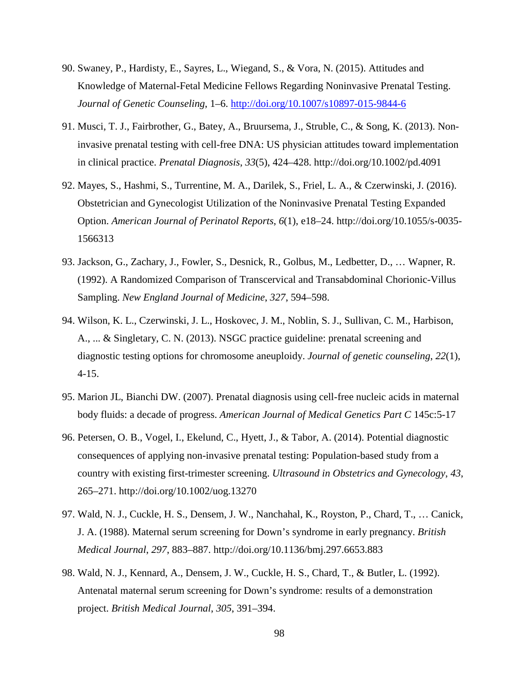- 90. Swaney, P., Hardisty, E., Sayres, L., [Wiegand, S., & Vora, N. \(2015\). Attitudes](http://doi.org/10.1007/s10897-015-9844-6) and Knowledge of Maternal-Fetal Medicine Fellows Regarding Noninvasive Prenatal Testing. *Journal of Genetic Counseling*, 1–6. http://doi.org/10.1007/s10897-015-9844-6
- 91. Musci, T. J., Fairbrother, G., Batey, A., Bruursema, J., Struble, C., & Song, K. (2013). Noninvasive prenatal testing with cell-free DNA: US physician attitudes toward implementation in clinical practice. *Prenatal Diagnosis*, *33*(5), 424–428. http://doi.org/10.1002/pd.4091
- 92. Mayes, S., Hashmi, S., Turrentine, M. A., Darilek, S., Friel, L. A., & Czerwinski, J. (2016). Obstetrician and Gynecologist Utilization of the Noninvasive Prenatal Testing Expanded Option. *American Journal of Perinatol Reports*, *6*(1), e18–24. http://doi.org/10.1055/s-0035- 1566313
- 93. Jackson, G., Zachary, J., Fowler, S., Desnick, R., Golbus, M., Ledbetter, D., … Wapner, R. (1992). A Randomized Comparison of Transcervical and Transabdominal Chorionic-Villus Sampling. *New England Journal of Medicine*, *327*, 594–598.
- 94. Wilson, K. L., Czerwinski, J. L., Hoskovec, J. M., Noblin, S. J., Sullivan, C. M., Harbison, A., ... & Singletary, C. N. (2013). NSGC practice guideline: prenatal screening and diagnostic testing options for chromosome aneuploidy. *Journal of genetic counseling*, *22*(1), 4-15.
- 95. Marion JL, Bianchi DW. (2007). Prenatal diagnosis using cell-free nucleic acids in maternal body fluids: a decade of progress. *American Journal of Medical Genetics Part C* 145c:5-17
- 96. Petersen, O. B., Vogel, I., Ekelund, C., Hyett, J., & Tabor, A. (2014). Potential diagnostic consequences of applying non-invasive prenatal testing: Population-based study from a country with existing first-trimester screening. *Ultrasound in Obstetrics and Gynecology*, *43*, 265–271. http://doi.org/10.1002/uog.13270
- 97. Wald, N. J., Cuckle, H. S., Densem, J. W., Nanchahal, K., Royston, P., Chard, T., … Canick, J. A. (1988). Maternal serum screening for Down's syndrome in early pregnancy. *British Medical Journal*, *297*, 883–887. http://doi.org/10.1136/bmj.297.6653.883
- 98. Wald, N. J., Kennard, A., Densem, J. W., Cuckle, H. S., Chard, T., & Butler, L. (1992). Antenatal maternal serum screening for Down's syndrome: results of a demonstration project. *British Medical Journal*, *305*, 391–394.